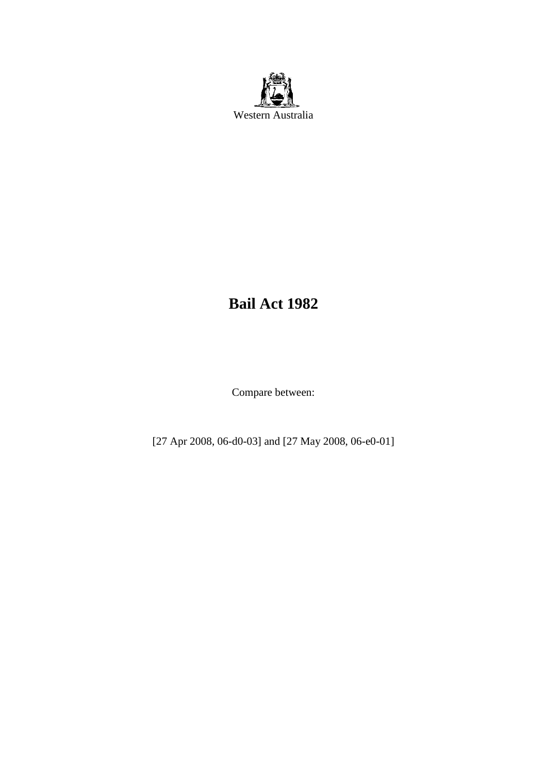

# **Bail Act 1982**

Compare between:

[27 Apr 2008, 06-d0-03] and [27 May 2008, 06-e0-01]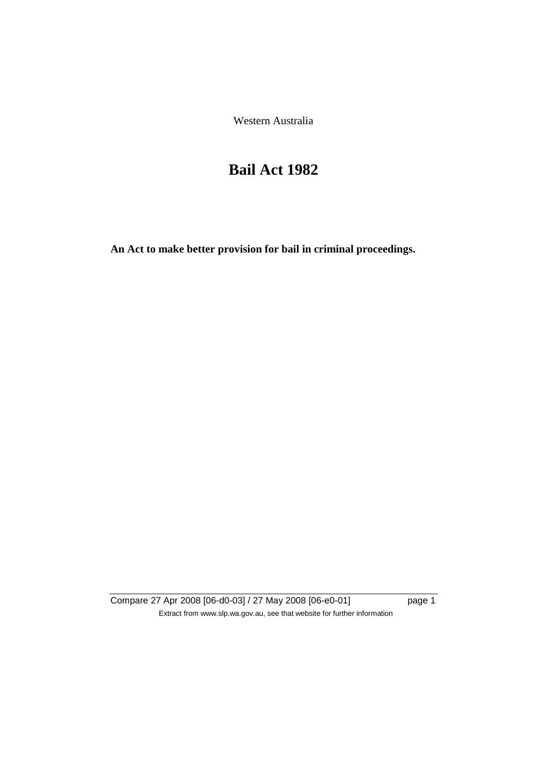Western Australia

# **Bail Act 1982**

**An Act to make better provision for bail in criminal proceedings.** 

Compare 27 Apr 2008 [06-d0-03] / 27 May 2008 [06-e0-01] page 1 Extract from www.slp.wa.gov.au, see that website for further information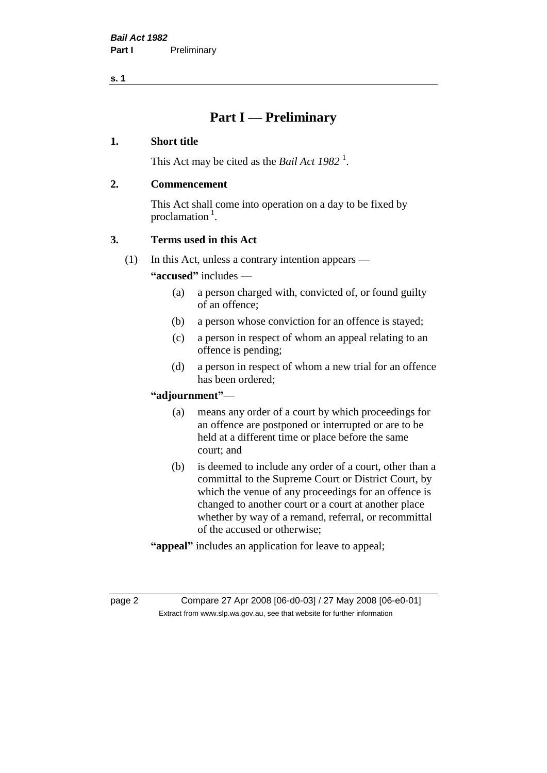# **Part I — Preliminary**

#### **1. Short title**

This Act may be cited as the *Bail Act* 1982<sup>1</sup>.

#### **2. Commencement**

This Act shall come into operation on a day to be fixed by proclamation  $<sup>1</sup>$ .</sup>

# **3. Terms used in this Act**

(1) In this Act, unless a contrary intention appears —

**"accused"** includes —

- (a) a person charged with, convicted of, or found guilty of an offence;
- (b) a person whose conviction for an offence is stayed;
- (c) a person in respect of whom an appeal relating to an offence is pending;
- (d) a person in respect of whom a new trial for an offence has been ordered;

#### **"adjournment"**—

- (a) means any order of a court by which proceedings for an offence are postponed or interrupted or are to be held at a different time or place before the same court; and
- (b) is deemed to include any order of a court, other than a committal to the Supreme Court or District Court, by which the venue of any proceedings for an offence is changed to another court or a court at another place whether by way of a remand, referral, or recommittal of the accused or otherwise;
- **"appeal"** includes an application for leave to appeal;

page 2 Compare 27 Apr 2008 [06-d0-03] / 27 May 2008 [06-e0-01] Extract from www.slp.wa.gov.au, see that website for further information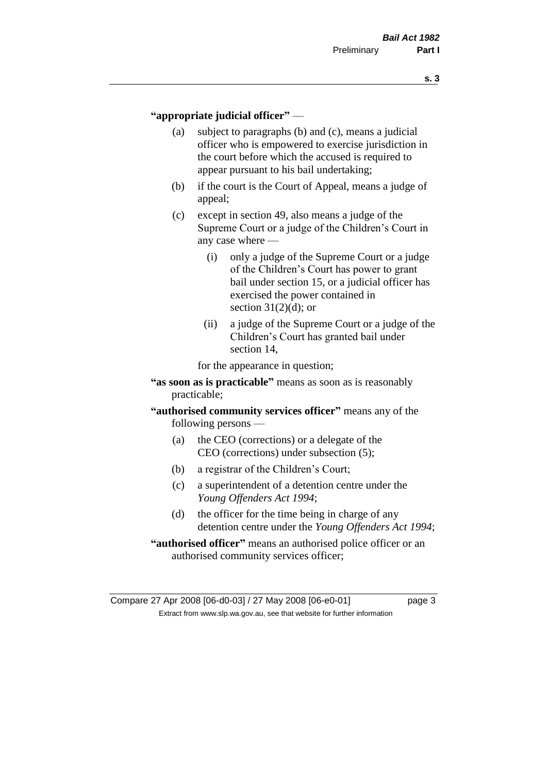#### **"appropriate judicial officer"** —

- (a) subject to paragraphs (b) and (c), means a judicial officer who is empowered to exercise jurisdiction in the court before which the accused is required to appear pursuant to his bail undertaking;
- (b) if the court is the Court of Appeal, means a judge of appeal;
- (c) except in section 49, also means a judge of the Supreme Court or a judge of the Children's Court in any case where —
	- (i) only a judge of the Supreme Court or a judge of the Children's Court has power to grant bail under section 15, or a judicial officer has exercised the power contained in section  $31(2)(d)$ ; or
	- (ii) a judge of the Supreme Court or a judge of the Children's Court has granted bail under section 14,

for the appearance in question;

- **"as soon as is practicable"** means as soon as is reasonably practicable;
- **"authorised community services officer"** means any of the following persons —
	- (a) the CEO (corrections) or a delegate of the CEO (corrections) under subsection (5);
	- (b) a registrar of the Children's Court;
	- (c) a superintendent of a detention centre under the *Young Offenders Act 1994*;
	- (d) the officer for the time being in charge of any detention centre under the *Young Offenders Act 1994*;
- **"authorised officer"** means an authorised police officer or an authorised community services officer;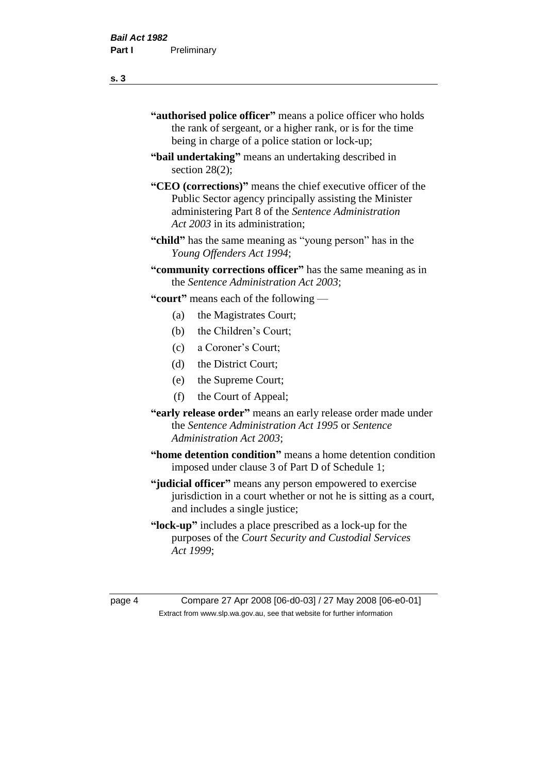- **"authorised police officer"** means a police officer who holds the rank of sergeant, or a higher rank, or is for the time being in charge of a police station or lock-up;
- **"bail undertaking"** means an undertaking described in section 28(2);
- **"CEO (corrections)"** means the chief executive officer of the Public Sector agency principally assisting the Minister administering Part 8 of the *Sentence Administration Act 2003* in its administration;
- **"child"** has the same meaning as "young person" has in the *Young Offenders Act 1994*;
- **"community corrections officer"** has the same meaning as in the *Sentence Administration Act 2003*;

**"court"** means each of the following —

- (a) the Magistrates Court;
- (b) the Children's Court;
- (c) a Coroner's Court;
- (d) the District Court;
- (e) the Supreme Court;
- (f) the Court of Appeal;
- **"early release order"** means an early release order made under the *Sentence Administration Act 1995* or *Sentence Administration Act 2003*;
- **"home detention condition"** means a home detention condition imposed under clause 3 of Part D of Schedule 1;
- **"judicial officer"** means any person empowered to exercise jurisdiction in a court whether or not he is sitting as a court, and includes a single justice;
- **"lock-up"** includes a place prescribed as a lock-up for the purposes of the *Court Security and Custodial Services Act 1999*;

page 4 Compare 27 Apr 2008 [06-d0-03] / 27 May 2008 [06-e0-01] Extract from www.slp.wa.gov.au, see that website for further information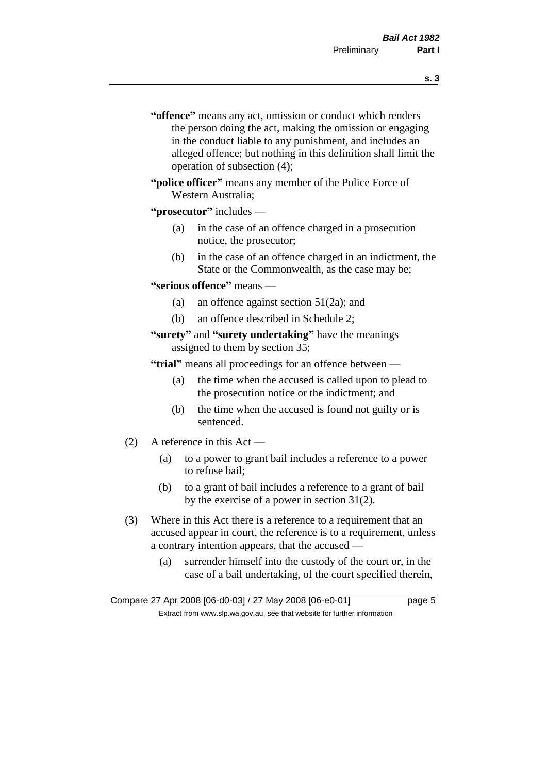- **s. 3**
- **"offence"** means any act, omission or conduct which renders the person doing the act, making the omission or engaging in the conduct liable to any punishment, and includes an alleged offence; but nothing in this definition shall limit the operation of subsection (4);
- **"police officer"** means any member of the Police Force of Western Australia;
- **"prosecutor"** includes
	- (a) in the case of an offence charged in a prosecution notice, the prosecutor;
	- (b) in the case of an offence charged in an indictment, the State or the Commonwealth, as the case may be;
- **"serious offence"** means
	- (a) an offence against section 51(2a); and
	- (b) an offence described in Schedule 2;
- **"surety"** and **"surety undertaking"** have the meanings assigned to them by section 35;

**"trial"** means all proceedings for an offence between —

- (a) the time when the accused is called upon to plead to the prosecution notice or the indictment; and
- (b) the time when the accused is found not guilty or is sentenced.
- (2) A reference in this Act
	- (a) to a power to grant bail includes a reference to a power to refuse bail;
	- (b) to a grant of bail includes a reference to a grant of bail by the exercise of a power in section 31(2).
- (3) Where in this Act there is a reference to a requirement that an accused appear in court, the reference is to a requirement, unless a contrary intention appears, that the accused —
	- (a) surrender himself into the custody of the court or, in the case of a bail undertaking, of the court specified therein,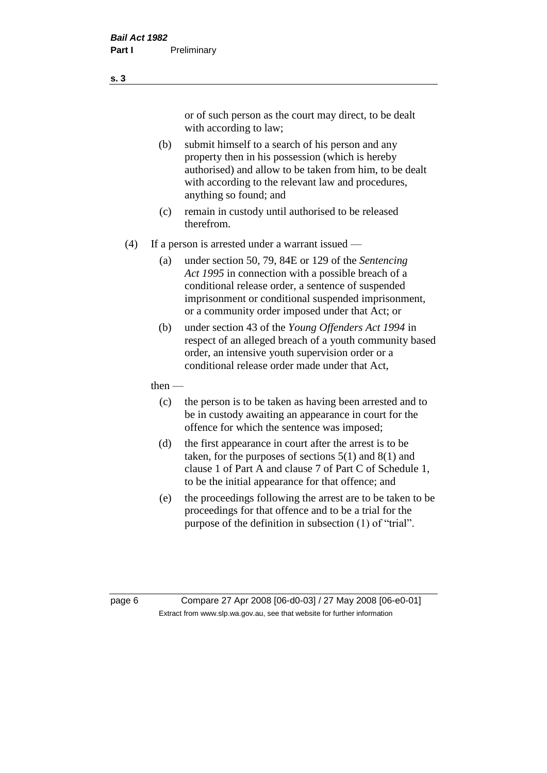or of such person as the court may direct, to be dealt with according to law;

(b) submit himself to a search of his person and any property then in his possession (which is hereby authorised) and allow to be taken from him, to be dealt with according to the relevant law and procedures, anything so found; and

- (c) remain in custody until authorised to be released therefrom.
- (4) If a person is arrested under a warrant issued
	- (a) under section 50, 79, 84E or 129 of the *Sentencing Act 1995* in connection with a possible breach of a conditional release order, a sentence of suspended imprisonment or conditional suspended imprisonment, or a community order imposed under that Act; or
	- (b) under section 43 of the *Young Offenders Act 1994* in respect of an alleged breach of a youth community based order, an intensive youth supervision order or a conditional release order made under that Act,
	- then
		- (c) the person is to be taken as having been arrested and to be in custody awaiting an appearance in court for the offence for which the sentence was imposed;
		- (d) the first appearance in court after the arrest is to be taken, for the purposes of sections  $5(1)$  and  $8(1)$  and clause 1 of Part A and clause 7 of Part C of Schedule 1, to be the initial appearance for that offence; and
		- (e) the proceedings following the arrest are to be taken to be proceedings for that offence and to be a trial for the purpose of the definition in subsection (1) of "trial".

page 6 Compare 27 Apr 2008 [06-d0-03] / 27 May 2008 [06-e0-01] Extract from www.slp.wa.gov.au, see that website for further information

**s. 3**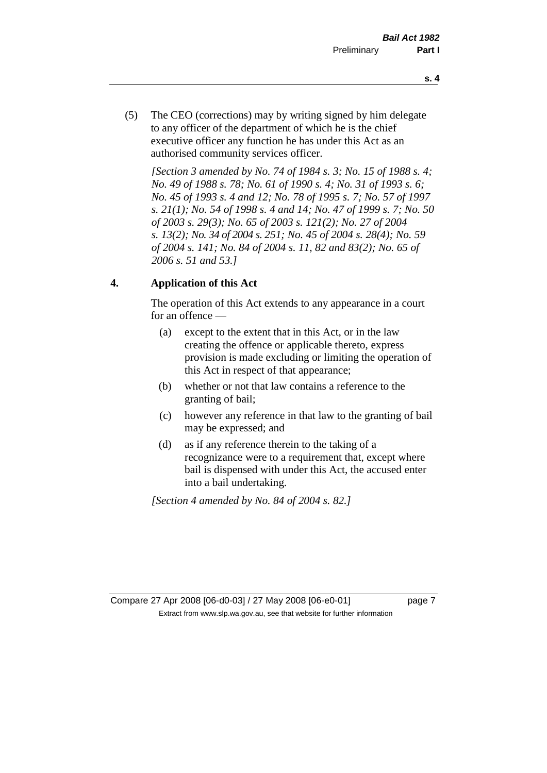- **s. 4**
- (5) The CEO (corrections) may by writing signed by him delegate to any officer of the department of which he is the chief executive officer any function he has under this Act as an authorised community services officer.

*[Section 3 amended by No. 74 of 1984 s. 3; No. 15 of 1988 s. 4; No. 49 of 1988 s. 78; No. 61 of 1990 s. 4; No. 31 of 1993 s. 6; No. 45 of 1993 s. 4 and 12; No. 78 of 1995 s. 7; No. 57 of 1997 s. 21(1); No. 54 of 1998 s. 4 and 14; No. 47 of 1999 s. 7; No. 50 of 2003 s. 29(3); No. 65 of 2003 s. 121(2); No. 27 of 2004 s. 13(2); No. 34 of 2004 s. 251; No. 45 of 2004 s. 28(4); No. 59 of 2004 s. 141; No. 84 of 2004 s. 11, 82 and 83(2); No. 65 of 2006 s. 51 and 53.]* 

# **4. Application of this Act**

The operation of this Act extends to any appearance in a court for an offence —

- (a) except to the extent that in this Act, or in the law creating the offence or applicable thereto, express provision is made excluding or limiting the operation of this Act in respect of that appearance;
- (b) whether or not that law contains a reference to the granting of bail;
- (c) however any reference in that law to the granting of bail may be expressed; and
- (d) as if any reference therein to the taking of a recognizance were to a requirement that, except where bail is dispensed with under this Act, the accused enter into a bail undertaking.

*[Section 4 amended by No. 84 of 2004 s. 82.]*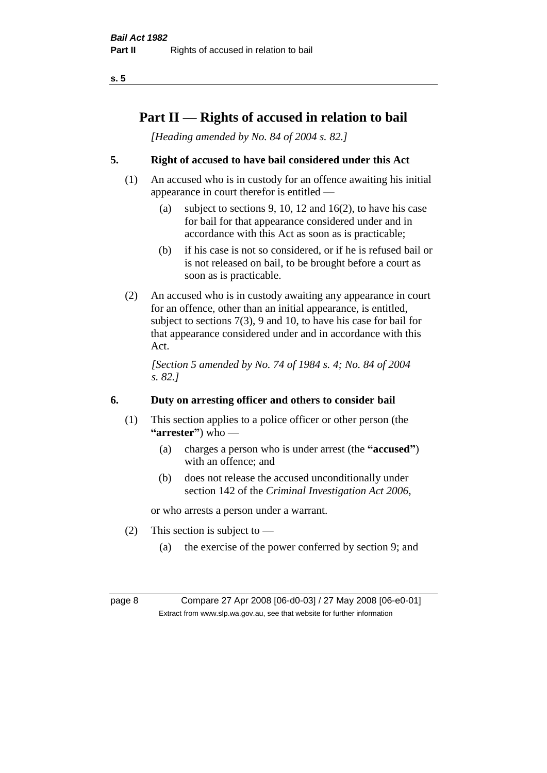# **Part II — Rights of accused in relation to bail**

*[Heading amended by No. 84 of 2004 s. 82.]* 

# **5. Right of accused to have bail considered under this Act**

- (1) An accused who is in custody for an offence awaiting his initial appearance in court therefor is entitled —
	- (a) subject to sections 9, 10, 12 and 16(2), to have his case for bail for that appearance considered under and in accordance with this Act as soon as is practicable;
	- (b) if his case is not so considered, or if he is refused bail or is not released on bail, to be brought before a court as soon as is practicable.
- (2) An accused who is in custody awaiting any appearance in court for an offence, other than an initial appearance, is entitled, subject to sections 7(3), 9 and 10, to have his case for bail for that appearance considered under and in accordance with this Act.

*[Section 5 amended by No. 74 of 1984 s. 4; No. 84 of 2004 s. 82.]* 

# **6. Duty on arresting officer and others to consider bail**

- (1) This section applies to a police officer or other person (the **"arrester"**) who —
	- (a) charges a person who is under arrest (the **"accused"**) with an offence; and
	- (b) does not release the accused unconditionally under section 142 of the *Criminal Investigation Act 2006*,

or who arrests a person under a warrant.

- (2) This section is subject to  $-$ 
	- (a) the exercise of the power conferred by section 9; and

page 8 Compare 27 Apr 2008 [06-d0-03] / 27 May 2008 [06-e0-01] Extract from www.slp.wa.gov.au, see that website for further information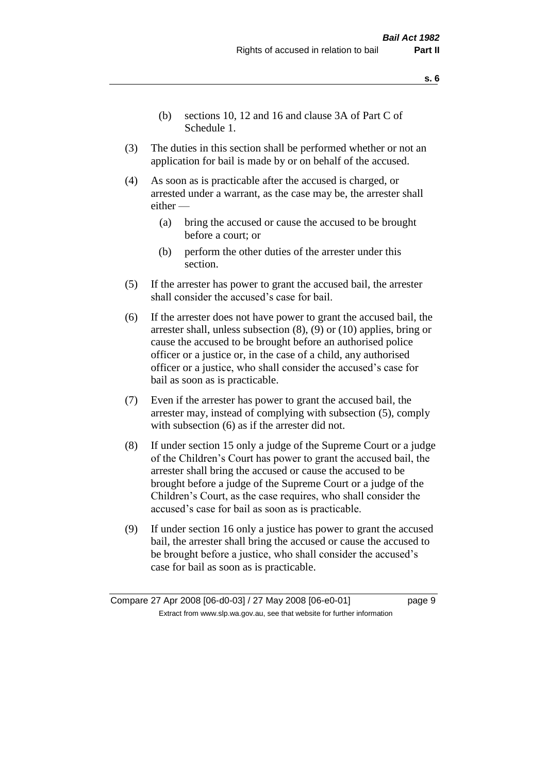- **s. 6**
- (b) sections 10, 12 and 16 and clause 3A of Part C of Schedule 1.
- (3) The duties in this section shall be performed whether or not an application for bail is made by or on behalf of the accused.
- (4) As soon as is practicable after the accused is charged, or arrested under a warrant, as the case may be, the arrester shall either —
	- (a) bring the accused or cause the accused to be brought before a court; or
	- (b) perform the other duties of the arrester under this section.
- (5) If the arrester has power to grant the accused bail, the arrester shall consider the accused's case for bail.
- (6) If the arrester does not have power to grant the accused bail, the arrester shall, unless subsection (8), (9) or (10) applies, bring or cause the accused to be brought before an authorised police officer or a justice or, in the case of a child, any authorised officer or a justice, who shall consider the accused's case for bail as soon as is practicable.
- (7) Even if the arrester has power to grant the accused bail, the arrester may, instead of complying with subsection (5), comply with subsection  $(6)$  as if the arrester did not.
- (8) If under section 15 only a judge of the Supreme Court or a judge of the Children's Court has power to grant the accused bail, the arrester shall bring the accused or cause the accused to be brought before a judge of the Supreme Court or a judge of the Children's Court, as the case requires, who shall consider the accused's case for bail as soon as is practicable.
- (9) If under section 16 only a justice has power to grant the accused bail, the arrester shall bring the accused or cause the accused to be brought before a justice, who shall consider the accused's case for bail as soon as is practicable.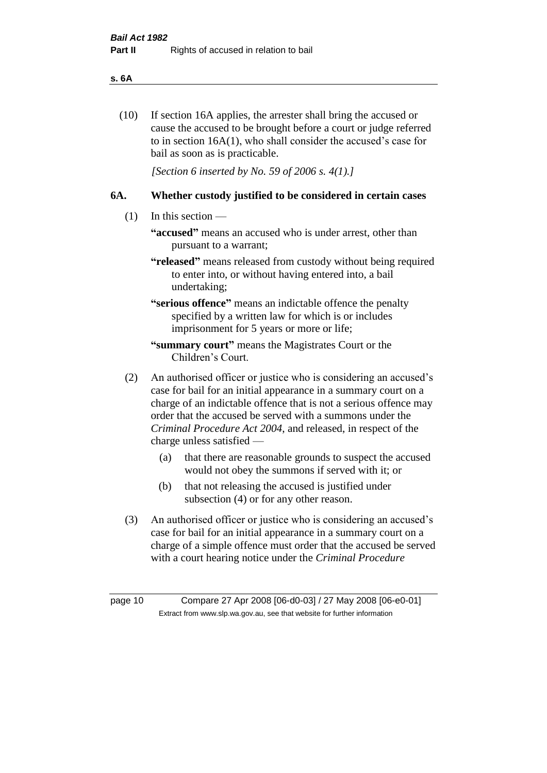#### **s. 6A**

(10) If section 16A applies, the arrester shall bring the accused or cause the accused to be brought before a court or judge referred to in section 16A(1), who shall consider the accused's case for bail as soon as is practicable.

*[Section 6 inserted by No. 59 of 2006 s. 4(1).]* 

#### **6A. Whether custody justified to be considered in certain cases**

- (1) In this section
	- **"accused"** means an accused who is under arrest, other than pursuant to a warrant;
	- **"released"** means released from custody without being required to enter into, or without having entered into, a bail undertaking;

**"serious offence"** means an indictable offence the penalty specified by a written law for which is or includes imprisonment for 5 years or more or life;

- **"summary court"** means the Magistrates Court or the Children's Court.
- (2) An authorised officer or justice who is considering an accused's case for bail for an initial appearance in a summary court on a charge of an indictable offence that is not a serious offence may order that the accused be served with a summons under the *Criminal Procedure Act 2004*, and released, in respect of the charge unless satisfied —
	- (a) that there are reasonable grounds to suspect the accused would not obey the summons if served with it; or
	- (b) that not releasing the accused is justified under subsection (4) or for any other reason.
- (3) An authorised officer or justice who is considering an accused's case for bail for an initial appearance in a summary court on a charge of a simple offence must order that the accused be served with a court hearing notice under the *Criminal Procedure*

page 10 Compare 27 Apr 2008 [06-d0-03] / 27 May 2008 [06-e0-01] Extract from www.slp.wa.gov.au, see that website for further information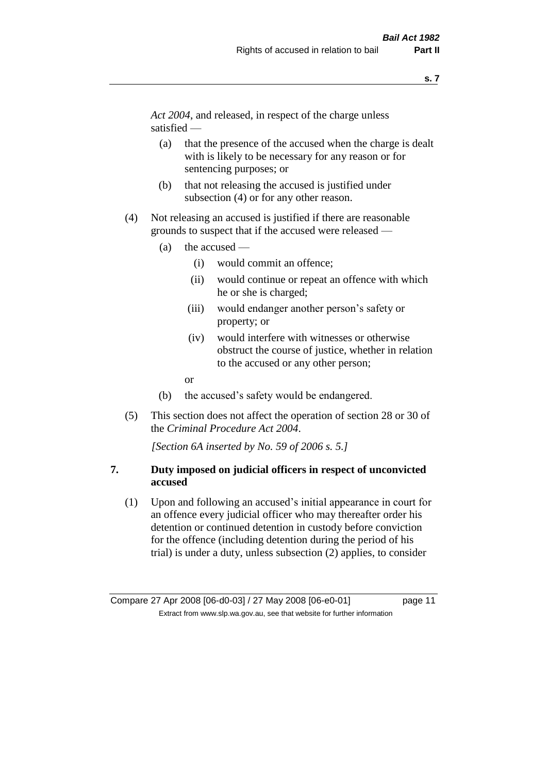*Act 2004*, and released, in respect of the charge unless satisfied —

- (a) that the presence of the accused when the charge is dealt with is likely to be necessary for any reason or for sentencing purposes; or
- (b) that not releasing the accused is justified under subsection (4) or for any other reason.
- (4) Not releasing an accused is justified if there are reasonable grounds to suspect that if the accused were released —
	- (a) the accused
		- (i) would commit an offence;
		- (ii) would continue or repeat an offence with which he or she is charged;
		- (iii) would endanger another person's safety or property; or
		- (iv) would interfere with witnesses or otherwise obstruct the course of justice, whether in relation to the accused or any other person;
		- or
	- (b) the accused's safety would be endangered.
- (5) This section does not affect the operation of section 28 or 30 of the *Criminal Procedure Act 2004*.

*[Section 6A inserted by No. 59 of 2006 s. 5.]* 

#### **7. Duty imposed on judicial officers in respect of unconvicted accused**

(1) Upon and following an accused's initial appearance in court for an offence every judicial officer who may thereafter order his detention or continued detention in custody before conviction for the offence (including detention during the period of his trial) is under a duty, unless subsection (2) applies, to consider

Compare 27 Apr 2008 [06-d0-03] / 27 May 2008 [06-e0-01] page 11 Extract from www.slp.wa.gov.au, see that website for further information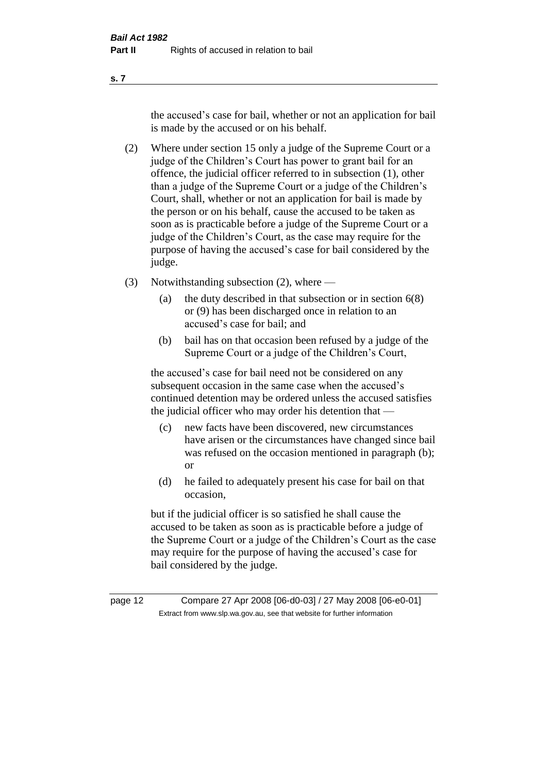the accused's case for bail, whether or not an application for bail is made by the accused or on his behalf.

- (2) Where under section 15 only a judge of the Supreme Court or a judge of the Children's Court has power to grant bail for an offence, the judicial officer referred to in subsection (1), other than a judge of the Supreme Court or a judge of the Children's Court, shall, whether or not an application for bail is made by the person or on his behalf, cause the accused to be taken as soon as is practicable before a judge of the Supreme Court or a judge of the Children's Court, as the case may require for the purpose of having the accused's case for bail considered by the judge.
- (3) Notwithstanding subsection (2), where
	- (a) the duty described in that subsection or in section 6(8) or (9) has been discharged once in relation to an accused's case for bail; and
	- (b) bail has on that occasion been refused by a judge of the Supreme Court or a judge of the Children's Court,

the accused's case for bail need not be considered on any subsequent occasion in the same case when the accused's continued detention may be ordered unless the accused satisfies the judicial officer who may order his detention that —

- (c) new facts have been discovered, new circumstances have arisen or the circumstances have changed since bail was refused on the occasion mentioned in paragraph (b); or
- (d) he failed to adequately present his case for bail on that occasion,

but if the judicial officer is so satisfied he shall cause the accused to be taken as soon as is practicable before a judge of the Supreme Court or a judge of the Children's Court as the case may require for the purpose of having the accused's case for bail considered by the judge.

page 12 Compare 27 Apr 2008 [06-d0-03] / 27 May 2008 [06-e0-01] Extract from www.slp.wa.gov.au, see that website for further information

**s. 7**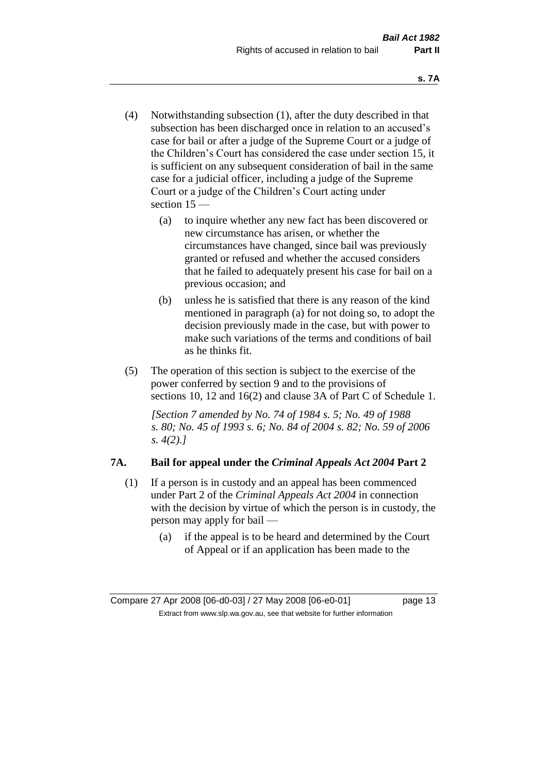- (4) Notwithstanding subsection (1), after the duty described in that subsection has been discharged once in relation to an accused's case for bail or after a judge of the Supreme Court or a judge of the Children's Court has considered the case under section 15, it is sufficient on any subsequent consideration of bail in the same case for a judicial officer, including a judge of the Supreme Court or a judge of the Children's Court acting under section 15 —
	- (a) to inquire whether any new fact has been discovered or new circumstance has arisen, or whether the circumstances have changed, since bail was previously granted or refused and whether the accused considers that he failed to adequately present his case for bail on a previous occasion; and
	- (b) unless he is satisfied that there is any reason of the kind mentioned in paragraph (a) for not doing so, to adopt the decision previously made in the case, but with power to make such variations of the terms and conditions of bail as he thinks fit.
- (5) The operation of this section is subject to the exercise of the power conferred by section 9 and to the provisions of sections 10, 12 and 16(2) and clause 3A of Part C of Schedule 1.

*[Section 7 amended by No. 74 of 1984 s. 5; No. 49 of 1988 s. 80; No. 45 of 1993 s. 6; No. 84 of 2004 s. 82; No. 59 of 2006 s. 4(2).]* 

# **7A. Bail for appeal under the** *Criminal Appeals Act 2004* **Part 2**

- (1) If a person is in custody and an appeal has been commenced under Part 2 of the *Criminal Appeals Act 2004* in connection with the decision by virtue of which the person is in custody, the person may apply for bail —
	- (a) if the appeal is to be heard and determined by the Court of Appeal or if an application has been made to the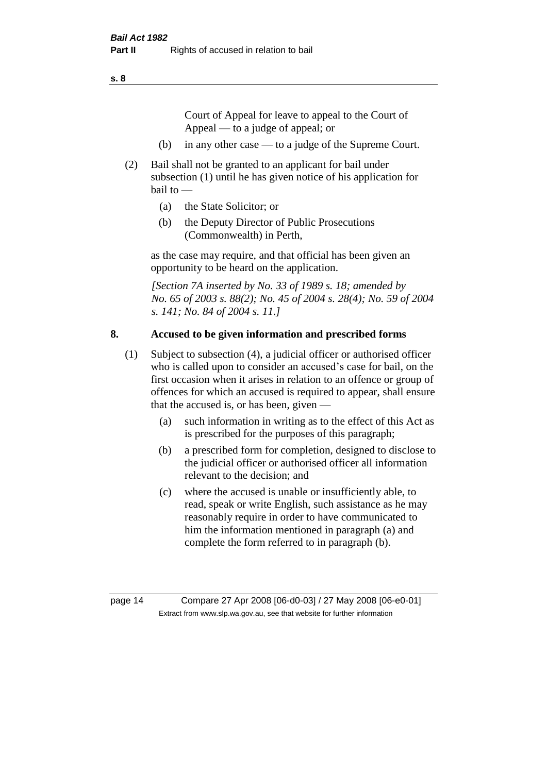Court of Appeal for leave to appeal to the Court of Appeal — to a judge of appeal; or

- (b) in any other case to a judge of the Supreme Court.
- (2) Bail shall not be granted to an applicant for bail under subsection (1) until he has given notice of his application for bail to —
	- (a) the State Solicitor; or
	- (b) the Deputy Director of Public Prosecutions (Commonwealth) in Perth,

as the case may require, and that official has been given an opportunity to be heard on the application.

*[Section 7A inserted by No. 33 of 1989 s. 18; amended by No. 65 of 2003 s. 88(2); No. 45 of 2004 s. 28(4); No. 59 of 2004 s. 141; No. 84 of 2004 s. 11.]* 

#### **8. Accused to be given information and prescribed forms**

- (1) Subject to subsection (4), a judicial officer or authorised officer who is called upon to consider an accused's case for bail, on the first occasion when it arises in relation to an offence or group of offences for which an accused is required to appear, shall ensure that the accused is, or has been, given —
	- (a) such information in writing as to the effect of this Act as is prescribed for the purposes of this paragraph;
	- (b) a prescribed form for completion, designed to disclose to the judicial officer or authorised officer all information relevant to the decision; and
	- (c) where the accused is unable or insufficiently able, to read, speak or write English, such assistance as he may reasonably require in order to have communicated to him the information mentioned in paragraph (a) and complete the form referred to in paragraph (b).

page 14 Compare 27 Apr 2008 [06-d0-03] / 27 May 2008 [06-e0-01] Extract from www.slp.wa.gov.au, see that website for further information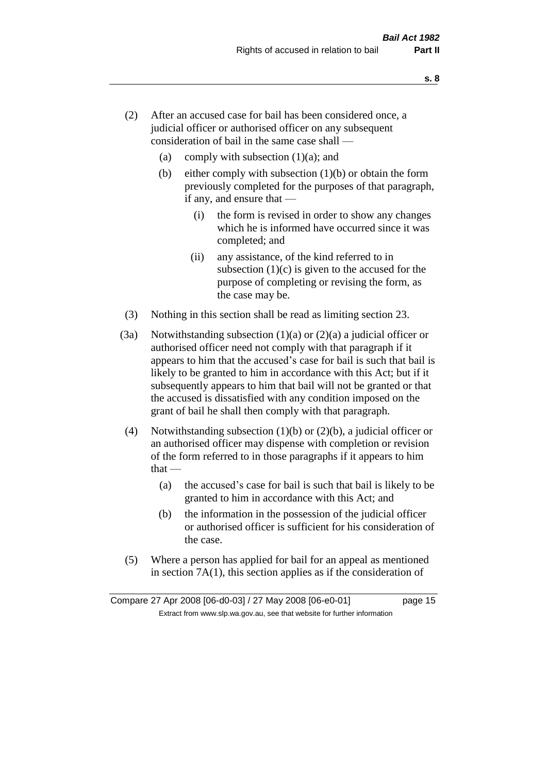- (2) After an accused case for bail has been considered once, a judicial officer or authorised officer on any subsequent consideration of bail in the same case shall —
	- (a) comply with subsection  $(1)(a)$ ; and
	- (b) either comply with subsection  $(1)(b)$  or obtain the form previously completed for the purposes of that paragraph, if any, and ensure that —
		- (i) the form is revised in order to show any changes which he is informed have occurred since it was completed; and
		- (ii) any assistance, of the kind referred to in subsection  $(1)(c)$  is given to the accused for the purpose of completing or revising the form, as the case may be.
- (3) Nothing in this section shall be read as limiting section 23.
- (3a) Notwithstanding subsection  $(1)(a)$  or  $(2)(a)$  a judicial officer or authorised officer need not comply with that paragraph if it appears to him that the accused's case for bail is such that bail is likely to be granted to him in accordance with this Act; but if it subsequently appears to him that bail will not be granted or that the accused is dissatisfied with any condition imposed on the grant of bail he shall then comply with that paragraph.
- (4) Notwithstanding subsection (1)(b) or (2)(b), a judicial officer or an authorised officer may dispense with completion or revision of the form referred to in those paragraphs if it appears to him  $that -$ 
	- (a) the accused's case for bail is such that bail is likely to be granted to him in accordance with this Act; and
	- (b) the information in the possession of the judicial officer or authorised officer is sufficient for his consideration of the case.
- (5) Where a person has applied for bail for an appeal as mentioned in section 7A(1), this section applies as if the consideration of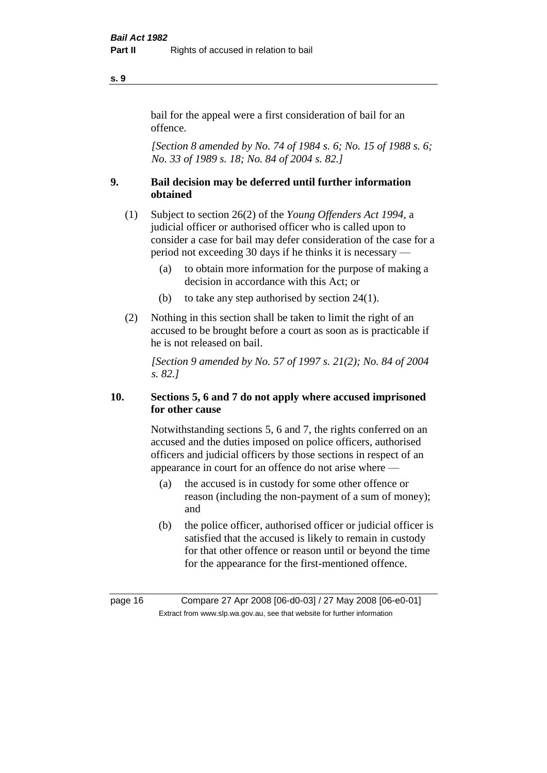#### bail for the appeal were a first consideration of bail for an offence.

*[Section 8 amended by No. 74 of 1984 s. 6; No. 15 of 1988 s. 6; No. 33 of 1989 s. 18; No. 84 of 2004 s. 82.]* 

# **9. Bail decision may be deferred until further information obtained**

- (1) Subject to section 26(2) of the *Young Offenders Act 1994*, a judicial officer or authorised officer who is called upon to consider a case for bail may defer consideration of the case for a period not exceeding 30 days if he thinks it is necessary —
	- (a) to obtain more information for the purpose of making a decision in accordance with this Act; or
	- (b) to take any step authorised by section 24(1).
- (2) Nothing in this section shall be taken to limit the right of an accused to be brought before a court as soon as is practicable if he is not released on bail.

*[Section 9 amended by No. 57 of 1997 s. 21(2); No. 84 of 2004 s. 82.]*

# **10. Sections 5, 6 and 7 do not apply where accused imprisoned for other cause**

Notwithstanding sections 5, 6 and 7, the rights conferred on an accused and the duties imposed on police officers, authorised officers and judicial officers by those sections in respect of an appearance in court for an offence do not arise where —

- (a) the accused is in custody for some other offence or reason (including the non-payment of a sum of money); and
- (b) the police officer, authorised officer or judicial officer is satisfied that the accused is likely to remain in custody for that other offence or reason until or beyond the time for the appearance for the first-mentioned offence.

**s. 9**

page 16 Compare 27 Apr 2008 [06-d0-03] / 27 May 2008 [06-e0-01] Extract from www.slp.wa.gov.au, see that website for further information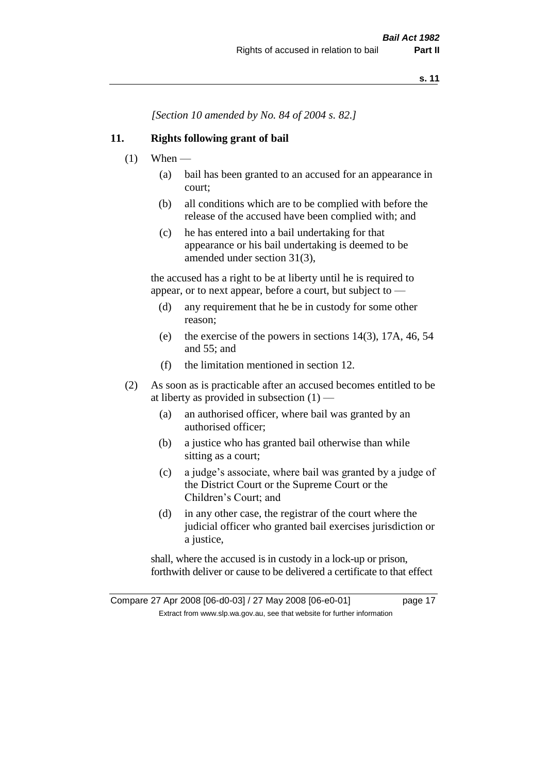*[Section 10 amended by No. 84 of 2004 s. 82.]*

#### **11. Rights following grant of bail**

- $(1)$  When
	- (a) bail has been granted to an accused for an appearance in court;
	- (b) all conditions which are to be complied with before the release of the accused have been complied with; and
	- (c) he has entered into a bail undertaking for that appearance or his bail undertaking is deemed to be amended under section 31(3),

the accused has a right to be at liberty until he is required to appear, or to next appear, before a court, but subject to —

- (d) any requirement that he be in custody for some other reason;
- (e) the exercise of the powers in sections 14(3), 17A, 46, 54 and 55; and
- (f) the limitation mentioned in section 12.
- (2) As soon as is practicable after an accused becomes entitled to be at liberty as provided in subsection  $(1)$  —
	- (a) an authorised officer, where bail was granted by an authorised officer;
	- (b) a justice who has granted bail otherwise than while sitting as a court;
	- (c) a judge's associate, where bail was granted by a judge of the District Court or the Supreme Court or the Children's Court; and
	- (d) in any other case, the registrar of the court where the judicial officer who granted bail exercises jurisdiction or a justice,

shall, where the accused is in custody in a lock-up or prison, forthwith deliver or cause to be delivered a certificate to that effect

Compare 27 Apr 2008 [06-d0-03] / 27 May 2008 [06-e0-01] page 17 Extract from www.slp.wa.gov.au, see that website for further information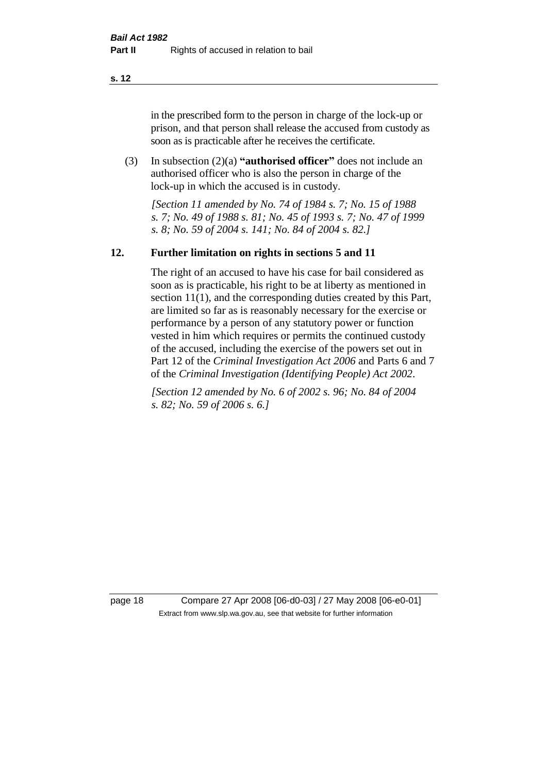in the prescribed form to the person in charge of the lock-up or prison, and that person shall release the accused from custody as soon as is practicable after he receives the certificate.

(3) In subsection (2)(a) **"authorised officer"** does not include an authorised officer who is also the person in charge of the lock-up in which the accused is in custody.

*[Section 11 amended by No. 74 of 1984 s. 7; No. 15 of 1988 s. 7; No. 49 of 1988 s. 81; No. 45 of 1993 s. 7; No. 47 of 1999 s. 8; No. 59 of 2004 s. 141; No. 84 of 2004 s. 82.]* 

#### **12. Further limitation on rights in sections 5 and 11**

The right of an accused to have his case for bail considered as soon as is practicable, his right to be at liberty as mentioned in section 11(1), and the corresponding duties created by this Part, are limited so far as is reasonably necessary for the exercise or performance by a person of any statutory power or function vested in him which requires or permits the continued custody of the accused, including the exercise of the powers set out in Part 12 of the *Criminal Investigation Act 2006* and Parts 6 and 7 of the *Criminal Investigation (Identifying People) Act 2002*.

*[Section 12 amended by No. 6 of 2002 s. 96; No. 84 of 2004 s. 82; No. 59 of 2006 s. 6.]*

page 18 Compare 27 Apr 2008 [06-d0-03] / 27 May 2008 [06-e0-01] Extract from www.slp.wa.gov.au, see that website for further information

**s. 12**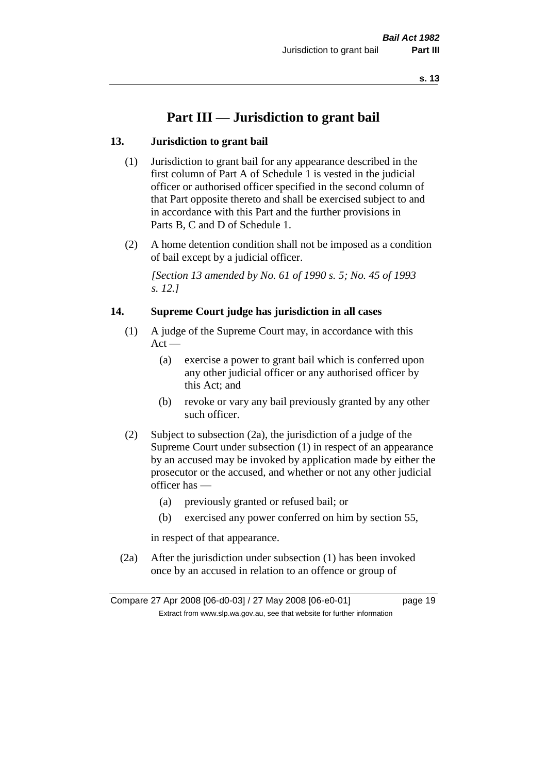# **Part III — Jurisdiction to grant bail**

#### **13. Jurisdiction to grant bail**

- (1) Jurisdiction to grant bail for any appearance described in the first column of Part A of Schedule 1 is vested in the judicial officer or authorised officer specified in the second column of that Part opposite thereto and shall be exercised subject to and in accordance with this Part and the further provisions in Parts B, C and D of Schedule 1.
- (2) A home detention condition shall not be imposed as a condition of bail except by a judicial officer.

*[Section 13 amended by No. 61 of 1990 s. 5; No. 45 of 1993 s. 12.]* 

#### **14. Supreme Court judge has jurisdiction in all cases**

- (1) A judge of the Supreme Court may, in accordance with this  $Act -$ 
	- (a) exercise a power to grant bail which is conferred upon any other judicial officer or any authorised officer by this Act; and
	- (b) revoke or vary any bail previously granted by any other such officer.
- (2) Subject to subsection (2a), the jurisdiction of a judge of the Supreme Court under subsection (1) in respect of an appearance by an accused may be invoked by application made by either the prosecutor or the accused, and whether or not any other judicial officer has —
	- (a) previously granted or refused bail; or
	- (b) exercised any power conferred on him by section 55,

in respect of that appearance.

(2a) After the jurisdiction under subsection (1) has been invoked once by an accused in relation to an offence or group of

Compare 27 Apr 2008 [06-d0-03] / 27 May 2008 [06-e0-01] page 19 Extract from www.slp.wa.gov.au, see that website for further information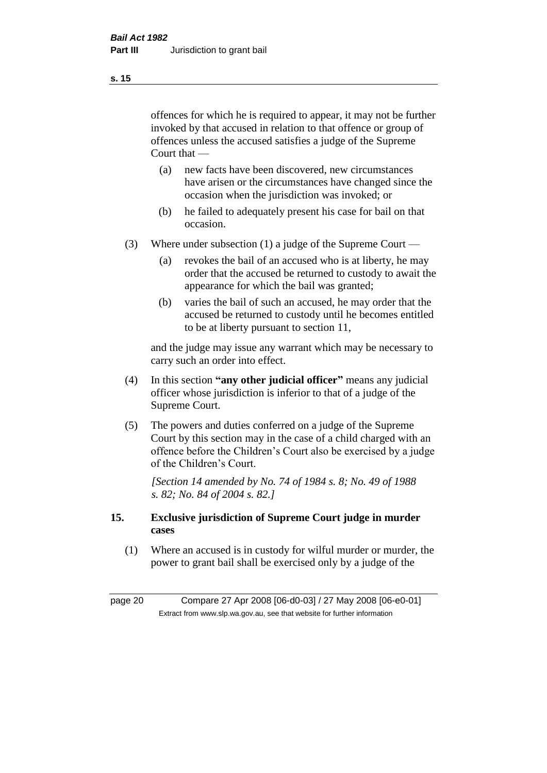offences for which he is required to appear, it may not be further invoked by that accused in relation to that offence or group of offences unless the accused satisfies a judge of the Supreme Court that —

- (a) new facts have been discovered, new circumstances have arisen or the circumstances have changed since the occasion when the jurisdiction was invoked; or
- (b) he failed to adequately present his case for bail on that occasion.
- (3) Where under subsection (1) a judge of the Supreme Court
	- (a) revokes the bail of an accused who is at liberty, he may order that the accused be returned to custody to await the appearance for which the bail was granted;
	- (b) varies the bail of such an accused, he may order that the accused be returned to custody until he becomes entitled to be at liberty pursuant to section 11,

and the judge may issue any warrant which may be necessary to carry such an order into effect.

- (4) In this section **"any other judicial officer"** means any judicial officer whose jurisdiction is inferior to that of a judge of the Supreme Court.
- (5) The powers and duties conferred on a judge of the Supreme Court by this section may in the case of a child charged with an offence before the Children's Court also be exercised by a judge of the Children's Court.

*[Section 14 amended by No. 74 of 1984 s. 8; No. 49 of 1988 s. 82; No. 84 of 2004 s. 82.]* 

#### **15. Exclusive jurisdiction of Supreme Court judge in murder cases**

(1) Where an accused is in custody for wilful murder or murder, the power to grant bail shall be exercised only by a judge of the

page 20 Compare 27 Apr 2008 [06-d0-03] / 27 May 2008 [06-e0-01] Extract from www.slp.wa.gov.au, see that website for further information

**s. 15**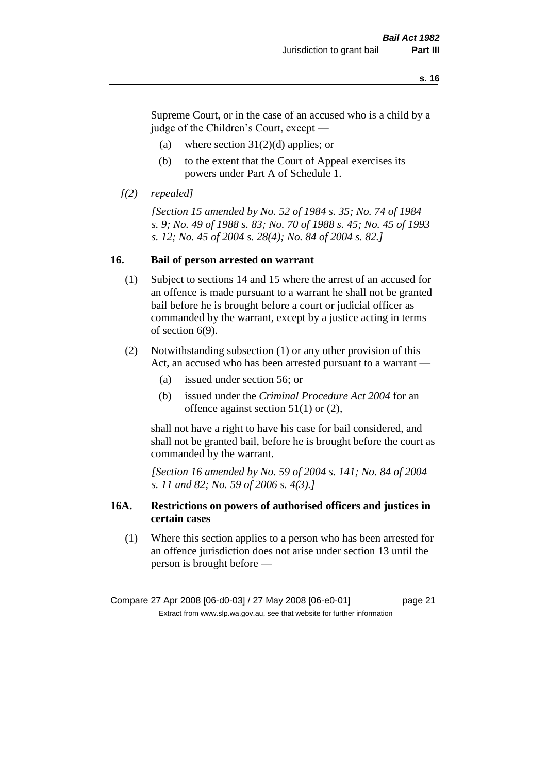Supreme Court, or in the case of an accused who is a child by a judge of the Children's Court, except —

- (a) where section  $31(2)(d)$  applies; or
- (b) to the extent that the Court of Appeal exercises its powers under Part A of Schedule 1.
- *[(2) repealed]*

*[Section 15 amended by No. 52 of 1984 s. 35; No. 74 of 1984 s. 9; No. 49 of 1988 s. 83; No. 70 of 1988 s. 45; No. 45 of 1993 s. 12; No. 45 of 2004 s. 28(4); No. 84 of 2004 s. 82.]* 

#### **16. Bail of person arrested on warrant**

- (1) Subject to sections 14 and 15 where the arrest of an accused for an offence is made pursuant to a warrant he shall not be granted bail before he is brought before a court or judicial officer as commanded by the warrant, except by a justice acting in terms of section 6(9).
- (2) Notwithstanding subsection (1) or any other provision of this Act, an accused who has been arrested pursuant to a warrant —
	- (a) issued under section 56; or
	- (b) issued under the *Criminal Procedure Act 2004* for an offence against section 51(1) or (2),

shall not have a right to have his case for bail considered, and shall not be granted bail, before he is brought before the court as commanded by the warrant.

*[Section 16 amended by No. 59 of 2004 s. 141; No. 84 of 2004 s. 11 and 82; No. 59 of 2006 s. 4(3).]*

#### **16A. Restrictions on powers of authorised officers and justices in certain cases**

(1) Where this section applies to a person who has been arrested for an offence jurisdiction does not arise under section 13 until the person is brought before —

Compare 27 Apr 2008 [06-d0-03] / 27 May 2008 [06-e0-01] page 21 Extract from www.slp.wa.gov.au, see that website for further information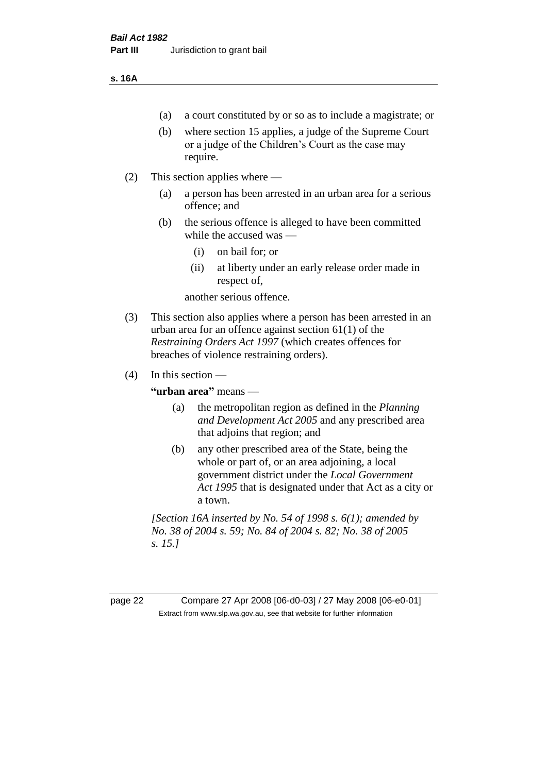#### **s. 16A**

- (a) a court constituted by or so as to include a magistrate; or
- (b) where section 15 applies, a judge of the Supreme Court or a judge of the Children's Court as the case may require.
- (2) This section applies where
	- (a) a person has been arrested in an urban area for a serious offence; and
	- (b) the serious offence is alleged to have been committed while the accused was —
		- (i) on bail for; or
		- (ii) at liberty under an early release order made in respect of,

another serious offence.

- (3) This section also applies where a person has been arrested in an urban area for an offence against section 61(1) of the *Restraining Orders Act 1997* (which creates offences for breaches of violence restraining orders).
- $(4)$  In this section —

**"urban area"** means —

- (a) the metropolitan region as defined in the *Planning and Development Act 2005* and any prescribed area that adjoins that region; and
- (b) any other prescribed area of the State, being the whole or part of, or an area adjoining, a local government district under the *Local Government Act 1995* that is designated under that Act as a city or a town.

*[Section 16A inserted by No. 54 of 1998 s. 6(1); amended by No. 38 of 2004 s. 59; No. 84 of 2004 s. 82; No. 38 of 2005 s. 15.]*

page 22 Compare 27 Apr 2008 [06-d0-03] / 27 May 2008 [06-e0-01] Extract from www.slp.wa.gov.au, see that website for further information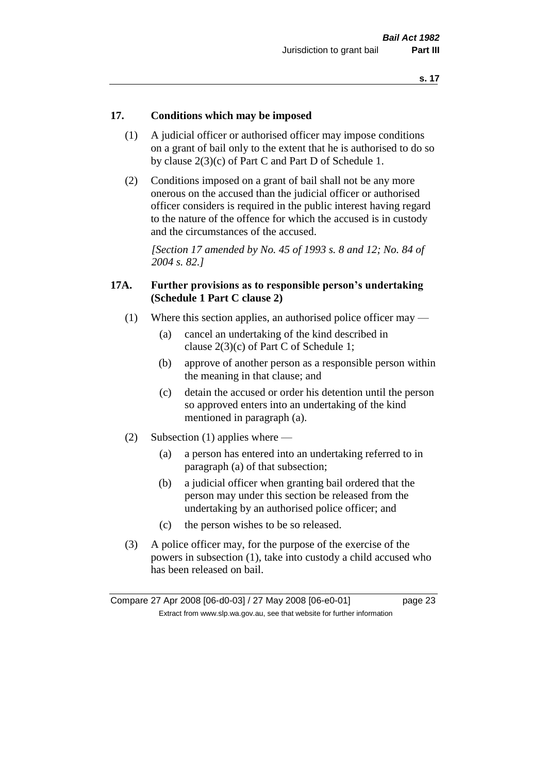#### **17. Conditions which may be imposed**

- (1) A judicial officer or authorised officer may impose conditions on a grant of bail only to the extent that he is authorised to do so by clause 2(3)(c) of Part C and Part D of Schedule 1.
- (2) Conditions imposed on a grant of bail shall not be any more onerous on the accused than the judicial officer or authorised officer considers is required in the public interest having regard to the nature of the offence for which the accused is in custody and the circumstances of the accused.

*[Section 17 amended by No. 45 of 1993 s. 8 and 12; No. 84 of 2004 s. 82.]* 

#### **17A. Further provisions as to responsible person's undertaking (Schedule 1 Part C clause 2)**

- (1) Where this section applies, an authorised police officer may
	- (a) cancel an undertaking of the kind described in clause 2(3)(c) of Part C of Schedule 1;
	- (b) approve of another person as a responsible person within the meaning in that clause; and
	- (c) detain the accused or order his detention until the person so approved enters into an undertaking of the kind mentioned in paragraph (a).
- (2) Subsection (1) applies where
	- (a) a person has entered into an undertaking referred to in paragraph (a) of that subsection;
	- (b) a judicial officer when granting bail ordered that the person may under this section be released from the undertaking by an authorised police officer; and
	- (c) the person wishes to be so released.
- (3) A police officer may, for the purpose of the exercise of the powers in subsection (1), take into custody a child accused who has been released on bail.

Compare 27 Apr 2008 [06-d0-03] / 27 May 2008 [06-e0-01] page 23 Extract from www.slp.wa.gov.au, see that website for further information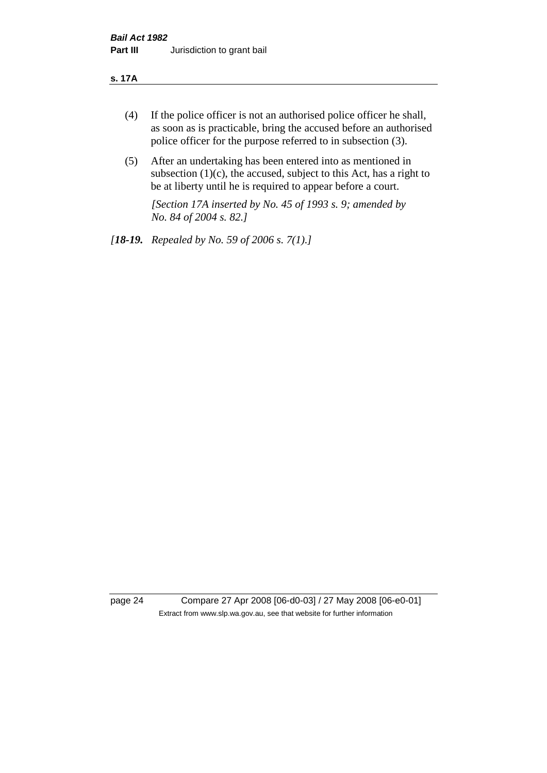#### **s. 17A**

- (4) If the police officer is not an authorised police officer he shall, as soon as is practicable, bring the accused before an authorised police officer for the purpose referred to in subsection (3).
- (5) After an undertaking has been entered into as mentioned in subsection  $(1)(c)$ , the accused, subject to this Act, has a right to be at liberty until he is required to appear before a court.

*[Section 17A inserted by No. 45 of 1993 s. 9; amended by No. 84 of 2004 s. 82.]* 

*[18-19. Repealed by No. 59 of 2006 s. 7(1).]*

page 24 Compare 27 Apr 2008 [06-d0-03] / 27 May 2008 [06-e0-01] Extract from www.slp.wa.gov.au, see that website for further information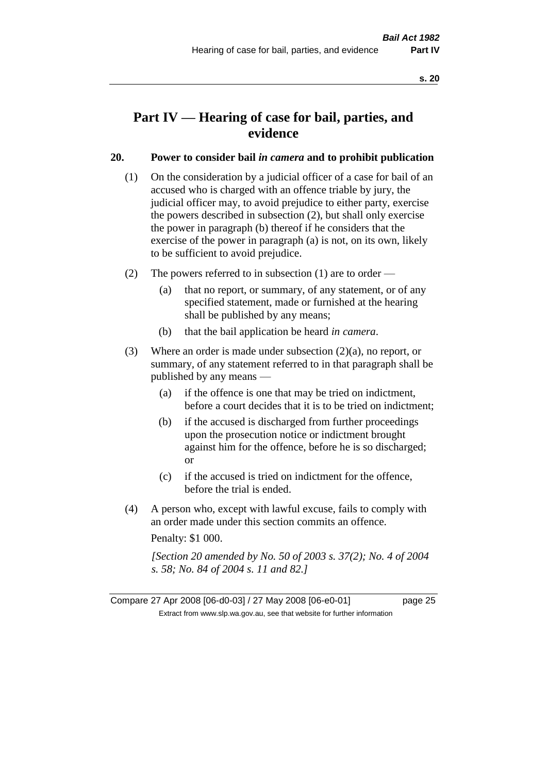# **Part IV — Hearing of case for bail, parties, and evidence**

#### **20. Power to consider bail** *in camera* **and to prohibit publication**

- (1) On the consideration by a judicial officer of a case for bail of an accused who is charged with an offence triable by jury, the judicial officer may, to avoid prejudice to either party, exercise the powers described in subsection (2), but shall only exercise the power in paragraph (b) thereof if he considers that the exercise of the power in paragraph (a) is not, on its own, likely to be sufficient to avoid prejudice.
- (2) The powers referred to in subsection (1) are to order
	- (a) that no report, or summary, of any statement, or of any specified statement, made or furnished at the hearing shall be published by any means;
	- (b) that the bail application be heard *in camera*.
- (3) Where an order is made under subsection (2)(a), no report, or summary, of any statement referred to in that paragraph shall be published by any means —
	- (a) if the offence is one that may be tried on indictment, before a court decides that it is to be tried on indictment;
	- (b) if the accused is discharged from further proceedings upon the prosecution notice or indictment brought against him for the offence, before he is so discharged; or
	- (c) if the accused is tried on indictment for the offence, before the trial is ended.
- (4) A person who, except with lawful excuse, fails to comply with an order made under this section commits an offence.

Penalty: \$1 000.

*[Section 20 amended by No. 50 of 2003 s. 37(2); No. 4 of 2004 s. 58; No. 84 of 2004 s. 11 and 82.]*

Compare 27 Apr 2008 [06-d0-03] / 27 May 2008 [06-e0-01] page 25 Extract from www.slp.wa.gov.au, see that website for further information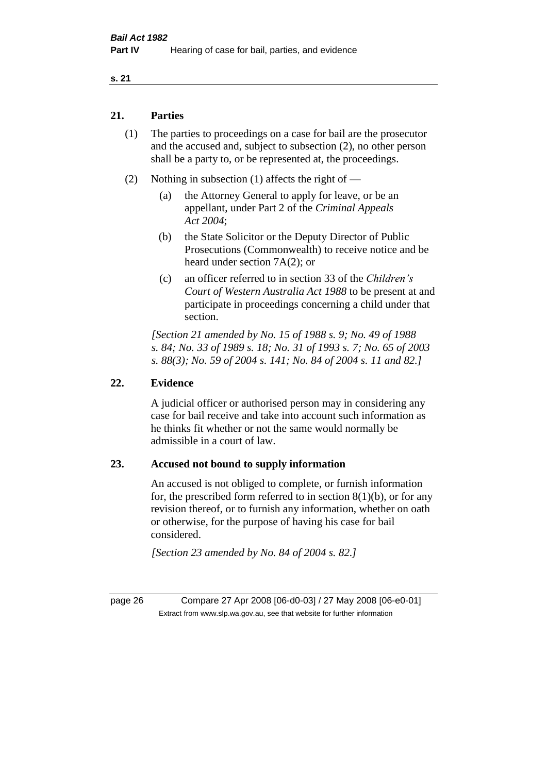#### **21. Parties**

- (1) The parties to proceedings on a case for bail are the prosecutor and the accused and, subject to subsection (2), no other person shall be a party to, or be represented at, the proceedings.
- (2) Nothing in subsection (1) affects the right of
	- (a) the Attorney General to apply for leave, or be an appellant, under Part 2 of the *Criminal Appeals Act 2004*;
	- (b) the State Solicitor or the Deputy Director of Public Prosecutions (Commonwealth) to receive notice and be heard under section 7A(2); or
	- (c) an officer referred to in section 33 of the *Children's Court of Western Australia Act 1988* to be present at and participate in proceedings concerning a child under that section.

*[Section 21 amended by No. 15 of 1988 s. 9; No. 49 of 1988 s. 84; No. 33 of 1989 s. 18; No. 31 of 1993 s. 7; No. 65 of 2003 s. 88(3); No. 59 of 2004 s. 141; No. 84 of 2004 s. 11 and 82.]* 

#### **22. Evidence**

A judicial officer or authorised person may in considering any case for bail receive and take into account such information as he thinks fit whether or not the same would normally be admissible in a court of law.

#### **23. Accused not bound to supply information**

An accused is not obliged to complete, or furnish information for, the prescribed form referred to in section  $8(1)(b)$ , or for any revision thereof, or to furnish any information, whether on oath or otherwise, for the purpose of having his case for bail considered.

*[Section 23 amended by No. 84 of 2004 s. 82.]* 

page 26 Compare 27 Apr 2008 [06-d0-03] / 27 May 2008 [06-e0-01] Extract from www.slp.wa.gov.au, see that website for further information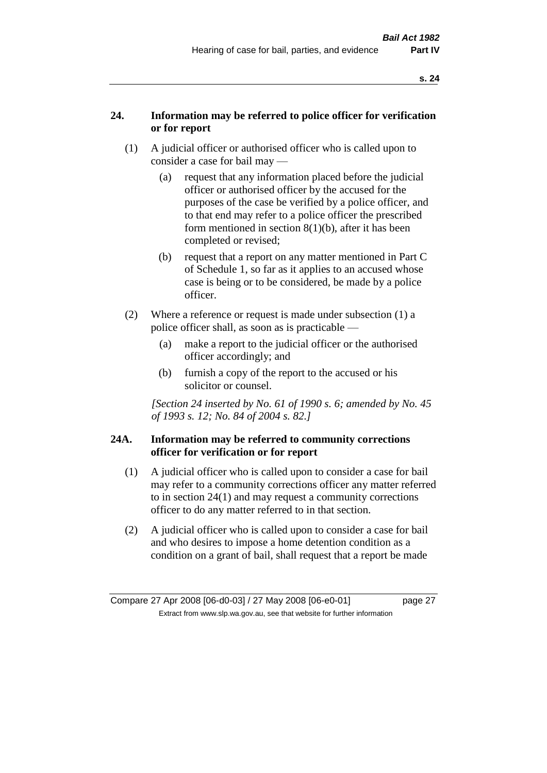### **24. Information may be referred to police officer for verification or for report**

- (1) A judicial officer or authorised officer who is called upon to consider a case for bail may —
	- (a) request that any information placed before the judicial officer or authorised officer by the accused for the purposes of the case be verified by a police officer, and to that end may refer to a police officer the prescribed form mentioned in section 8(1)(b), after it has been completed or revised;
	- (b) request that a report on any matter mentioned in Part C of Schedule 1, so far as it applies to an accused whose case is being or to be considered, be made by a police officer.
- (2) Where a reference or request is made under subsection (1) a police officer shall, as soon as is practicable —
	- (a) make a report to the judicial officer or the authorised officer accordingly; and
	- (b) furnish a copy of the report to the accused or his solicitor or counsel.

*[Section 24 inserted by No. 61 of 1990 s. 6; amended by No. 45 of 1993 s. 12; No. 84 of 2004 s. 82.]* 

#### **24A. Information may be referred to community corrections officer for verification or for report**

- (1) A judicial officer who is called upon to consider a case for bail may refer to a community corrections officer any matter referred to in section 24(1) and may request a community corrections officer to do any matter referred to in that section.
- (2) A judicial officer who is called upon to consider a case for bail and who desires to impose a home detention condition as a condition on a grant of bail, shall request that a report be made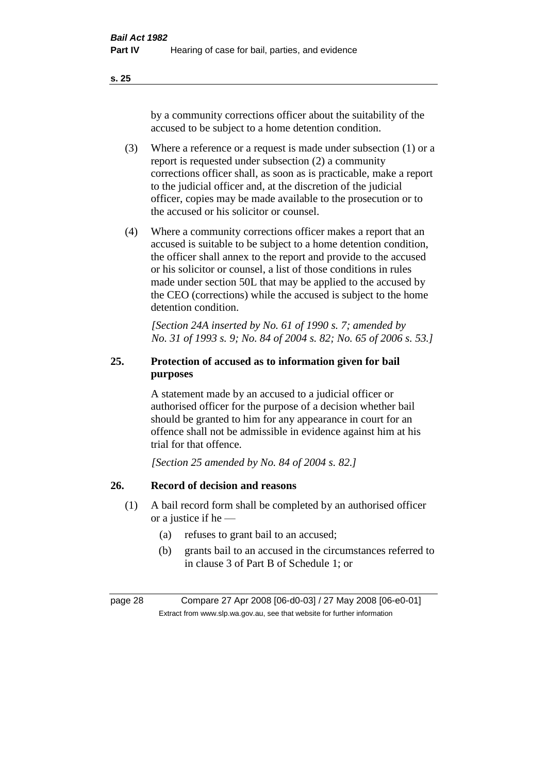by a community corrections officer about the suitability of the accused to be subject to a home detention condition.

- (3) Where a reference or a request is made under subsection (1) or a report is requested under subsection (2) a community corrections officer shall, as soon as is practicable, make a report to the judicial officer and, at the discretion of the judicial officer, copies may be made available to the prosecution or to the accused or his solicitor or counsel.
- (4) Where a community corrections officer makes a report that an accused is suitable to be subject to a home detention condition, the officer shall annex to the report and provide to the accused or his solicitor or counsel, a list of those conditions in rules made under section 50L that may be applied to the accused by the CEO (corrections) while the accused is subject to the home detention condition.

*[Section 24A inserted by No. 61 of 1990 s. 7; amended by No. 31 of 1993 s. 9; No. 84 of 2004 s. 82; No. 65 of 2006 s. 53.]* 

# **25. Protection of accused as to information given for bail purposes**

A statement made by an accused to a judicial officer or authorised officer for the purpose of a decision whether bail should be granted to him for any appearance in court for an offence shall not be admissible in evidence against him at his trial for that offence.

*[Section 25 amended by No. 84 of 2004 s. 82.]* 

# **26. Record of decision and reasons**

- (1) A bail record form shall be completed by an authorised officer or a justice if he —
	- (a) refuses to grant bail to an accused;
	- (b) grants bail to an accused in the circumstances referred to in clause 3 of Part B of Schedule 1; or

page 28 Compare 27 Apr 2008 [06-d0-03] / 27 May 2008 [06-e0-01] Extract from www.slp.wa.gov.au, see that website for further information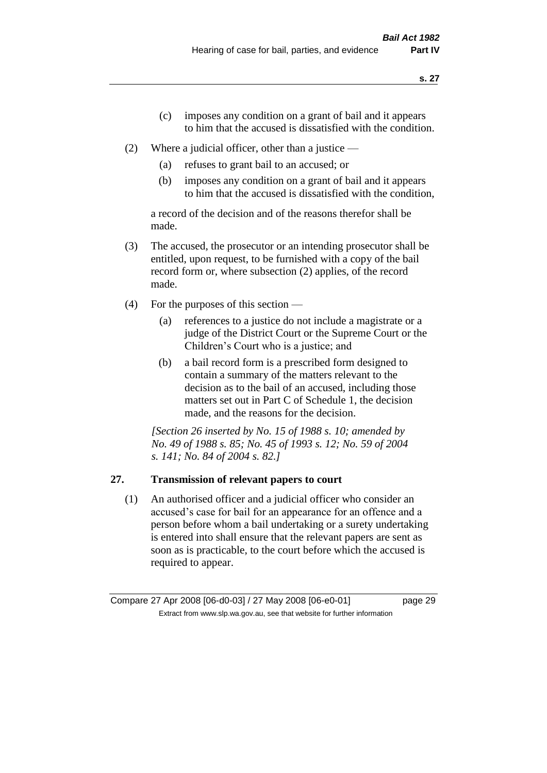- (c) imposes any condition on a grant of bail and it appears to him that the accused is dissatisfied with the condition.
- (2) Where a judicial officer, other than a justice
	- (a) refuses to grant bail to an accused; or
	- (b) imposes any condition on a grant of bail and it appears to him that the accused is dissatisfied with the condition,

a record of the decision and of the reasons therefor shall be made.

- (3) The accused, the prosecutor or an intending prosecutor shall be entitled, upon request, to be furnished with a copy of the bail record form or, where subsection (2) applies, of the record made.
- (4) For the purposes of this section
	- (a) references to a justice do not include a magistrate or a judge of the District Court or the Supreme Court or the Children's Court who is a justice; and
	- (b) a bail record form is a prescribed form designed to contain a summary of the matters relevant to the decision as to the bail of an accused, including those matters set out in Part C of Schedule 1, the decision made, and the reasons for the decision.

*[Section 26 inserted by No. 15 of 1988 s. 10; amended by No. 49 of 1988 s. 85; No. 45 of 1993 s. 12; No. 59 of 2004 s. 141; No. 84 of 2004 s. 82.]* 

# **27. Transmission of relevant papers to court**

(1) An authorised officer and a judicial officer who consider an accused's case for bail for an appearance for an offence and a person before whom a bail undertaking or a surety undertaking is entered into shall ensure that the relevant papers are sent as soon as is practicable, to the court before which the accused is required to appear.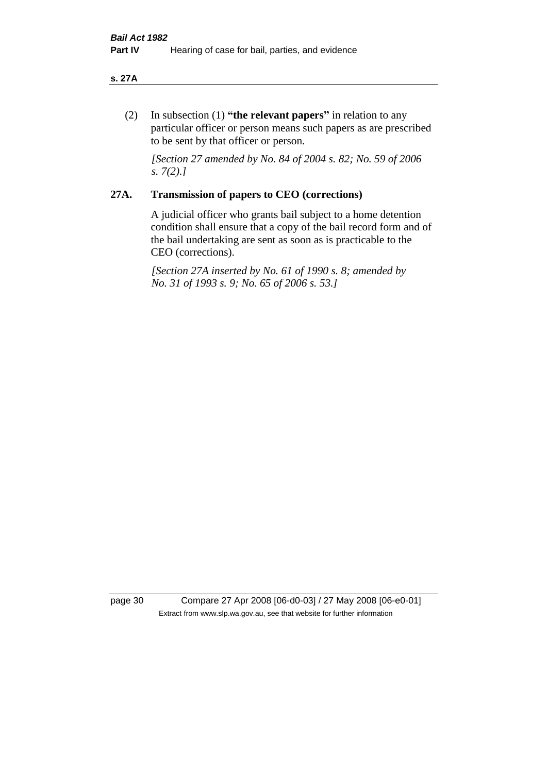#### **s. 27A**

(2) In subsection (1) **"the relevant papers"** in relation to any particular officer or person means such papers as are prescribed to be sent by that officer or person.

*[Section 27 amended by No. 84 of 2004 s. 82; No. 59 of 2006 s. 7(2).]* 

#### **27A. Transmission of papers to CEO (corrections)**

A judicial officer who grants bail subject to a home detention condition shall ensure that a copy of the bail record form and of the bail undertaking are sent as soon as is practicable to the CEO (corrections).

*[Section 27A inserted by No. 61 of 1990 s. 8; amended by No. 31 of 1993 s. 9; No. 65 of 2006 s. 53.]* 

page 30 Compare 27 Apr 2008 [06-d0-03] / 27 May 2008 [06-e0-01] Extract from www.slp.wa.gov.au, see that website for further information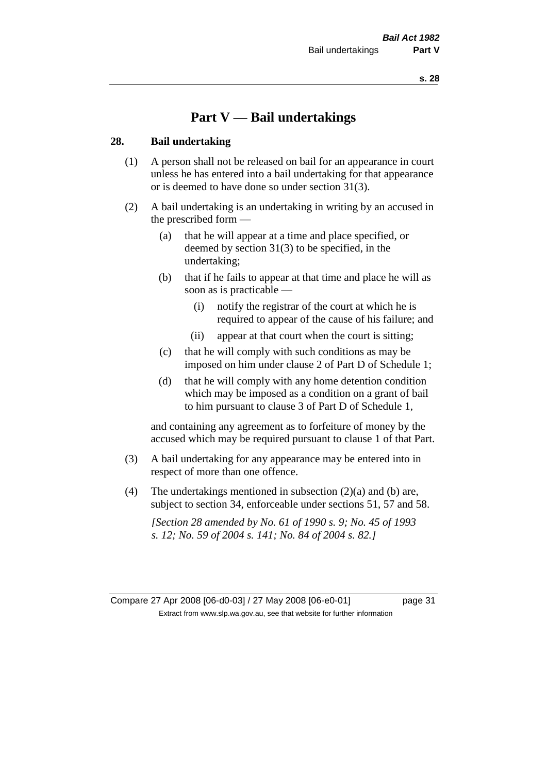# **Part V — Bail undertakings**

#### **28. Bail undertaking**

- (1) A person shall not be released on bail for an appearance in court unless he has entered into a bail undertaking for that appearance or is deemed to have done so under section 31(3).
- (2) A bail undertaking is an undertaking in writing by an accused in the prescribed form —
	- (a) that he will appear at a time and place specified, or deemed by section 31(3) to be specified, in the undertaking;
	- (b) that if he fails to appear at that time and place he will as soon as is practicable —
		- (i) notify the registrar of the court at which he is required to appear of the cause of his failure; and
		- (ii) appear at that court when the court is sitting;
	- (c) that he will comply with such conditions as may be imposed on him under clause 2 of Part D of Schedule 1;
	- (d) that he will comply with any home detention condition which may be imposed as a condition on a grant of bail to him pursuant to clause 3 of Part D of Schedule 1,

and containing any agreement as to forfeiture of money by the accused which may be required pursuant to clause 1 of that Part.

- (3) A bail undertaking for any appearance may be entered into in respect of more than one offence.
- (4) The undertakings mentioned in subsection  $(2)(a)$  and (b) are, subject to section 34, enforceable under sections 51, 57 and 58.

*[Section 28 amended by No. 61 of 1990 s. 9; No. 45 of 1993 s. 12; No. 59 of 2004 s. 141; No. 84 of 2004 s. 82.]*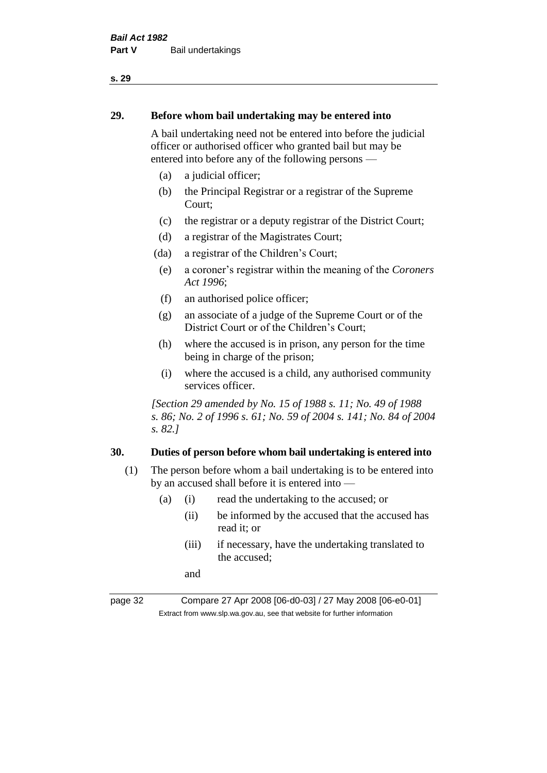#### **29. Before whom bail undertaking may be entered into**

A bail undertaking need not be entered into before the judicial officer or authorised officer who granted bail but may be entered into before any of the following persons —

- (a) a judicial officer;
- (b) the Principal Registrar or a registrar of the Supreme Court;
- (c) the registrar or a deputy registrar of the District Court;
- (d) a registrar of the Magistrates Court;
- (da) a registrar of the Children's Court;
- (e) a coroner's registrar within the meaning of the *Coroners Act 1996*;
- (f) an authorised police officer;
- (g) an associate of a judge of the Supreme Court or of the District Court or of the Children's Court;
- (h) where the accused is in prison, any person for the time being in charge of the prison;
- (i) where the accused is a child, any authorised community services officer.

*[Section 29 amended by No. 15 of 1988 s. 11; No. 49 of 1988 s. 86; No. 2 of 1996 s. 61; No. 59 of 2004 s. 141; No. 84 of 2004 s. 82.]* 

#### **30. Duties of person before whom bail undertaking is entered into**

- (1) The person before whom a bail undertaking is to be entered into by an accused shall before it is entered into —
	- (a) (i) read the undertaking to the accused; or
		- (ii) be informed by the accused that the accused has read it; or
		- (iii) if necessary, have the undertaking translated to the accused;

and

page 32 Compare 27 Apr 2008 [06-d0-03] / 27 May 2008 [06-e0-01] Extract from www.slp.wa.gov.au, see that website for further information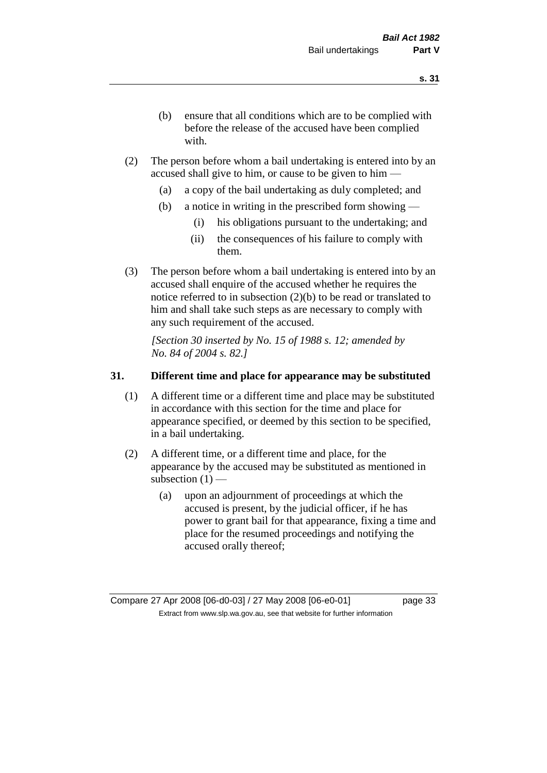- (b) ensure that all conditions which are to be complied with before the release of the accused have been complied with.
- (2) The person before whom a bail undertaking is entered into by an accused shall give to him, or cause to be given to him —
	- (a) a copy of the bail undertaking as duly completed; and
	- (b) a notice in writing in the prescribed form showing
		- (i) his obligations pursuant to the undertaking; and
		- (ii) the consequences of his failure to comply with them.
- (3) The person before whom a bail undertaking is entered into by an accused shall enquire of the accused whether he requires the notice referred to in subsection (2)(b) to be read or translated to him and shall take such steps as are necessary to comply with any such requirement of the accused.

*[Section 30 inserted by No. 15 of 1988 s. 12; amended by No. 84 of 2004 s. 82.]* 

#### **31. Different time and place for appearance may be substituted**

- (1) A different time or a different time and place may be substituted in accordance with this section for the time and place for appearance specified, or deemed by this section to be specified, in a bail undertaking.
- (2) A different time, or a different time and place, for the appearance by the accused may be substituted as mentioned in subsection  $(1)$  —
	- (a) upon an adjournment of proceedings at which the accused is present, by the judicial officer, if he has power to grant bail for that appearance, fixing a time and place for the resumed proceedings and notifying the accused orally thereof;

Compare 27 Apr 2008 [06-d0-03] / 27 May 2008 [06-e0-01] page 33 Extract from www.slp.wa.gov.au, see that website for further information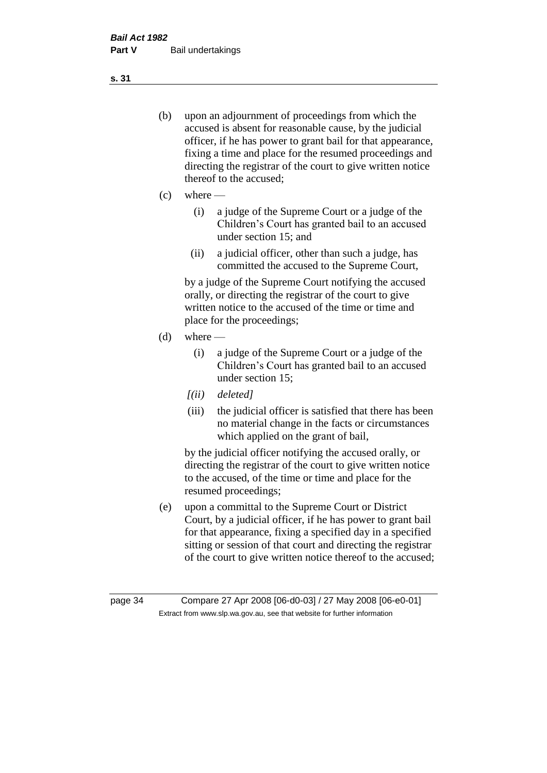- (b) upon an adjournment of proceedings from which the accused is absent for reasonable cause, by the judicial officer, if he has power to grant bail for that appearance, fixing a time and place for the resumed proceedings and directing the registrar of the court to give written notice thereof to the accused;
- $(c)$  where
	- (i) a judge of the Supreme Court or a judge of the Children's Court has granted bail to an accused under section 15; and
	- (ii) a judicial officer, other than such a judge, has committed the accused to the Supreme Court,

by a judge of the Supreme Court notifying the accused orally, or directing the registrar of the court to give written notice to the accused of the time or time and place for the proceedings;

- $(d)$  where
	- (i) a judge of the Supreme Court or a judge of the Children's Court has granted bail to an accused under section 15;
	- *[(ii) deleted]*
	- (iii) the judicial officer is satisfied that there has been no material change in the facts or circumstances which applied on the grant of bail,

by the judicial officer notifying the accused orally, or directing the registrar of the court to give written notice to the accused, of the time or time and place for the resumed proceedings;

(e) upon a committal to the Supreme Court or District Court, by a judicial officer, if he has power to grant bail for that appearance, fixing a specified day in a specified sitting or session of that court and directing the registrar of the court to give written notice thereof to the accused;

**s. 31**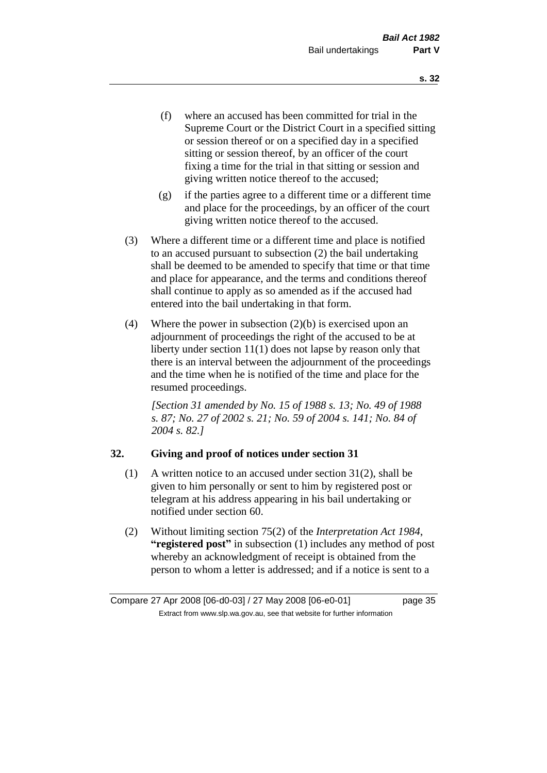- (f) where an accused has been committed for trial in the Supreme Court or the District Court in a specified sitting or session thereof or on a specified day in a specified sitting or session thereof, by an officer of the court fixing a time for the trial in that sitting or session and giving written notice thereof to the accused;
- (g) if the parties agree to a different time or a different time and place for the proceedings, by an officer of the court giving written notice thereof to the accused.
- (3) Where a different time or a different time and place is notified to an accused pursuant to subsection (2) the bail undertaking shall be deemed to be amended to specify that time or that time and place for appearance, and the terms and conditions thereof shall continue to apply as so amended as if the accused had entered into the bail undertaking in that form.
- (4) Where the power in subsection  $(2)(b)$  is exercised upon an adjournment of proceedings the right of the accused to be at liberty under section 11(1) does not lapse by reason only that there is an interval between the adjournment of the proceedings and the time when he is notified of the time and place for the resumed proceedings.

*[Section 31 amended by No. 15 of 1988 s. 13; No. 49 of 1988 s. 87; No. 27 of 2002 s. 21; No. 59 of 2004 s. 141; No. 84 of 2004 s. 82.]* 

# **32. Giving and proof of notices under section 31**

- (1) A written notice to an accused under section 31(2), shall be given to him personally or sent to him by registered post or telegram at his address appearing in his bail undertaking or notified under section 60.
- (2) Without limiting section 75(2) of the *Interpretation Act 1984*, **"registered post"** in subsection (1) includes any method of post whereby an acknowledgment of receipt is obtained from the person to whom a letter is addressed; and if a notice is sent to a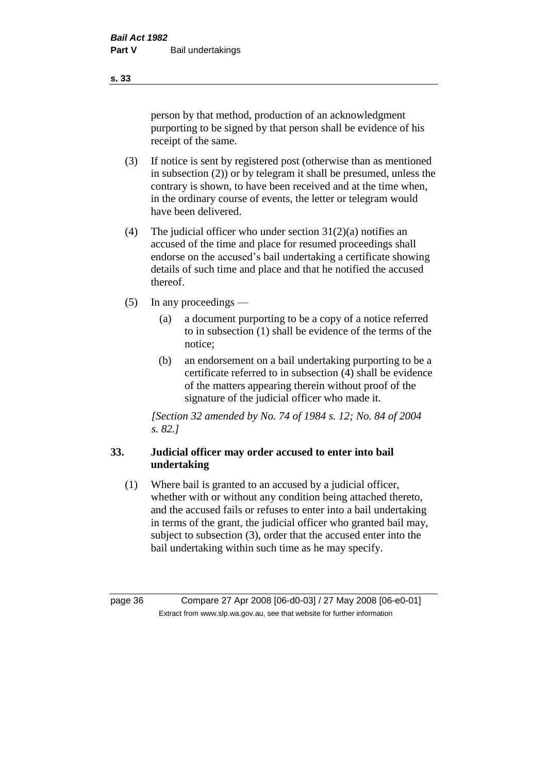person by that method, production of an acknowledgment purporting to be signed by that person shall be evidence of his receipt of the same.

- (3) If notice is sent by registered post (otherwise than as mentioned in subsection (2)) or by telegram it shall be presumed, unless the contrary is shown, to have been received and at the time when, in the ordinary course of events, the letter or telegram would have been delivered.
- (4) The judicial officer who under section  $31(2)(a)$  notifies an accused of the time and place for resumed proceedings shall endorse on the accused's bail undertaking a certificate showing details of such time and place and that he notified the accused thereof.
- (5) In any proceedings
	- (a) a document purporting to be a copy of a notice referred to in subsection (1) shall be evidence of the terms of the notice;
	- (b) an endorsement on a bail undertaking purporting to be a certificate referred to in subsection (4) shall be evidence of the matters appearing therein without proof of the signature of the judicial officer who made it.

*[Section 32 amended by No. 74 of 1984 s. 12; No. 84 of 2004 s. 82.]* 

# **33. Judicial officer may order accused to enter into bail undertaking**

(1) Where bail is granted to an accused by a judicial officer, whether with or without any condition being attached thereto, and the accused fails or refuses to enter into a bail undertaking in terms of the grant, the judicial officer who granted bail may, subject to subsection (3), order that the accused enter into the bail undertaking within such time as he may specify.

page 36 Compare 27 Apr 2008 [06-d0-03] / 27 May 2008 [06-e0-01] Extract from www.slp.wa.gov.au, see that website for further information

**s. 33**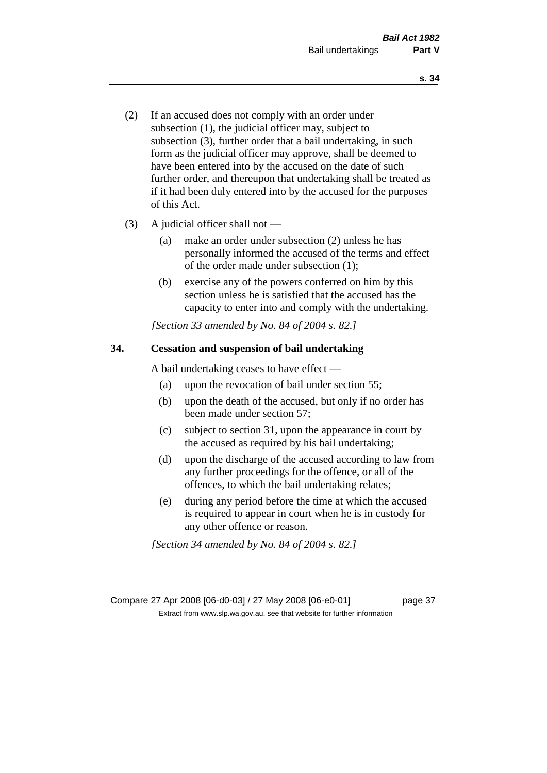- (2) If an accused does not comply with an order under subsection (1), the judicial officer may, subject to subsection (3), further order that a bail undertaking, in such form as the judicial officer may approve, shall be deemed to have been entered into by the accused on the date of such further order, and thereupon that undertaking shall be treated as if it had been duly entered into by the accused for the purposes of this Act.
- (3) A judicial officer shall not
	- (a) make an order under subsection (2) unless he has personally informed the accused of the terms and effect of the order made under subsection (1);
	- (b) exercise any of the powers conferred on him by this section unless he is satisfied that the accused has the capacity to enter into and comply with the undertaking.

*[Section 33 amended by No. 84 of 2004 s. 82.]* 

# **34. Cessation and suspension of bail undertaking**

A bail undertaking ceases to have effect —

- (a) upon the revocation of bail under section 55;
- (b) upon the death of the accused, but only if no order has been made under section 57;
- (c) subject to section 31, upon the appearance in court by the accused as required by his bail undertaking;
- (d) upon the discharge of the accused according to law from any further proceedings for the offence, or all of the offences, to which the bail undertaking relates;
- (e) during any period before the time at which the accused is required to appear in court when he is in custody for any other offence or reason.

*[Section 34 amended by No. 84 of 2004 s. 82.]* 

Compare 27 Apr 2008 [06-d0-03] / 27 May 2008 [06-e0-01] page 37 Extract from www.slp.wa.gov.au, see that website for further information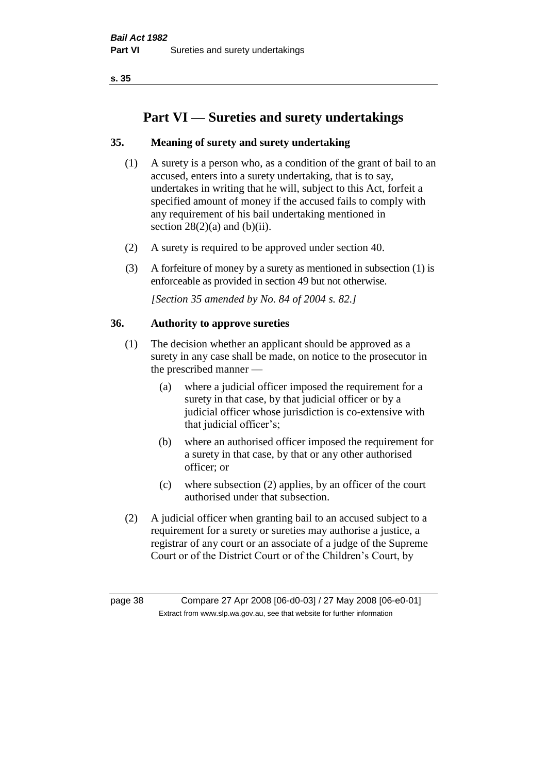# **Part VI — Sureties and surety undertakings**

# **35. Meaning of surety and surety undertaking**

- (1) A surety is a person who, as a condition of the grant of bail to an accused, enters into a surety undertaking, that is to say, undertakes in writing that he will, subject to this Act, forfeit a specified amount of money if the accused fails to comply with any requirement of his bail undertaking mentioned in section  $28(2)(a)$  and  $(b)(ii)$ .
- (2) A surety is required to be approved under section 40.
- (3) A forfeiture of money by a surety as mentioned in subsection (1) is enforceable as provided in section 49 but not otherwise.

*[Section 35 amended by No. 84 of 2004 s. 82.]* 

# **36. Authority to approve sureties**

- (1) The decision whether an applicant should be approved as a surety in any case shall be made, on notice to the prosecutor in the prescribed manner —
	- (a) where a judicial officer imposed the requirement for a surety in that case, by that judicial officer or by a judicial officer whose jurisdiction is co-extensive with that judicial officer's;
	- (b) where an authorised officer imposed the requirement for a surety in that case, by that or any other authorised officer; or
	- (c) where subsection (2) applies, by an officer of the court authorised under that subsection.
- (2) A judicial officer when granting bail to an accused subject to a requirement for a surety or sureties may authorise a justice, a registrar of any court or an associate of a judge of the Supreme Court or of the District Court or of the Children's Court, by

page 38 Compare 27 Apr 2008 [06-d0-03] / 27 May 2008 [06-e0-01] Extract from www.slp.wa.gov.au, see that website for further information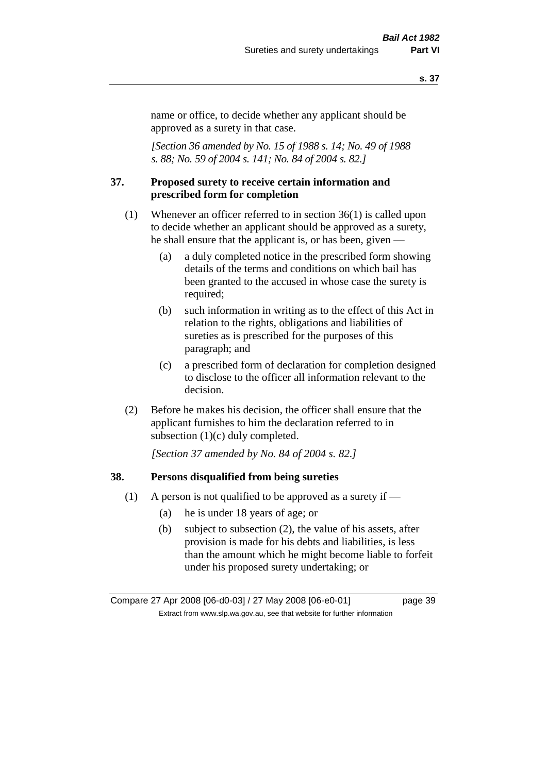name or office, to decide whether any applicant should be approved as a surety in that case.

*[Section 36 amended by No. 15 of 1988 s. 14; No. 49 of 1988 s. 88; No. 59 of 2004 s. 141; No. 84 of 2004 s. 82.]* 

### **37. Proposed surety to receive certain information and prescribed form for completion**

- (1) Whenever an officer referred to in section 36(1) is called upon to decide whether an applicant should be approved as a surety, he shall ensure that the applicant is, or has been, given —
	- (a) a duly completed notice in the prescribed form showing details of the terms and conditions on which bail has been granted to the accused in whose case the surety is required;
	- (b) such information in writing as to the effect of this Act in relation to the rights, obligations and liabilities of sureties as is prescribed for the purposes of this paragraph; and
	- (c) a prescribed form of declaration for completion designed to disclose to the officer all information relevant to the decision.
- (2) Before he makes his decision, the officer shall ensure that the applicant furnishes to him the declaration referred to in subsection (1)(c) duly completed.

*[Section 37 amended by No. 84 of 2004 s. 82.]* 

#### **38. Persons disqualified from being sureties**

- (1) A person is not qualified to be approved as a surety if  $-$ 
	- (a) he is under 18 years of age; or
	- (b) subject to subsection (2), the value of his assets, after provision is made for his debts and liabilities, is less than the amount which he might become liable to forfeit under his proposed surety undertaking; or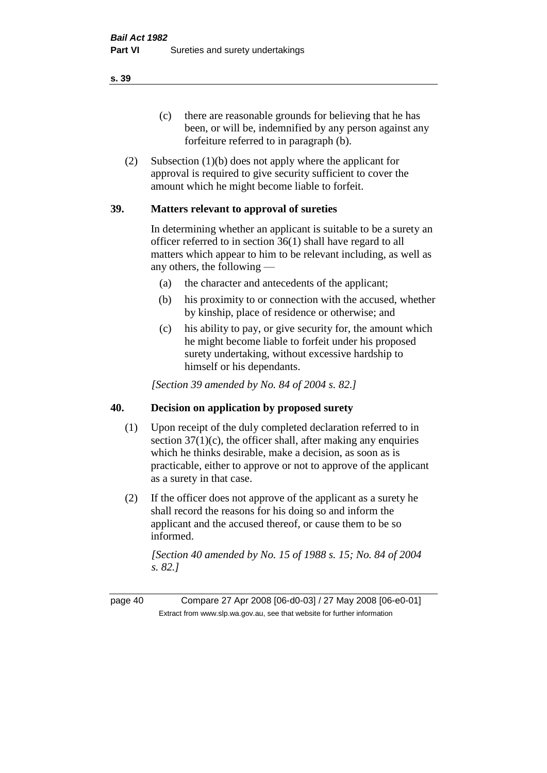(c) there are reasonable grounds for believing that he has been, or will be, indemnified by any person against any forfeiture referred to in paragraph (b).

(2) Subsection (1)(b) does not apply where the applicant for approval is required to give security sufficient to cover the amount which he might become liable to forfeit.

# **39. Matters relevant to approval of sureties**

In determining whether an applicant is suitable to be a surety an officer referred to in section 36(1) shall have regard to all matters which appear to him to be relevant including, as well as any others, the following —

- (a) the character and antecedents of the applicant;
- (b) his proximity to or connection with the accused, whether by kinship, place of residence or otherwise; and
- (c) his ability to pay, or give security for, the amount which he might become liable to forfeit under his proposed surety undertaking, without excessive hardship to himself or his dependants.

*[Section 39 amended by No. 84 of 2004 s. 82.]* 

# **40. Decision on application by proposed surety**

- (1) Upon receipt of the duly completed declaration referred to in section  $37(1)(c)$ , the officer shall, after making any enquiries which he thinks desirable, make a decision, as soon as is practicable, either to approve or not to approve of the applicant as a surety in that case.
- (2) If the officer does not approve of the applicant as a surety he shall record the reasons for his doing so and inform the applicant and the accused thereof, or cause them to be so informed.

*[Section 40 amended by No. 15 of 1988 s. 15; No. 84 of 2004 s. 82.]* 

page 40 Compare 27 Apr 2008 [06-d0-03] / 27 May 2008 [06-e0-01] Extract from www.slp.wa.gov.au, see that website for further information

**s. 39**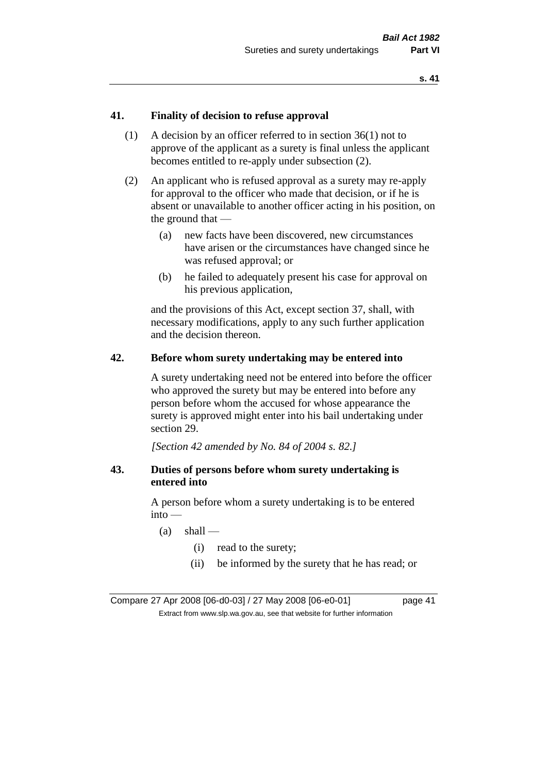# **41. Finality of decision to refuse approval**

- (1) A decision by an officer referred to in section 36(1) not to approve of the applicant as a surety is final unless the applicant becomes entitled to re-apply under subsection (2).
- (2) An applicant who is refused approval as a surety may re-apply for approval to the officer who made that decision, or if he is absent or unavailable to another officer acting in his position, on the ground that —
	- (a) new facts have been discovered, new circumstances have arisen or the circumstances have changed since he was refused approval; or
	- (b) he failed to adequately present his case for approval on his previous application,

and the provisions of this Act, except section 37, shall, with necessary modifications, apply to any such further application and the decision thereon.

### **42. Before whom surety undertaking may be entered into**

A surety undertaking need not be entered into before the officer who approved the surety but may be entered into before any person before whom the accused for whose appearance the surety is approved might enter into his bail undertaking under section 29.

*[Section 42 amended by No. 84 of 2004 s. 82.]* 

# **43. Duties of persons before whom surety undertaking is entered into**

A person before whom a surety undertaking is to be entered into —

- $(a)$  shall
	- (i) read to the surety;
	- (ii) be informed by the surety that he has read; or

Compare 27 Apr 2008 [06-d0-03] / 27 May 2008 [06-e0-01] page 41 Extract from www.slp.wa.gov.au, see that website for further information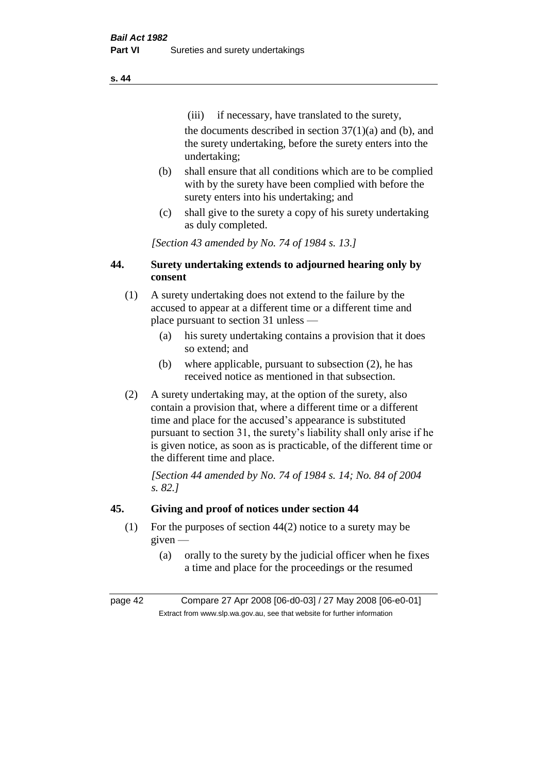(iii) if necessary, have translated to the surety, the documents described in section  $37(1)(a)$  and (b), and the surety undertaking, before the surety enters into the undertaking;

- (b) shall ensure that all conditions which are to be complied with by the surety have been complied with before the surety enters into his undertaking; and
- (c) shall give to the surety a copy of his surety undertaking as duly completed.

*[Section 43 amended by No. 74 of 1984 s. 13.]* 

# **44. Surety undertaking extends to adjourned hearing only by consent**

- (1) A surety undertaking does not extend to the failure by the accused to appear at a different time or a different time and place pursuant to section 31 unless —
	- (a) his surety undertaking contains a provision that it does so extend; and
	- (b) where applicable, pursuant to subsection (2), he has received notice as mentioned in that subsection.
- (2) A surety undertaking may, at the option of the surety, also contain a provision that, where a different time or a different time and place for the accused's appearance is substituted pursuant to section 31, the surety's liability shall only arise if he is given notice, as soon as is practicable, of the different time or the different time and place.

*[Section 44 amended by No. 74 of 1984 s. 14; No. 84 of 2004 s. 82.]* 

# **45. Giving and proof of notices under section 44**

- (1) For the purposes of section 44(2) notice to a surety may be given —
	- (a) orally to the surety by the judicial officer when he fixes a time and place for the proceedings or the resumed

page 42 Compare 27 Apr 2008 [06-d0-03] / 27 May 2008 [06-e0-01] Extract from www.slp.wa.gov.au, see that website for further information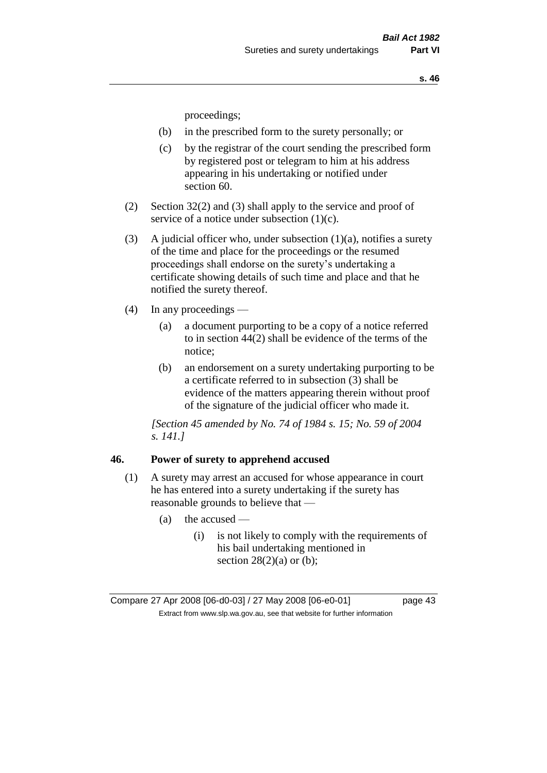proceedings;

- (b) in the prescribed form to the surety personally; or
- (c) by the registrar of the court sending the prescribed form by registered post or telegram to him at his address appearing in his undertaking or notified under section 60.
- (2) Section 32(2) and (3) shall apply to the service and proof of service of a notice under subsection (1)(c).
- (3) A judicial officer who, under subsection  $(1)(a)$ , notifies a surety of the time and place for the proceedings or the resumed proceedings shall endorse on the surety's undertaking a certificate showing details of such time and place and that he notified the surety thereof.
- (4) In any proceedings
	- (a) a document purporting to be a copy of a notice referred to in section 44(2) shall be evidence of the terms of the notice;
	- (b) an endorsement on a surety undertaking purporting to be a certificate referred to in subsection (3) shall be evidence of the matters appearing therein without proof of the signature of the judicial officer who made it.

*[Section 45 amended by No. 74 of 1984 s. 15; No. 59 of 2004 s. 141.]* 

### **46. Power of surety to apprehend accused**

- (1) A surety may arrest an accused for whose appearance in court he has entered into a surety undertaking if the surety has reasonable grounds to believe that —
	- $(a)$  the accused
		- (i) is not likely to comply with the requirements of his bail undertaking mentioned in section  $28(2)(a)$  or (b);

Compare 27 Apr 2008 [06-d0-03] / 27 May 2008 [06-e0-01] page 43 Extract from www.slp.wa.gov.au, see that website for further information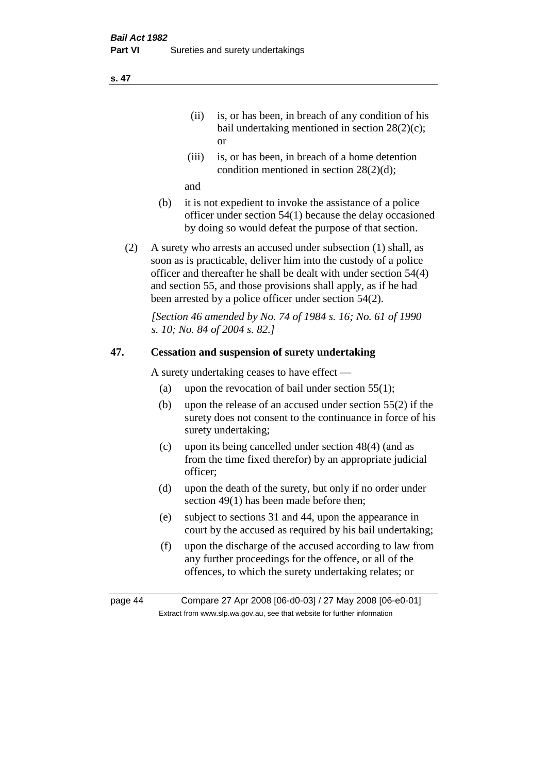- (ii) is, or has been, in breach of any condition of his bail undertaking mentioned in section 28(2)(c); or
- (iii) is, or has been, in breach of a home detention condition mentioned in section 28(2)(d);

and

- (b) it is not expedient to invoke the assistance of a police officer under section 54(1) because the delay occasioned by doing so would defeat the purpose of that section.
- (2) A surety who arrests an accused under subsection (1) shall, as soon as is practicable, deliver him into the custody of a police officer and thereafter he shall be dealt with under section 54(4) and section 55, and those provisions shall apply, as if he had been arrested by a police officer under section 54(2).

*[Section 46 amended by No. 74 of 1984 s. 16; No. 61 of 1990 s. 10; No. 84 of 2004 s. 82.]* 

# **47. Cessation and suspension of surety undertaking**

A surety undertaking ceases to have effect —

- (a) upon the revocation of bail under section  $55(1)$ ;
- (b) upon the release of an accused under section 55(2) if the surety does not consent to the continuance in force of his surety undertaking;
- (c) upon its being cancelled under section 48(4) (and as from the time fixed therefor) by an appropriate judicial officer;
- (d) upon the death of the surety, but only if no order under section 49(1) has been made before then;
- (e) subject to sections 31 and 44, upon the appearance in court by the accused as required by his bail undertaking;
- (f) upon the discharge of the accused according to law from any further proceedings for the offence, or all of the offences, to which the surety undertaking relates; or

page 44 Compare 27 Apr 2008 [06-d0-03] / 27 May 2008 [06-e0-01] Extract from www.slp.wa.gov.au, see that website for further information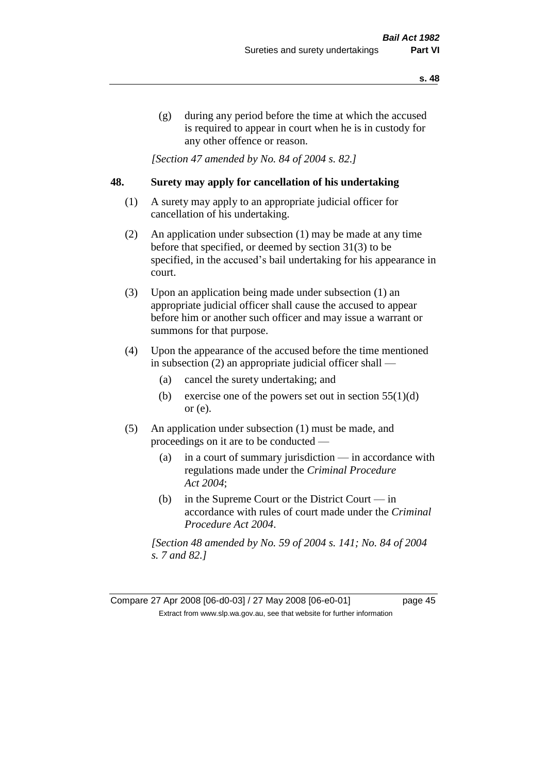(g) during any period before the time at which the accused is required to appear in court when he is in custody for any other offence or reason.

*[Section 47 amended by No. 84 of 2004 s. 82.]* 

# **48. Surety may apply for cancellation of his undertaking**

- (1) A surety may apply to an appropriate judicial officer for cancellation of his undertaking.
- (2) An application under subsection (1) may be made at any time before that specified, or deemed by section 31(3) to be specified, in the accused's bail undertaking for his appearance in court.
- (3) Upon an application being made under subsection (1) an appropriate judicial officer shall cause the accused to appear before him or another such officer and may issue a warrant or summons for that purpose.
- (4) Upon the appearance of the accused before the time mentioned in subsection (2) an appropriate judicial officer shall —
	- (a) cancel the surety undertaking; and
	- (b) exercise one of the powers set out in section  $55(1)(d)$ or (e).
- (5) An application under subsection (1) must be made, and proceedings on it are to be conducted —
	- (a) in a court of summary jurisdiction in accordance with regulations made under the *Criminal Procedure Act 2004*;
	- (b) in the Supreme Court or the District Court  $-\text{in}$ accordance with rules of court made under the *Criminal Procedure Act 2004*.

*[Section 48 amended by No. 59 of 2004 s. 141; No. 84 of 2004 s. 7 and 82.]*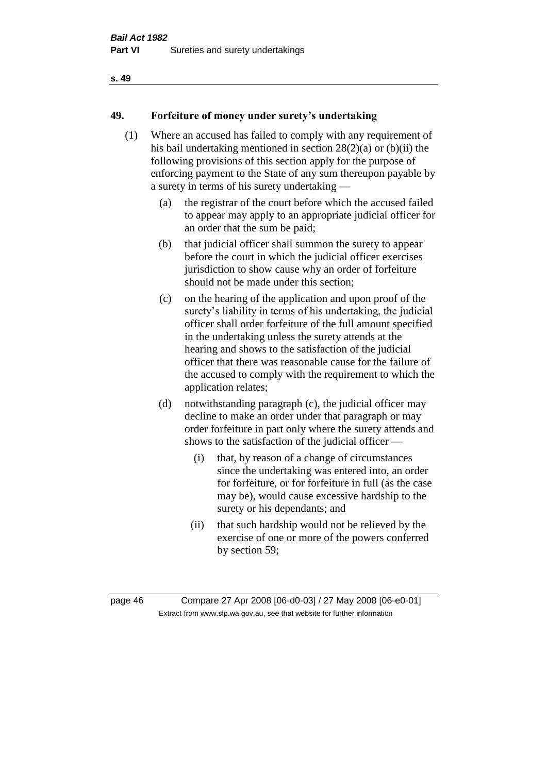# **49. Forfeiture of money under surety's undertaking**

- (1) Where an accused has failed to comply with any requirement of his bail undertaking mentioned in section 28(2)(a) or (b)(ii) the following provisions of this section apply for the purpose of enforcing payment to the State of any sum thereupon payable by a surety in terms of his surety undertaking —
	- (a) the registrar of the court before which the accused failed to appear may apply to an appropriate judicial officer for an order that the sum be paid;
	- (b) that judicial officer shall summon the surety to appear before the court in which the judicial officer exercises jurisdiction to show cause why an order of forfeiture should not be made under this section;
	- (c) on the hearing of the application and upon proof of the surety's liability in terms of his undertaking, the judicial officer shall order forfeiture of the full amount specified in the undertaking unless the surety attends at the hearing and shows to the satisfaction of the judicial officer that there was reasonable cause for the failure of the accused to comply with the requirement to which the application relates;
	- (d) notwithstanding paragraph (c), the judicial officer may decline to make an order under that paragraph or may order forfeiture in part only where the surety attends and shows to the satisfaction of the judicial officer —
		- (i) that, by reason of a change of circumstances since the undertaking was entered into, an order for forfeiture, or for forfeiture in full (as the case may be), would cause excessive hardship to the surety or his dependants; and
		- (ii) that such hardship would not be relieved by the exercise of one or more of the powers conferred by section 59;

page 46 Compare 27 Apr 2008 [06-d0-03] / 27 May 2008 [06-e0-01] Extract from www.slp.wa.gov.au, see that website for further information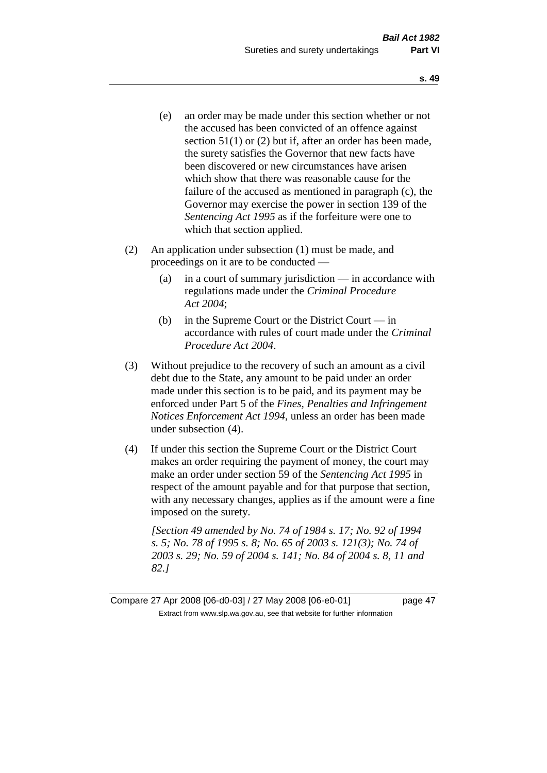- (e) an order may be made under this section whether or not the accused has been convicted of an offence against section 51(1) or (2) but if, after an order has been made, the surety satisfies the Governor that new facts have been discovered or new circumstances have arisen which show that there was reasonable cause for the failure of the accused as mentioned in paragraph (c), the Governor may exercise the power in section 139 of the *Sentencing Act 1995* as if the forfeiture were one to which that section applied.
- (2) An application under subsection (1) must be made, and proceedings on it are to be conducted —
	- (a) in a court of summary jurisdiction in accordance with regulations made under the *Criminal Procedure Act 2004*;
	- (b) in the Supreme Court or the District Court in accordance with rules of court made under the *Criminal Procedure Act 2004*.
- (3) Without prejudice to the recovery of such an amount as a civil debt due to the State, any amount to be paid under an order made under this section is to be paid, and its payment may be enforced under Part 5 of the *Fines, Penalties and Infringement Notices Enforcement Act 1994*, unless an order has been made under subsection (4).
- (4) If under this section the Supreme Court or the District Court makes an order requiring the payment of money, the court may make an order under section 59 of the *Sentencing Act 1995* in respect of the amount payable and for that purpose that section, with any necessary changes, applies as if the amount were a fine imposed on the surety.

*[Section 49 amended by No. 74 of 1984 s. 17; No. 92 of 1994 s. 5; No. 78 of 1995 s. 8; No. 65 of 2003 s. 121(3); No. 74 of 2003 s. 29; No. 59 of 2004 s. 141; No. 84 of 2004 s. 8, 11 and 82.]* 

Compare 27 Apr 2008 [06-d0-03] / 27 May 2008 [06-e0-01] page 47 Extract from www.slp.wa.gov.au, see that website for further information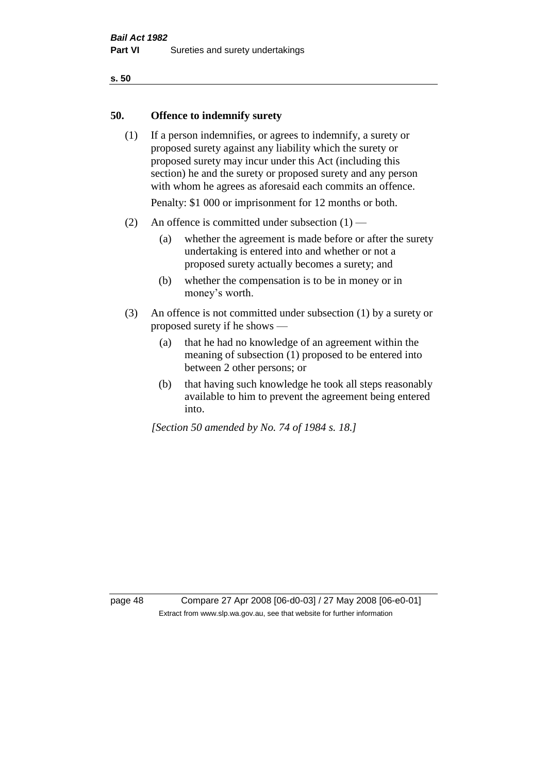# **50. Offence to indemnify surety**

(1) If a person indemnifies, or agrees to indemnify, a surety or proposed surety against any liability which the surety or proposed surety may incur under this Act (including this section) he and the surety or proposed surety and any person with whom he agrees as aforesaid each commits an offence.

Penalty: \$1 000 or imprisonment for 12 months or both.

- (2) An offence is committed under subsection  $(1)$ 
	- (a) whether the agreement is made before or after the surety undertaking is entered into and whether or not a proposed surety actually becomes a surety; and
	- (b) whether the compensation is to be in money or in money's worth.
- (3) An offence is not committed under subsection (1) by a surety or proposed surety if he shows —
	- (a) that he had no knowledge of an agreement within the meaning of subsection (1) proposed to be entered into between 2 other persons; or
	- (b) that having such knowledge he took all steps reasonably available to him to prevent the agreement being entered into.

*[Section 50 amended by No. 74 of 1984 s. 18.]* 

page 48 Compare 27 Apr 2008 [06-d0-03] / 27 May 2008 [06-e0-01] Extract from www.slp.wa.gov.au, see that website for further information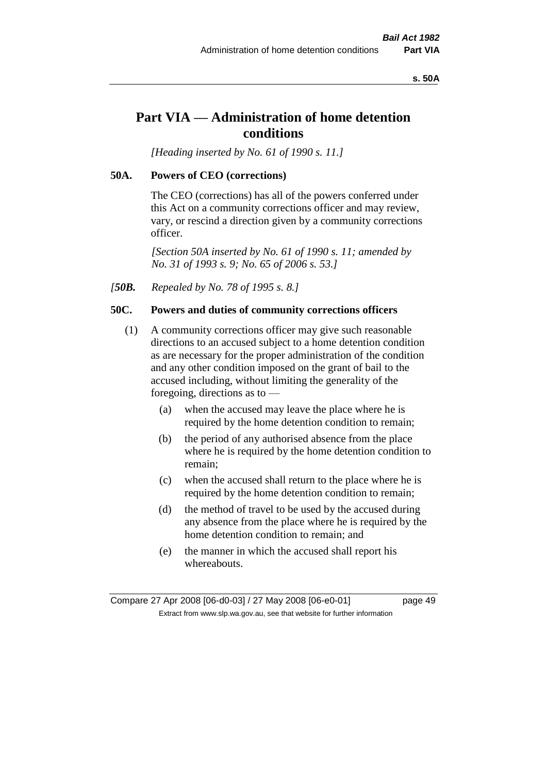#### **s. 50A**

# **Part VIA — Administration of home detention conditions**

*[Heading inserted by No. 61 of 1990 s. 11.]* 

### **50A. Powers of CEO (corrections)**

The CEO (corrections) has all of the powers conferred under this Act on a community corrections officer and may review, vary, or rescind a direction given by a community corrections officer.

*[Section 50A inserted by No. 61 of 1990 s. 11; amended by No. 31 of 1993 s. 9; No. 65 of 2006 s. 53.]* 

*[50B. Repealed by No. 78 of 1995 s. 8.]* 

# **50C. Powers and duties of community corrections officers**

- (1) A community corrections officer may give such reasonable directions to an accused subject to a home detention condition as are necessary for the proper administration of the condition and any other condition imposed on the grant of bail to the accused including, without limiting the generality of the foregoing, directions as to —
	- (a) when the accused may leave the place where he is required by the home detention condition to remain;
	- (b) the period of any authorised absence from the place where he is required by the home detention condition to remain;
	- (c) when the accused shall return to the place where he is required by the home detention condition to remain;
	- (d) the method of travel to be used by the accused during any absence from the place where he is required by the home detention condition to remain; and
	- (e) the manner in which the accused shall report his whereabouts.

Compare 27 Apr 2008 [06-d0-03] / 27 May 2008 [06-e0-01] page 49 Extract from www.slp.wa.gov.au, see that website for further information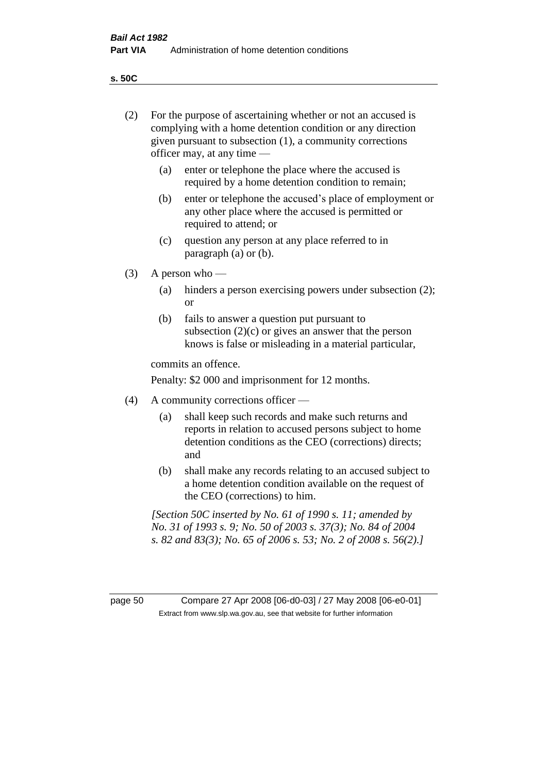**s. 50C**

| (2)     | For the purpose of ascertaining whether or not an accused is<br>complying with a home detention condition or any direction<br>given pursuant to subsection (1), a community corrections<br>officer may, at any time — |                                                                                                                                                                                              |  |  |
|---------|-----------------------------------------------------------------------------------------------------------------------------------------------------------------------------------------------------------------------|----------------------------------------------------------------------------------------------------------------------------------------------------------------------------------------------|--|--|
|         | enter or telephone the place where the accused is<br>(a)<br>required by a home detention condition to remain;                                                                                                         |                                                                                                                                                                                              |  |  |
|         | (b)                                                                                                                                                                                                                   | enter or telephone the accused's place of employment or<br>any other place where the accused is permitted or<br>required to attend; or                                                       |  |  |
|         | (c)                                                                                                                                                                                                                   | question any person at any place referred to in<br>paragraph $(a)$ or $(b)$ .                                                                                                                |  |  |
| (3)     |                                                                                                                                                                                                                       | A person who $-$                                                                                                                                                                             |  |  |
|         | (a)                                                                                                                                                                                                                   | hinders a person exercising powers under subsection (2);<br><sub>or</sub>                                                                                                                    |  |  |
|         | (b)                                                                                                                                                                                                                   | fails to answer a question put pursuant to<br>subsection $(2)(c)$ or gives an answer that the person<br>knows is false or misleading in a material particular,                               |  |  |
|         | commits an offence.                                                                                                                                                                                                   |                                                                                                                                                                                              |  |  |
|         | Penalty: \$2 000 and imprisonment for 12 months.                                                                                                                                                                      |                                                                                                                                                                                              |  |  |
| (4)     | A community corrections officer —                                                                                                                                                                                     |                                                                                                                                                                                              |  |  |
|         | (a)                                                                                                                                                                                                                   | shall keep such records and make such returns and<br>reports in relation to accused persons subject to home<br>detention conditions as the CEO (corrections) directs;<br>and                 |  |  |
|         | (b)                                                                                                                                                                                                                   | shall make any records relating to an accused subject to<br>a home detention condition available on the request of<br>the CEO (corrections) to him.                                          |  |  |
|         |                                                                                                                                                                                                                       | [Section 50C inserted by No. 61 of 1990 s. 11; amended by<br>No. 31 of 1993 s. 9; No. 50 of 2003 s. 37(3); No. 84 of 2004<br>s. 82 and 83(3); No. 65 of 2006 s. 53; No. 2 of 2008 s. 56(2).] |  |  |
|         |                                                                                                                                                                                                                       |                                                                                                                                                                                              |  |  |
| page 50 |                                                                                                                                                                                                                       | Compare 27 Apr 2008 [06-d0-03] / 27 May 2008 [06-e0-01]<br>Extract from www.slp.wa.gov.au, see that website for further information                                                          |  |  |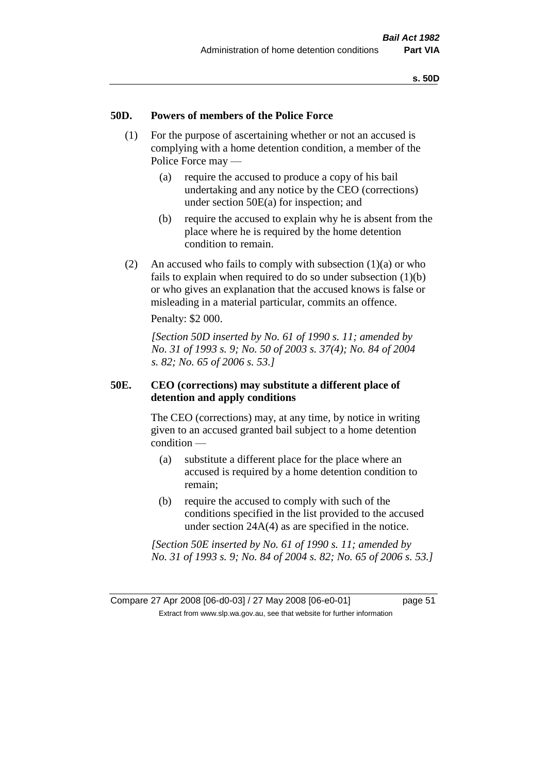# **50D. Powers of members of the Police Force**

- (1) For the purpose of ascertaining whether or not an accused is complying with a home detention condition, a member of the Police Force may —
	- (a) require the accused to produce a copy of his bail undertaking and any notice by the CEO (corrections) under section 50E(a) for inspection; and
	- (b) require the accused to explain why he is absent from the place where he is required by the home detention condition to remain.
- (2) An accused who fails to comply with subsection  $(1)(a)$  or who fails to explain when required to do so under subsection (1)(b) or who gives an explanation that the accused knows is false or misleading in a material particular, commits an offence.

Penalty: \$2 000.

*[Section 50D inserted by No. 61 of 1990 s. 11; amended by No. 31 of 1993 s. 9; No. 50 of 2003 s. 37(4); No. 84 of 2004 s. 82; No. 65 of 2006 s. 53.]* 

# **50E. CEO (corrections) may substitute a different place of detention and apply conditions**

The CEO (corrections) may, at any time, by notice in writing given to an accused granted bail subject to a home detention condition —

- (a) substitute a different place for the place where an accused is required by a home detention condition to remain;
- (b) require the accused to comply with such of the conditions specified in the list provided to the accused under section 24A(4) as are specified in the notice.

*[Section 50E inserted by No. 61 of 1990 s. 11; amended by No. 31 of 1993 s. 9; No. 84 of 2004 s. 82; No. 65 of 2006 s. 53.]*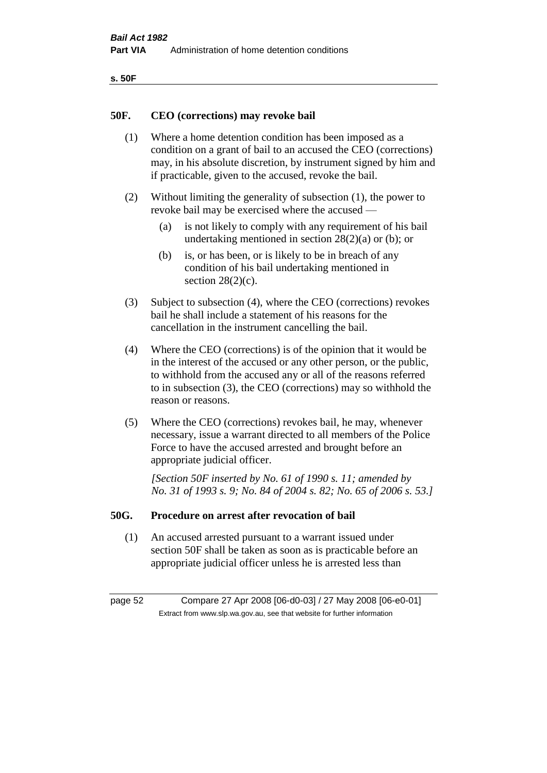| ۰.<br>×<br>-<br>۰.<br>× |  |
|-------------------------|--|
|-------------------------|--|

### **50F. CEO (corrections) may revoke bail**

- (1) Where a home detention condition has been imposed as a condition on a grant of bail to an accused the CEO (corrections) may, in his absolute discretion, by instrument signed by him and if practicable, given to the accused, revoke the bail.
- (2) Without limiting the generality of subsection (1), the power to revoke bail may be exercised where the accused —
	- (a) is not likely to comply with any requirement of his bail undertaking mentioned in section  $28(2)(a)$  or (b); or
	- (b) is, or has been, or is likely to be in breach of any condition of his bail undertaking mentioned in section  $28(2)(c)$ .
- (3) Subject to subsection (4), where the CEO (corrections) revokes bail he shall include a statement of his reasons for the cancellation in the instrument cancelling the bail.
- (4) Where the CEO (corrections) is of the opinion that it would be in the interest of the accused or any other person, or the public, to withhold from the accused any or all of the reasons referred to in subsection (3), the CEO (corrections) may so withhold the reason or reasons.
- (5) Where the CEO (corrections) revokes bail, he may, whenever necessary, issue a warrant directed to all members of the Police Force to have the accused arrested and brought before an appropriate judicial officer.

*[Section 50F inserted by No. 61 of 1990 s. 11; amended by No. 31 of 1993 s. 9; No. 84 of 2004 s. 82; No. 65 of 2006 s. 53.]* 

#### **50G. Procedure on arrest after revocation of bail**

(1) An accused arrested pursuant to a warrant issued under section 50F shall be taken as soon as is practicable before an appropriate judicial officer unless he is arrested less than

page 52 Compare 27 Apr 2008 [06-d0-03] / 27 May 2008 [06-e0-01] Extract from www.slp.wa.gov.au, see that website for further information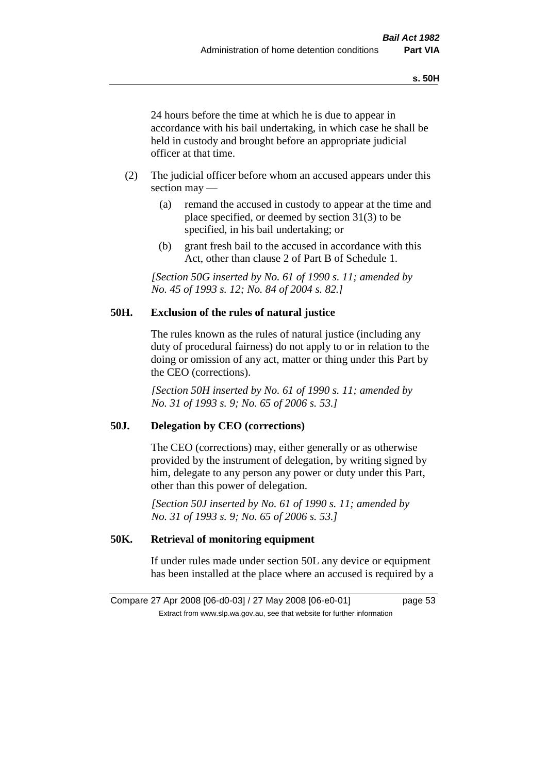24 hours before the time at which he is due to appear in accordance with his bail undertaking, in which case he shall be held in custody and brought before an appropriate judicial officer at that time.

- (2) The judicial officer before whom an accused appears under this section may —
	- (a) remand the accused in custody to appear at the time and place specified, or deemed by section 31(3) to be specified, in his bail undertaking; or
	- (b) grant fresh bail to the accused in accordance with this Act, other than clause 2 of Part B of Schedule 1.

*[Section 50G inserted by No. 61 of 1990 s. 11; amended by No. 45 of 1993 s. 12; No. 84 of 2004 s. 82.]* 

# **50H. Exclusion of the rules of natural justice**

The rules known as the rules of natural justice (including any duty of procedural fairness) do not apply to or in relation to the doing or omission of any act, matter or thing under this Part by the CEO (corrections).

*[Section 50H inserted by No. 61 of 1990 s. 11; amended by No. 31 of 1993 s. 9; No. 65 of 2006 s. 53.]* 

# **50J. Delegation by CEO (corrections)**

The CEO (corrections) may, either generally or as otherwise provided by the instrument of delegation, by writing signed by him, delegate to any person any power or duty under this Part, other than this power of delegation.

*[Section 50J inserted by No. 61 of 1990 s. 11; amended by No. 31 of 1993 s. 9; No. 65 of 2006 s. 53.]* 

# **50K. Retrieval of monitoring equipment**

If under rules made under section 50L any device or equipment has been installed at the place where an accused is required by a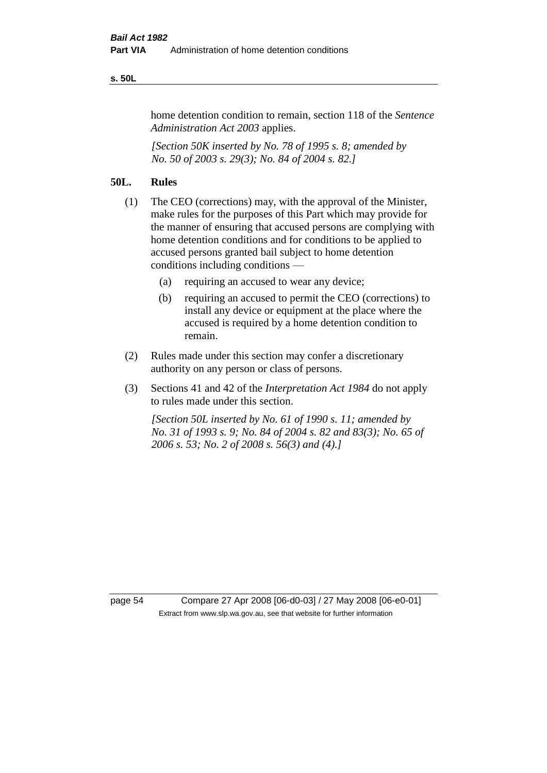#### **s. 50L**

home detention condition to remain, section 118 of the *Sentence Administration Act 2003* applies.

*[Section 50K inserted by No. 78 of 1995 s. 8; amended by No. 50 of 2003 s. 29(3); No. 84 of 2004 s. 82.]* 

# **50L. Rules**

- (1) The CEO (corrections) may, with the approval of the Minister, make rules for the purposes of this Part which may provide for the manner of ensuring that accused persons are complying with home detention conditions and for conditions to be applied to accused persons granted bail subject to home detention conditions including conditions —
	- (a) requiring an accused to wear any device;
	- (b) requiring an accused to permit the CEO (corrections) to install any device or equipment at the place where the accused is required by a home detention condition to remain.
- (2) Rules made under this section may confer a discretionary authority on any person or class of persons.
- (3) Sections 41 and 42 of the *Interpretation Act 1984* do not apply to rules made under this section.

*[Section 50L inserted by No. 61 of 1990 s. 11; amended by No. 31 of 1993 s. 9; No. 84 of 2004 s. 82 and 83(3); No. 65 of 2006 s. 53; No. 2 of 2008 s. 56(3) and (4).]* 

page 54 Compare 27 Apr 2008 [06-d0-03] / 27 May 2008 [06-e0-01] Extract from www.slp.wa.gov.au, see that website for further information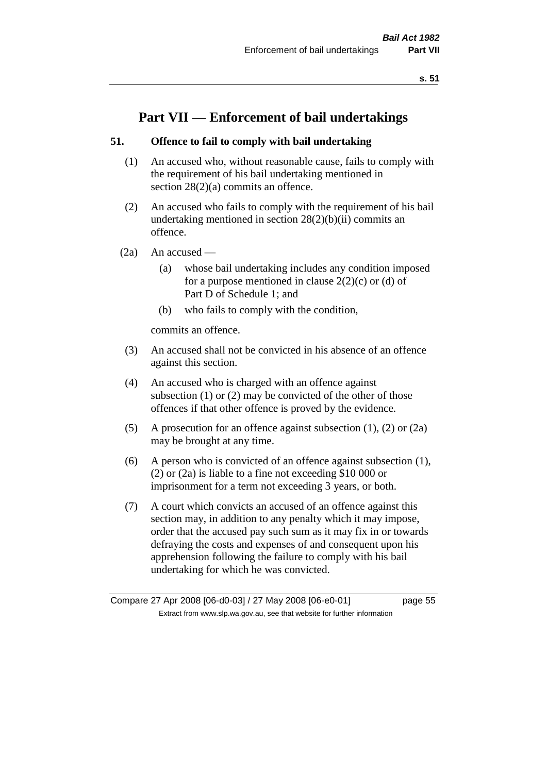# **Part VII — Enforcement of bail undertakings**

# **51. Offence to fail to comply with bail undertaking**

- (1) An accused who, without reasonable cause, fails to comply with the requirement of his bail undertaking mentioned in section 28(2)(a) commits an offence.
- (2) An accused who fails to comply with the requirement of his bail undertaking mentioned in section  $28(2)(b)(ii)$  commits an offence.
- $(2a)$  An accused
	- (a) whose bail undertaking includes any condition imposed for a purpose mentioned in clause  $2(2)(c)$  or (d) of Part D of Schedule 1; and
	- (b) who fails to comply with the condition,

commits an offence.

- (3) An accused shall not be convicted in his absence of an offence against this section.
- (4) An accused who is charged with an offence against subsection (1) or (2) may be convicted of the other of those offences if that other offence is proved by the evidence.
- (5) A prosecution for an offence against subsection (1), (2) or (2a) may be brought at any time.
- (6) A person who is convicted of an offence against subsection (1), (2) or (2a) is liable to a fine not exceeding \$10 000 or imprisonment for a term not exceeding 3 years, or both.
- (7) A court which convicts an accused of an offence against this section may, in addition to any penalty which it may impose, order that the accused pay such sum as it may fix in or towards defraying the costs and expenses of and consequent upon his apprehension following the failure to comply with his bail undertaking for which he was convicted.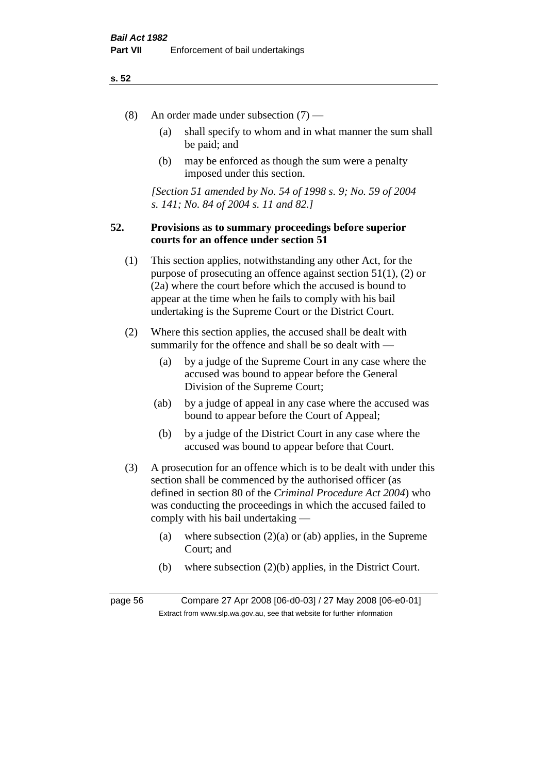- (8) An order made under subsection (7)
	- (a) shall specify to whom and in what manner the sum shall be paid; and
	- (b) may be enforced as though the sum were a penalty imposed under this section.

*[Section 51 amended by No. 54 of 1998 s. 9; No. 59 of 2004 s. 141; No. 84 of 2004 s. 11 and 82.]*

# **52. Provisions as to summary proceedings before superior courts for an offence under section 51**

- (1) This section applies, notwithstanding any other Act, for the purpose of prosecuting an offence against section 51(1), (2) or (2a) where the court before which the accused is bound to appear at the time when he fails to comply with his bail undertaking is the Supreme Court or the District Court.
- (2) Where this section applies, the accused shall be dealt with summarily for the offence and shall be so dealt with —
	- (a) by a judge of the Supreme Court in any case where the accused was bound to appear before the General Division of the Supreme Court;
	- (ab) by a judge of appeal in any case where the accused was bound to appear before the Court of Appeal;
	- (b) by a judge of the District Court in any case where the accused was bound to appear before that Court.
- (3) A prosecution for an offence which is to be dealt with under this section shall be commenced by the authorised officer (as defined in section 80 of the *Criminal Procedure Act 2004*) who was conducting the proceedings in which the accused failed to comply with his bail undertaking —
	- (a) where subsection  $(2)(a)$  or (ab) applies, in the Supreme Court; and
	- (b) where subsection (2)(b) applies, in the District Court.

page 56 Compare 27 Apr 2008 [06-d0-03] / 27 May 2008 [06-e0-01] Extract from www.slp.wa.gov.au, see that website for further information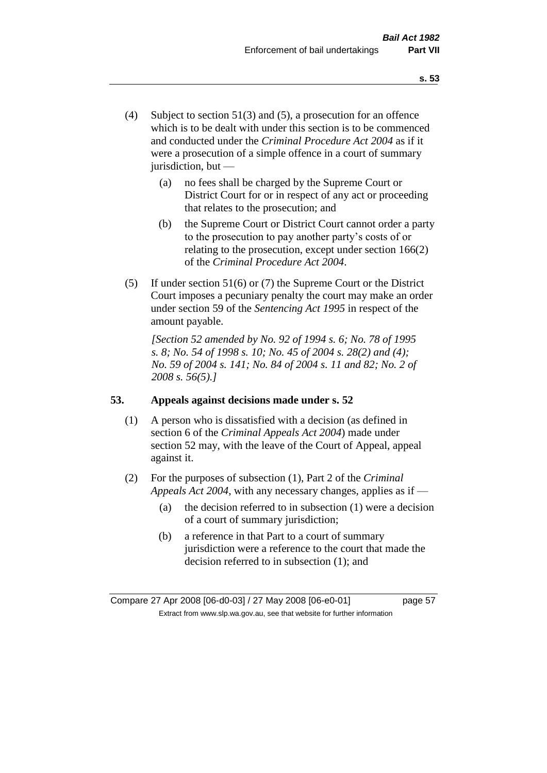- (4) Subject to section 51(3) and (5), a prosecution for an offence which is to be dealt with under this section is to be commenced and conducted under the *Criminal Procedure Act 2004* as if it were a prosecution of a simple offence in a court of summary jurisdiction, but —
	- (a) no fees shall be charged by the Supreme Court or District Court for or in respect of any act or proceeding that relates to the prosecution; and
	- (b) the Supreme Court or District Court cannot order a party to the prosecution to pay another party's costs of or relating to the prosecution, except under section 166(2) of the *Criminal Procedure Act 2004*.
- (5) If under section 51(6) or (7) the Supreme Court or the District Court imposes a pecuniary penalty the court may make an order under section 59 of the *Sentencing Act 1995* in respect of the amount payable.

*[Section 52 amended by No. 92 of 1994 s. 6; No. 78 of 1995 s. 8; No. 54 of 1998 s. 10; No. 45 of 2004 s. 28(2) and (4); No. 59 of 2004 s. 141; No. 84 of 2004 s. 11 and 82; No. 2 of 2008 s. 56(5).]* 

# **53. Appeals against decisions made under s. 52**

- (1) A person who is dissatisfied with a decision (as defined in section 6 of the *Criminal Appeals Act 2004*) made under section 52 may, with the leave of the Court of Appeal, appeal against it.
- (2) For the purposes of subsection (1), Part 2 of the *Criminal Appeals Act 2004*, with any necessary changes, applies as if —
	- (a) the decision referred to in subsection (1) were a decision of a court of summary jurisdiction;
	- (b) a reference in that Part to a court of summary jurisdiction were a reference to the court that made the decision referred to in subsection (1); and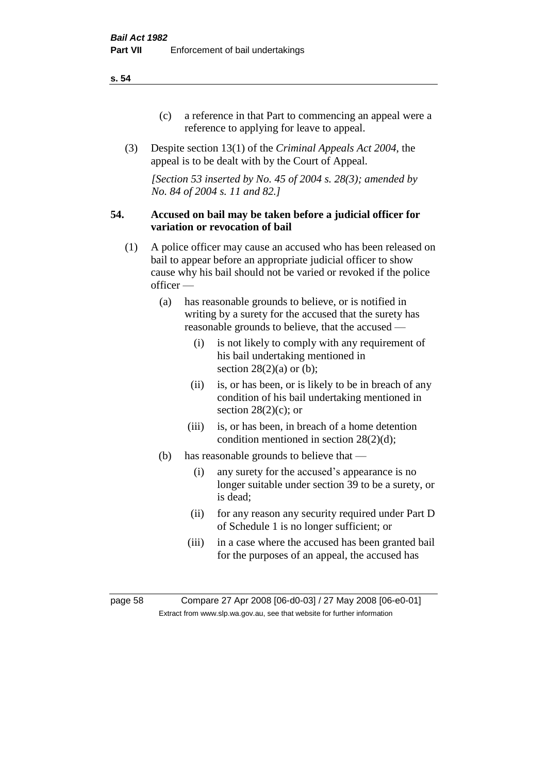- (c) a reference in that Part to commencing an appeal were a reference to applying for leave to appeal.
- (3) Despite section 13(1) of the *Criminal Appeals Act 2004*, the appeal is to be dealt with by the Court of Appeal.

*[Section 53 inserted by No. 45 of 2004 s. 28(3); amended by No. 84 of 2004 s. 11 and 82.]*

### **54. Accused on bail may be taken before a judicial officer for variation or revocation of bail**

- (1) A police officer may cause an accused who has been released on bail to appear before an appropriate judicial officer to show cause why his bail should not be varied or revoked if the police officer —
	- (a) has reasonable grounds to believe, or is notified in writing by a surety for the accused that the surety has reasonable grounds to believe, that the accused —
		- (i) is not likely to comply with any requirement of his bail undertaking mentioned in section  $28(2)(a)$  or (b);
		- (ii) is, or has been, or is likely to be in breach of any condition of his bail undertaking mentioned in section  $28(2)(c)$ ; or
		- (iii) is, or has been, in breach of a home detention condition mentioned in section 28(2)(d);
	- (b) has reasonable grounds to believe that
		- (i) any surety for the accused's appearance is no longer suitable under section 39 to be a surety, or is dead;
		- (ii) for any reason any security required under Part D of Schedule 1 is no longer sufficient; or
		- (iii) in a case where the accused has been granted bail for the purposes of an appeal, the accused has

page 58 Compare 27 Apr 2008 [06-d0-03] / 27 May 2008 [06-e0-01] Extract from www.slp.wa.gov.au, see that website for further information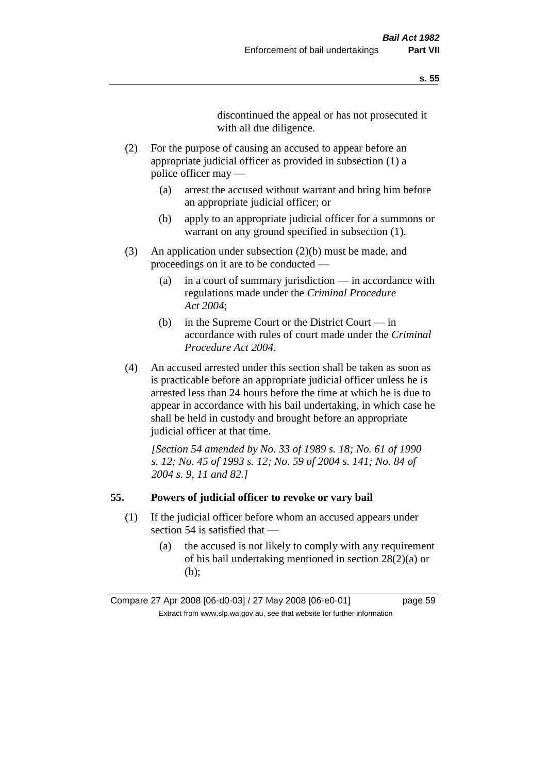discontinued the appeal or has not prosecuted it with all due diligence.

- (2) For the purpose of causing an accused to appear before an appropriate judicial officer as provided in subsection (1) a police officer may —
	- (a) arrest the accused without warrant and bring him before an appropriate judicial officer; or
	- (b) apply to an appropriate judicial officer for a summons or warrant on any ground specified in subsection  $(1)$ .
- (3) An application under subsection (2)(b) must be made, and proceedings on it are to be conducted —
	- (a) in a court of summary jurisdiction in accordance with regulations made under the *Criminal Procedure Act 2004*;
	- (b) in the Supreme Court or the District Court in accordance with rules of court made under the *Criminal Procedure Act 2004*.
- (4) An accused arrested under this section shall be taken as soon as is practicable before an appropriate judicial officer unless he is arrested less than 24 hours before the time at which he is due to appear in accordance with his bail undertaking, in which case he shall be held in custody and brought before an appropriate judicial officer at that time.

*[Section 54 amended by No. 33 of 1989 s. 18; No. 61 of 1990 s. 12; No. 45 of 1993 s. 12; No. 59 of 2004 s. 141; No. 84 of 2004 s. 9, 11 and 82.]* 

#### **55. Powers of judicial officer to revoke or vary bail**

- (1) If the judicial officer before whom an accused appears under section 54 is satisfied that —
	- (a) the accused is not likely to comply with any requirement of his bail undertaking mentioned in section 28(2)(a) or (b);

Compare 27 Apr 2008 [06-d0-03] / 27 May 2008 [06-e0-01] page 59 Extract from www.slp.wa.gov.au, see that website for further information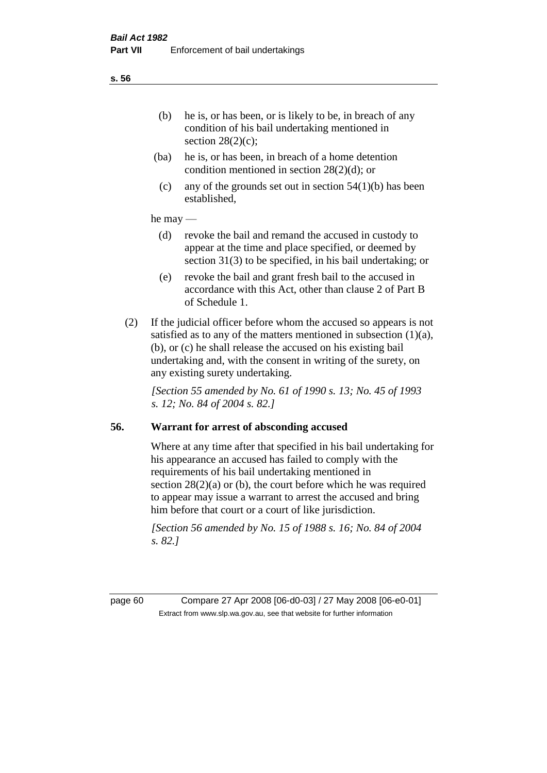- (ba) he is, or has been, in breach of a home detention condition mentioned in section 28(2)(d); or
- (c) any of the grounds set out in section  $54(1)(b)$  has been established,

### he may —

- (d) revoke the bail and remand the accused in custody to appear at the time and place specified, or deemed by section 31(3) to be specified, in his bail undertaking; or
- (e) revoke the bail and grant fresh bail to the accused in accordance with this Act, other than clause 2 of Part B of Schedule 1.
- (2) If the judicial officer before whom the accused so appears is not satisfied as to any of the matters mentioned in subsection  $(1)(a)$ , (b), or (c) he shall release the accused on his existing bail undertaking and, with the consent in writing of the surety, on any existing surety undertaking.

*[Section 55 amended by No. 61 of 1990 s. 13; No. 45 of 1993 s. 12; No. 84 of 2004 s. 82.]* 

# **56. Warrant for arrest of absconding accused**

Where at any time after that specified in his bail undertaking for his appearance an accused has failed to comply with the requirements of his bail undertaking mentioned in section  $28(2)(a)$  or (b), the court before which he was required to appear may issue a warrant to arrest the accused and bring him before that court or a court of like jurisdiction.

*[Section 56 amended by No. 15 of 1988 s. 16; No. 84 of 2004 s. 82.]* 

page 60 Compare 27 Apr 2008 [06-d0-03] / 27 May 2008 [06-e0-01] Extract from www.slp.wa.gov.au, see that website for further information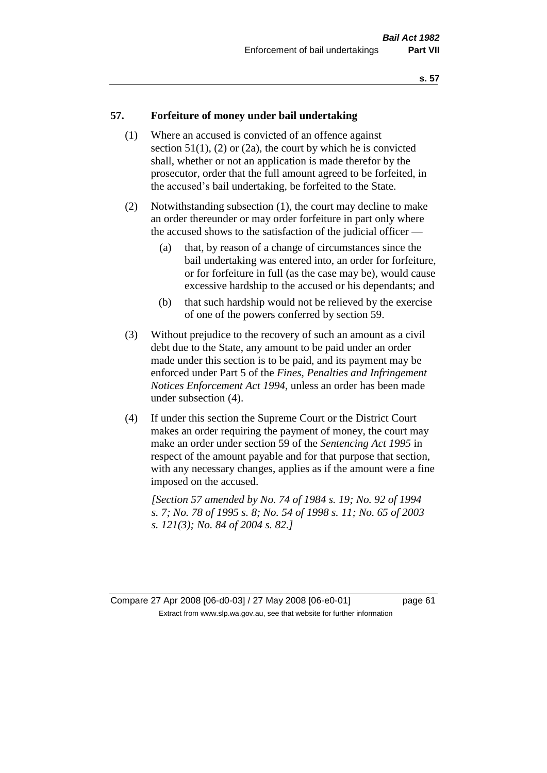### **57. Forfeiture of money under bail undertaking**

- (1) Where an accused is convicted of an offence against section  $51(1)$ ,  $(2)$  or  $(2a)$ , the court by which he is convicted shall, whether or not an application is made therefor by the prosecutor, order that the full amount agreed to be forfeited, in the accused's bail undertaking, be forfeited to the State.
- (2) Notwithstanding subsection (1), the court may decline to make an order thereunder or may order forfeiture in part only where the accused shows to the satisfaction of the judicial officer —
	- (a) that, by reason of a change of circumstances since the bail undertaking was entered into, an order for forfeiture, or for forfeiture in full (as the case may be), would cause excessive hardship to the accused or his dependants; and
	- (b) that such hardship would not be relieved by the exercise of one of the powers conferred by section 59.
- (3) Without prejudice to the recovery of such an amount as a civil debt due to the State, any amount to be paid under an order made under this section is to be paid, and its payment may be enforced under Part 5 of the *Fines, Penalties and Infringement Notices Enforcement Act 1994*, unless an order has been made under subsection (4).
- (4) If under this section the Supreme Court or the District Court makes an order requiring the payment of money, the court may make an order under section 59 of the *Sentencing Act 1995* in respect of the amount payable and for that purpose that section, with any necessary changes, applies as if the amount were a fine imposed on the accused.

*[Section 57 amended by No. 74 of 1984 s. 19; No. 92 of 1994 s. 7; No. 78 of 1995 s. 8; No. 54 of 1998 s. 11; No. 65 of 2003 s. 121(3); No. 84 of 2004 s. 82.]* 

Compare 27 Apr 2008 [06-d0-03] / 27 May 2008 [06-e0-01] page 61 Extract from www.slp.wa.gov.au, see that website for further information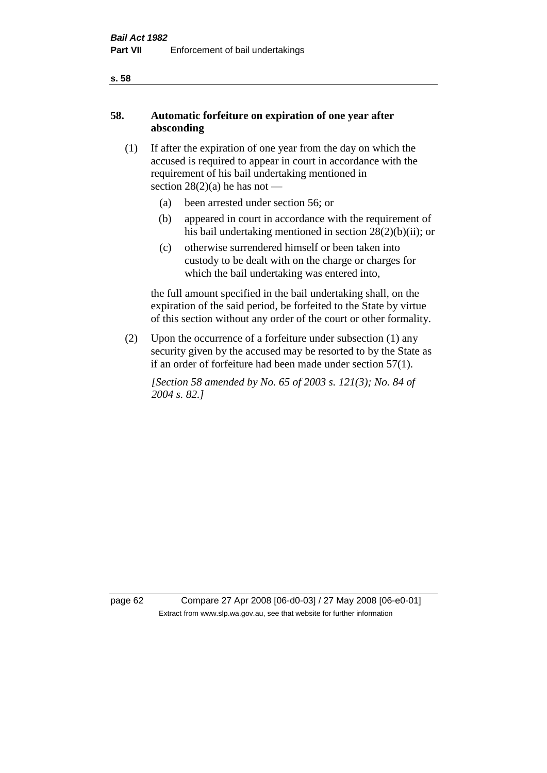# **58. Automatic forfeiture on expiration of one year after absconding**

- (1) If after the expiration of one year from the day on which the accused is required to appear in court in accordance with the requirement of his bail undertaking mentioned in section  $28(2)(a)$  he has not —
	- (a) been arrested under section 56; or
	- (b) appeared in court in accordance with the requirement of his bail undertaking mentioned in section 28(2)(b)(ii); or
	- (c) otherwise surrendered himself or been taken into custody to be dealt with on the charge or charges for which the bail undertaking was entered into,

the full amount specified in the bail undertaking shall, on the expiration of the said period, be forfeited to the State by virtue of this section without any order of the court or other formality.

(2) Upon the occurrence of a forfeiture under subsection (1) any security given by the accused may be resorted to by the State as if an order of forfeiture had been made under section 57(1).

*[Section 58 amended by No. 65 of 2003 s. 121(3); No. 84 of 2004 s. 82.]*

page 62 Compare 27 Apr 2008 [06-d0-03] / 27 May 2008 [06-e0-01] Extract from www.slp.wa.gov.au, see that website for further information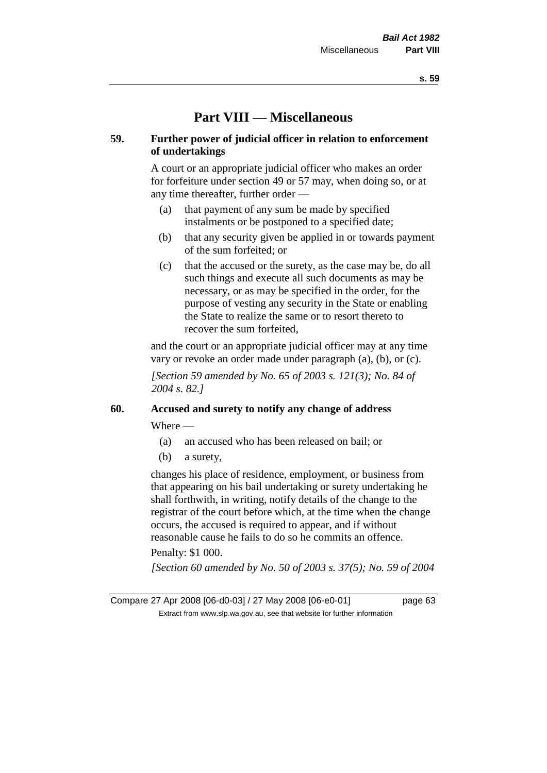# **Part VIII — Miscellaneous**

# **59. Further power of judicial officer in relation to enforcement of undertakings**

A court or an appropriate judicial officer who makes an order for forfeiture under section 49 or 57 may, when doing so, or at any time thereafter, further order —

- (a) that payment of any sum be made by specified instalments or be postponed to a specified date;
- (b) that any security given be applied in or towards payment of the sum forfeited; or
- (c) that the accused or the surety, as the case may be, do all such things and execute all such documents as may be necessary, or as may be specified in the order, for the purpose of vesting any security in the State or enabling the State to realize the same or to resort thereto to recover the sum forfeited,

and the court or an appropriate judicial officer may at any time vary or revoke an order made under paragraph (a), (b), or (c).

*[Section 59 amended by No. 65 of 2003 s. 121(3); No. 84 of 2004 s. 82.]*

# **60. Accused and surety to notify any change of address**

Where —

- (a) an accused who has been released on bail; or
- (b) a surety,

changes his place of residence, employment, or business from that appearing on his bail undertaking or surety undertaking he shall forthwith, in writing, notify details of the change to the registrar of the court before which, at the time when the change occurs, the accused is required to appear, and if without reasonable cause he fails to do so he commits an offence.

Penalty: \$1 000.

*[Section 60 amended by No. 50 of 2003 s. 37(5); No. 59 of 2004* 

Compare 27 Apr 2008 [06-d0-03] / 27 May 2008 [06-e0-01] page 63 Extract from www.slp.wa.gov.au, see that website for further information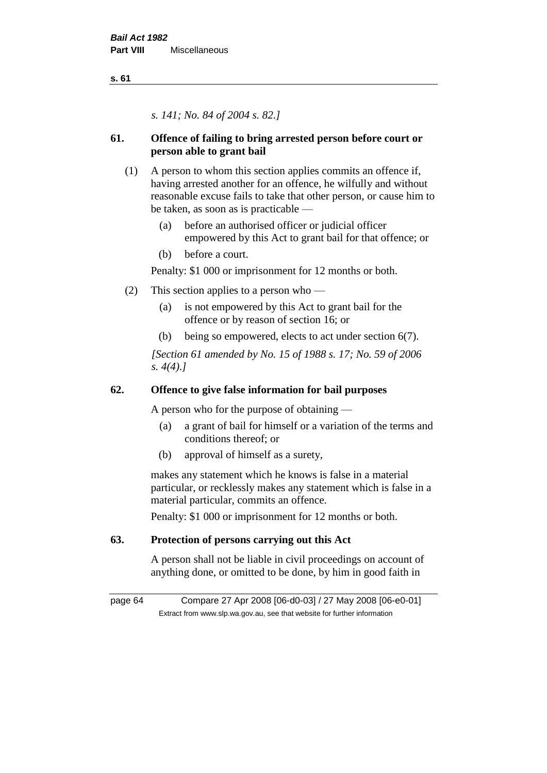*s. 141; No. 84 of 2004 s. 82.]*

# **61. Offence of failing to bring arrested person before court or person able to grant bail**

- (1) A person to whom this section applies commits an offence if, having arrested another for an offence, he wilfully and without reasonable excuse fails to take that other person, or cause him to be taken, as soon as is practicable —
	- (a) before an authorised officer or judicial officer empowered by this Act to grant bail for that offence; or
	- (b) before a court.

Penalty: \$1 000 or imprisonment for 12 months or both.

- (2) This section applies to a person who
	- (a) is not empowered by this Act to grant bail for the offence or by reason of section 16; or
	- (b) being so empowered, elects to act under section 6(7).

*[Section 61 amended by No. 15 of 1988 s. 17; No. 59 of 2006 s. 4(4).]* 

# **62. Offence to give false information for bail purposes**

A person who for the purpose of obtaining —

- (a) a grant of bail for himself or a variation of the terms and conditions thereof; or
- (b) approval of himself as a surety,

makes any statement which he knows is false in a material particular, or recklessly makes any statement which is false in a material particular, commits an offence.

Penalty: \$1 000 or imprisonment for 12 months or both.

# **63. Protection of persons carrying out this Act**

A person shall not be liable in civil proceedings on account of anything done, or omitted to be done, by him in good faith in

page 64 Compare 27 Apr 2008 [06-d0-03] / 27 May 2008 [06-e0-01] Extract from www.slp.wa.gov.au, see that website for further information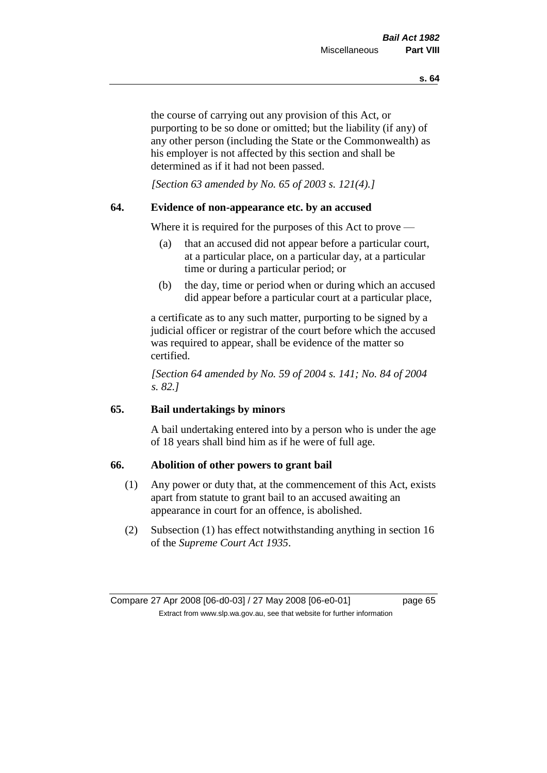the course of carrying out any provision of this Act, or purporting to be so done or omitted; but the liability (if any) of any other person (including the State or the Commonwealth) as his employer is not affected by this section and shall be determined as if it had not been passed.

*[Section 63 amended by No. 65 of 2003 s. 121(4).]*

# **64. Evidence of non-appearance etc. by an accused**

Where it is required for the purposes of this Act to prove —

- (a) that an accused did not appear before a particular court, at a particular place, on a particular day, at a particular time or during a particular period; or
- (b) the day, time or period when or during which an accused did appear before a particular court at a particular place,

a certificate as to any such matter, purporting to be signed by a judicial officer or registrar of the court before which the accused was required to appear, shall be evidence of the matter so certified.

*[Section 64 amended by No. 59 of 2004 s. 141; No. 84 of 2004 s. 82.]* 

# **65. Bail undertakings by minors**

A bail undertaking entered into by a person who is under the age of 18 years shall bind him as if he were of full age.

# **66. Abolition of other powers to grant bail**

- (1) Any power or duty that, at the commencement of this Act, exists apart from statute to grant bail to an accused awaiting an appearance in court for an offence, is abolished.
- (2) Subsection (1) has effect notwithstanding anything in section 16 of the *Supreme Court Act 1935*.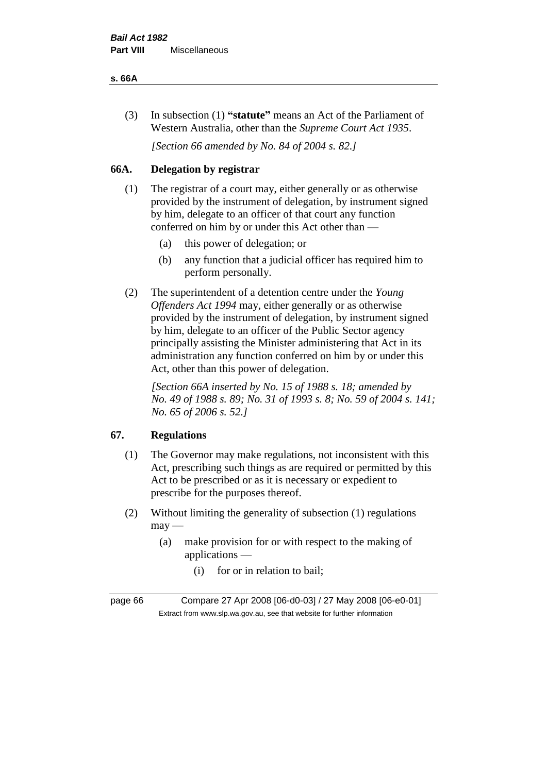#### **s. 66A**

(3) In subsection (1) **"statute"** means an Act of the Parliament of Western Australia, other than the *Supreme Court Act 1935*.

*[Section 66 amended by No. 84 of 2004 s. 82.]*

# **66A. Delegation by registrar**

- (1) The registrar of a court may, either generally or as otherwise provided by the instrument of delegation, by instrument signed by him, delegate to an officer of that court any function conferred on him by or under this Act other than —
	- (a) this power of delegation; or
	- (b) any function that a judicial officer has required him to perform personally.
- (2) The superintendent of a detention centre under the *Young Offenders Act 1994* may, either generally or as otherwise provided by the instrument of delegation, by instrument signed by him, delegate to an officer of the Public Sector agency principally assisting the Minister administering that Act in its administration any function conferred on him by or under this Act, other than this power of delegation.

*[Section 66A inserted by No. 15 of 1988 s. 18; amended by No. 49 of 1988 s. 89; No. 31 of 1993 s. 8; No. 59 of 2004 s. 141; No. 65 of 2006 s. 52.]* 

# **67. Regulations**

- (1) The Governor may make regulations, not inconsistent with this Act, prescribing such things as are required or permitted by this Act to be prescribed or as it is necessary or expedient to prescribe for the purposes thereof.
- (2) Without limiting the generality of subsection (1) regulations  $may$ —
	- (a) make provision for or with respect to the making of applications —
		- (i) for or in relation to bail;

page 66 Compare 27 Apr 2008 [06-d0-03] / 27 May 2008 [06-e0-01] Extract from www.slp.wa.gov.au, see that website for further information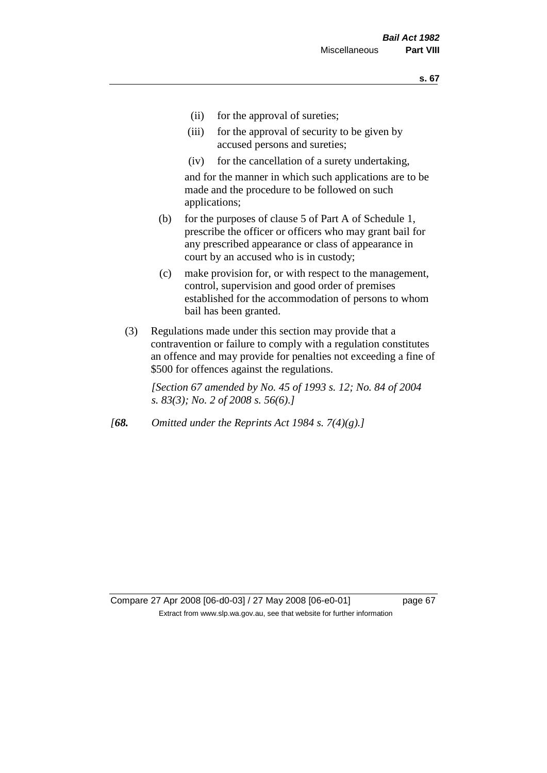- (ii) for the approval of sureties;
- (iii) for the approval of security to be given by accused persons and sureties;
- (iv) for the cancellation of a surety undertaking,

and for the manner in which such applications are to be made and the procedure to be followed on such applications;

- (b) for the purposes of clause 5 of Part A of Schedule 1, prescribe the officer or officers who may grant bail for any prescribed appearance or class of appearance in court by an accused who is in custody;
- (c) make provision for, or with respect to the management, control, supervision and good order of premises established for the accommodation of persons to whom bail has been granted.
- (3) Regulations made under this section may provide that a contravention or failure to comply with a regulation constitutes an offence and may provide for penalties not exceeding a fine of \$500 for offences against the regulations.

*[Section 67 amended by No. 45 of 1993 s. 12; No. 84 of 2004 s. 83(3); No. 2 of 2008 s. 56(6).]* 

*[68. Omitted under the Reprints Act 1984 s. 7(4)(g).]*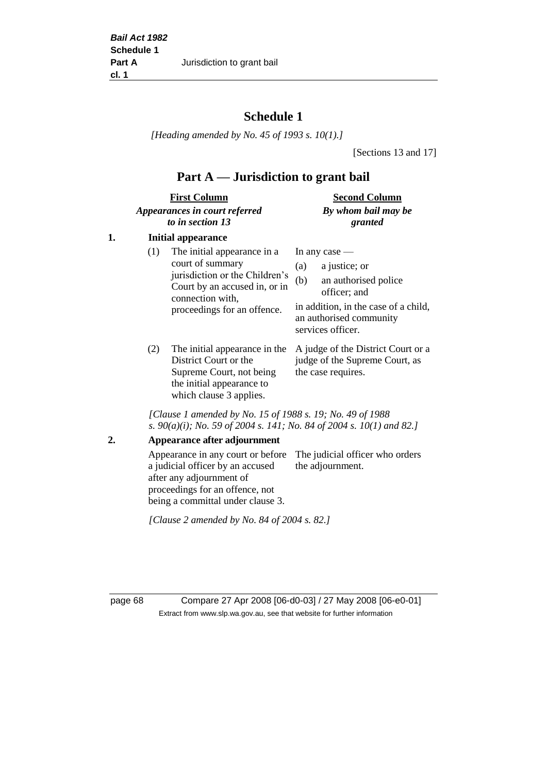# **Schedule 1**

*[Heading amended by No. 45 of 1993 s. 10(1).]*

[Sections 13 and 17]

# **Part A — Jurisdiction to grant bail**

| <b>First Column</b>           | <b>Second Column</b> |  |
|-------------------------------|----------------------|--|
| Appearances in court referred | By whom bail may be  |  |
| to in section 13              | granted              |  |

# **1. Initial appearance**

| (1)        | The initial appearance in a<br>court of summary<br>jurisdiction or the Children's<br>Court by an accused in, or in<br>connection with,<br>proceedings for an offence. | In any case $-$<br>a justice; or<br>(a)<br>an authorised police<br>(b)<br>officer; and<br>in addition, in the case of a child,<br>an authorised community<br>services officer. |
|------------|-----------------------------------------------------------------------------------------------------------------------------------------------------------------------|--------------------------------------------------------------------------------------------------------------------------------------------------------------------------------|
| $\sqrt{2}$ |                                                                                                                                                                       |                                                                                                                                                                                |

(2) The initial appearance in the A judge of the District Court or a District Court or the Supreme Court, not being the initial appearance to which clause 3 applies.

judge of the Supreme Court, as the case requires.

*[Clause 1 amended by No. 15 of 1988 s. 19; No. 49 of 1988 s. 90(a)(i); No. 59 of 2004 s. 141; No. 84 of 2004 s. 10(1) and 82.]*

**2. Appearance after adjournment**

Appearance in any court or before The judicial officer who orders a judicial officer by an accused after any adjournment of proceedings for an offence, not being a committal under clause 3. the adjournment.

*[Clause 2 amended by No. 84 of 2004 s. 82.]*

page 68 Compare 27 Apr 2008 [06-d0-03] / 27 May 2008 [06-e0-01] Extract from www.slp.wa.gov.au, see that website for further information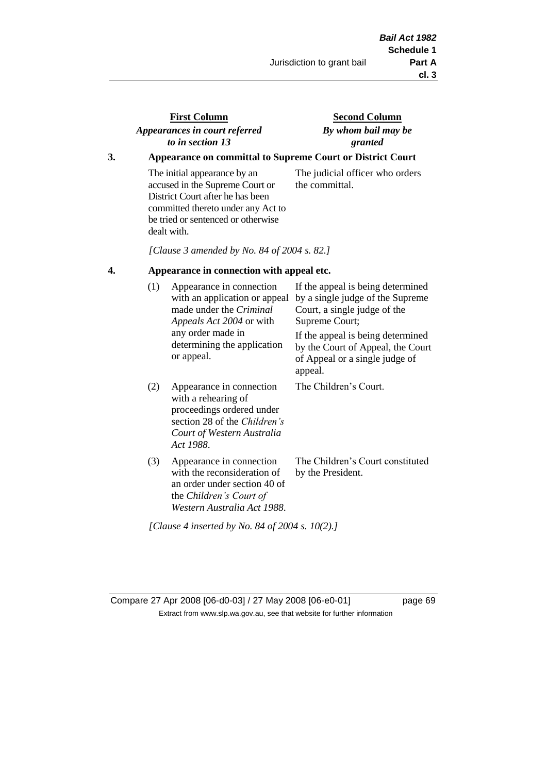# **First Column** *Appearances in court referred to in section 13*

# **Second Column** *By whom bail may be granted*

# **3. Appearance on committal to Supreme Court or District Court**

The initial appearance by an accused in the Supreme Court or District Court after he has been committed thereto under any Act to be tried or sentenced or otherwise dealt with.

The judicial officer who orders the committal.

*[Clause 3 amended by No. 84 of 2004 s. 82.]*

### **4. Appearance in connection with appeal etc.**

| (1) | Appearance in connection<br>with an application or appeal<br>made under the <i>Criminal</i><br><i>Appeals Act 2004</i> or with<br>any order made in<br>determining the application<br>or appeal. | If the appeal is being determined<br>by a single judge of the Supreme<br>Court, a single judge of the<br>Supreme Court;<br>If the appeal is being determined<br>by the Court of Appeal, the Court<br>of Appeal or a single judge of<br>appeal. |
|-----|--------------------------------------------------------------------------------------------------------------------------------------------------------------------------------------------------|------------------------------------------------------------------------------------------------------------------------------------------------------------------------------------------------------------------------------------------------|
| (2) | Appearance in connection<br>with a rehearing of<br>proceedings ordered under<br>section 28 of the <i>Children's</i><br>Court of Western Australia<br>Act 1988.                                   | The Children's Court.                                                                                                                                                                                                                          |
| (3) | Appearance in connection<br>with the reconsideration of<br>an order under section 40 of<br>the Children's Court of<br>Western Australia Act 1988.                                                | The Children's Court constituted<br>by the President.                                                                                                                                                                                          |

*[Clause 4 inserted by No. 84 of 2004 s. 10(2).]*

Compare 27 Apr 2008 [06-d0-03] / 27 May 2008 [06-e0-01] page 69 Extract from www.slp.wa.gov.au, see that website for further information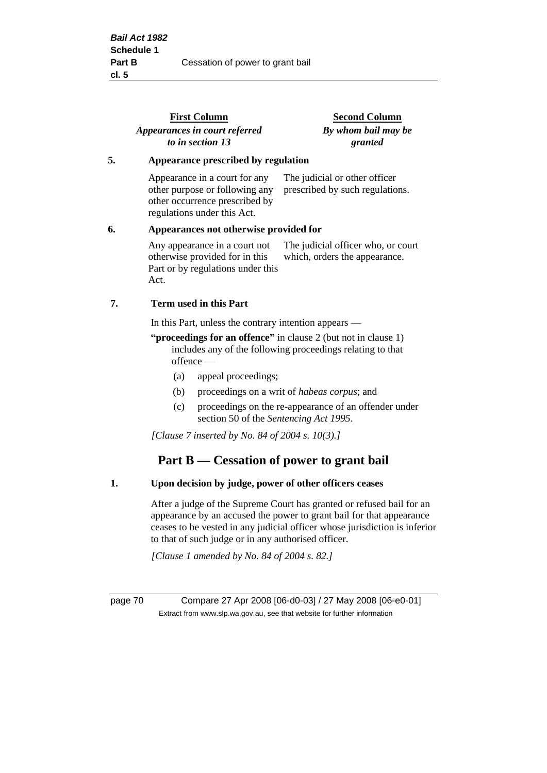|    | <b>First Column</b><br>Appearances in court referred<br>to in section 13                                                         | <b>Second Column</b><br>By whom bail may be<br>granted              |  |
|----|----------------------------------------------------------------------------------------------------------------------------------|---------------------------------------------------------------------|--|
| 5. | Appearance prescribed by regulation                                                                                              |                                                                     |  |
|    | Appearance in a court for any<br>other purpose or following any<br>other occurrence prescribed by<br>regulations under this Act. | The judicial or other officer<br>prescribed by such regulations.    |  |
| 6. | Appearances not otherwise provided for                                                                                           |                                                                     |  |
|    | Any appearance in a court not<br>otherwise provided for in this<br>Part or by regulations under this<br>Act.                     | The judicial officer who, or court<br>which, orders the appearance. |  |
| 7. | Term used in this Part                                                                                                           |                                                                     |  |
|    | In this Part, unless the contrary intention appears —                                                                            |                                                                     |  |
|    |                                                                                                                                  |                                                                     |  |

#### **"proceedings for an offence"** in clause 2 (but not in clause 1) includes any of the following proceedings relating to that offence —

- (a) appeal proceedings;
- (b) proceedings on a writ of *habeas corpus*; and
- (c) proceedings on the re-appearance of an offender under section 50 of the *Sentencing Act 1995*.

*[Clause 7 inserted by No. 84 of 2004 s. 10(3).]*

# **Part B — Cessation of power to grant bail**

### **1. Upon decision by judge, power of other officers ceases**

After a judge of the Supreme Court has granted or refused bail for an appearance by an accused the power to grant bail for that appearance ceases to be vested in any judicial officer whose jurisdiction is inferior to that of such judge or in any authorised officer.

*[Clause 1 amended by No. 84 of 2004 s. 82.]*

page 70 Compare 27 Apr 2008 [06-d0-03] / 27 May 2008 [06-e0-01] Extract from www.slp.wa.gov.au, see that website for further information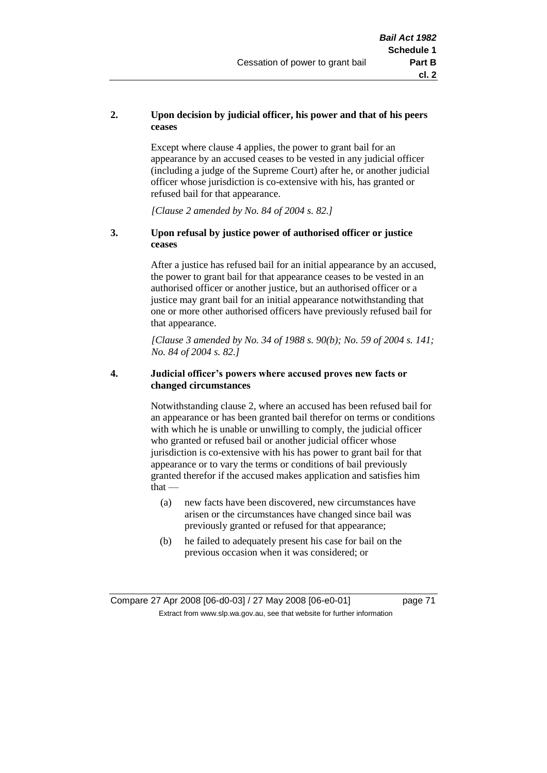# **2. Upon decision by judicial officer, his power and that of his peers ceases**

Except where clause 4 applies, the power to grant bail for an appearance by an accused ceases to be vested in any judicial officer (including a judge of the Supreme Court) after he, or another judicial officer whose jurisdiction is co-extensive with his, has granted or refused bail for that appearance.

*[Clause 2 amended by No. 84 of 2004 s. 82.]*

# **3. Upon refusal by justice power of authorised officer or justice ceases**

After a justice has refused bail for an initial appearance by an accused, the power to grant bail for that appearance ceases to be vested in an authorised officer or another justice, but an authorised officer or a justice may grant bail for an initial appearance notwithstanding that one or more other authorised officers have previously refused bail for that appearance.

*[Clause 3 amended by No. 34 of 1988 s. 90(b); No. 59 of 2004 s. 141; No. 84 of 2004 s. 82.]*

## **4. Judicial officer's powers where accused proves new facts or changed circumstances**

Notwithstanding clause 2, where an accused has been refused bail for an appearance or has been granted bail therefor on terms or conditions with which he is unable or unwilling to comply, the judicial officer who granted or refused bail or another judicial officer whose jurisdiction is co-extensive with his has power to grant bail for that appearance or to vary the terms or conditions of bail previously granted therefor if the accused makes application and satisfies him  $that -$ 

- (a) new facts have been discovered, new circumstances have arisen or the circumstances have changed since bail was previously granted or refused for that appearance;
- (b) he failed to adequately present his case for bail on the previous occasion when it was considered; or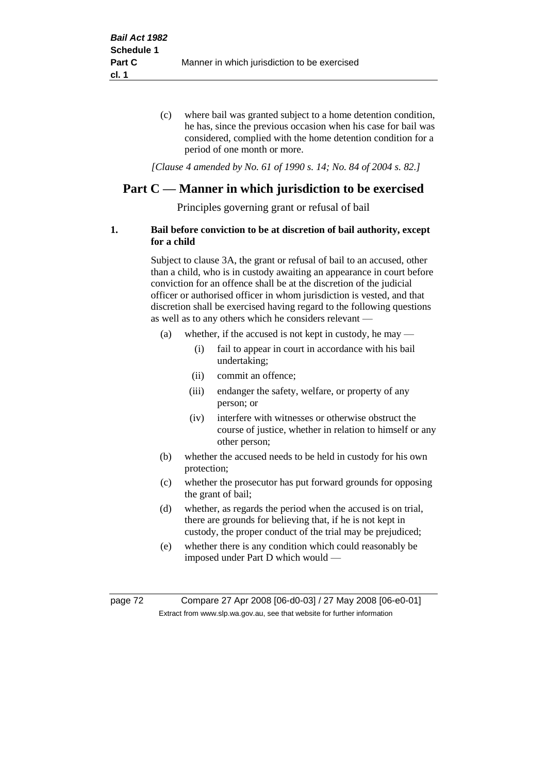(c) where bail was granted subject to a home detention condition, he has, since the previous occasion when his case for bail was considered, complied with the home detention condition for a period of one month or more.

*[Clause 4 amended by No. 61 of 1990 s. 14; No. 84 of 2004 s. 82.]*

# **Part C — Manner in which jurisdiction to be exercised**

Principles governing grant or refusal of bail

# **1. Bail before conviction to be at discretion of bail authority, except for a child**

Subject to clause 3A, the grant or refusal of bail to an accused, other than a child, who is in custody awaiting an appearance in court before conviction for an offence shall be at the discretion of the judicial officer or authorised officer in whom jurisdiction is vested, and that discretion shall be exercised having regard to the following questions as well as to any others which he considers relevant —

- (a) whether, if the accused is not kept in custody, he may
	- (i) fail to appear in court in accordance with his bail undertaking;
	- (ii) commit an offence;
	- (iii) endanger the safety, welfare, or property of any person; or
	- (iv) interfere with witnesses or otherwise obstruct the course of justice, whether in relation to himself or any other person;
- (b) whether the accused needs to be held in custody for his own protection;
- (c) whether the prosecutor has put forward grounds for opposing the grant of bail;
- (d) whether, as regards the period when the accused is on trial, there are grounds for believing that, if he is not kept in custody, the proper conduct of the trial may be prejudiced;
- (e) whether there is any condition which could reasonably be imposed under Part D which would —

page 72 Compare 27 Apr 2008 [06-d0-03] / 27 May 2008 [06-e0-01] Extract from www.slp.wa.gov.au, see that website for further information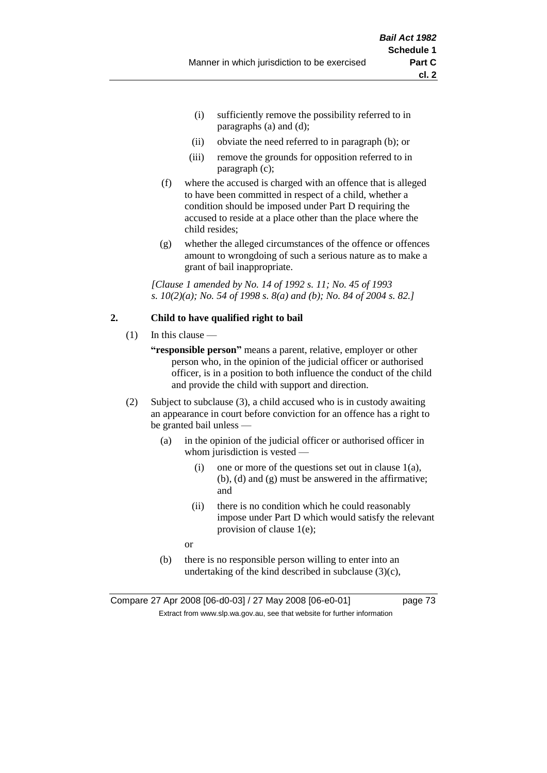- (i) sufficiently remove the possibility referred to in paragraphs (a) and (d);
- (ii) obviate the need referred to in paragraph (b); or
- (iii) remove the grounds for opposition referred to in paragraph (c);
- (f) where the accused is charged with an offence that is alleged to have been committed in respect of a child, whether a condition should be imposed under Part D requiring the accused to reside at a place other than the place where the child resides;
- (g) whether the alleged circumstances of the offence or offences amount to wrongdoing of such a serious nature as to make a grant of bail inappropriate.

*[Clause 1 amended by No. 14 of 1992 s. 11; No. 45 of 1993 s. 10(2)(a); No. 54 of 1998 s. 8(a) and (b); No. 84 of 2004 s. 82.]*

# **2. Child to have qualified right to bail**

- $(1)$  In this clause
	- **"responsible person"** means a parent, relative, employer or other person who, in the opinion of the judicial officer or authorised officer, is in a position to both influence the conduct of the child and provide the child with support and direction.
- (2) Subject to subclause (3), a child accused who is in custody awaiting an appearance in court before conviction for an offence has a right to be granted bail unless —
	- (a) in the opinion of the judicial officer or authorised officer in whom jurisdiction is vested —
		- (i) one or more of the questions set out in clause  $1(a)$ , (b), (d) and (g) must be answered in the affirmative; and
		- (ii) there is no condition which he could reasonably impose under Part D which would satisfy the relevant provision of clause 1(e);
		- or
	- (b) there is no responsible person willing to enter into an undertaking of the kind described in subclause  $(3)(c)$ ,

Compare 27 Apr 2008 [06-d0-03] / 27 May 2008 [06-e0-01] page 73 Extract from www.slp.wa.gov.au, see that website for further information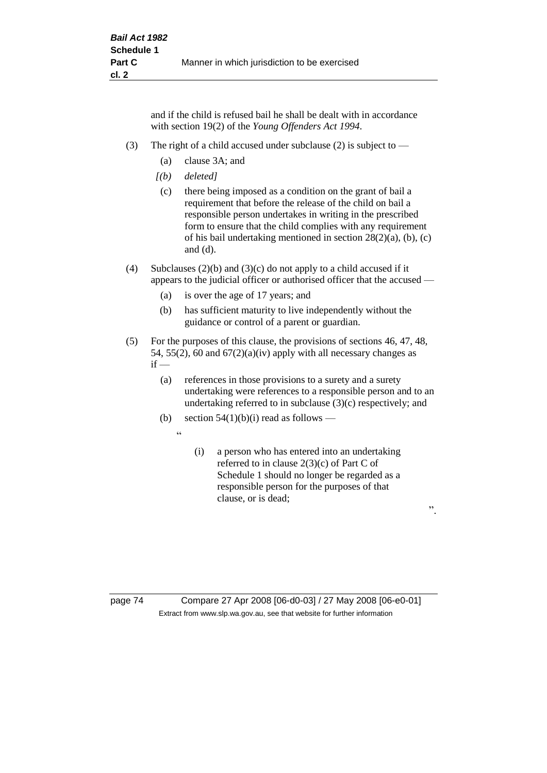and if the child is refused bail he shall be dealt with in accordance with section 19(2) of the *Young Offenders Act 1994*.

- (3) The right of a child accused under subclause (2) is subject to  $-$ 
	- (a) clause 3A; and
	- *[(b) deleted]*
	- (c) there being imposed as a condition on the grant of bail a requirement that before the release of the child on bail a responsible person undertakes in writing in the prescribed form to ensure that the child complies with any requirement of his bail undertaking mentioned in section 28(2)(a), (b), (c) and (d).
- (4) Subclauses (2)(b) and (3)(c) do not apply to a child accused if it appears to the judicial officer or authorised officer that the accused —
	- (a) is over the age of 17 years; and
	- (b) has sufficient maturity to live independently without the guidance or control of a parent or guardian.
- (5) For the purposes of this clause, the provisions of sections 46, 47, 48, 54, 55(2), 60 and  $67(2)(a)(iv)$  apply with all necessary changes as  $if -$ 
	- (a) references in those provisions to a surety and a surety undertaking were references to a responsible person and to an undertaking referred to in subclause (3)(c) respectively; and
	- (b) section  $54(1)(b)(i)$  read as follows
		- $\ddot{a}$
- (i) a person who has entered into an undertaking referred to in clause 2(3)(c) of Part C of Schedule 1 should no longer be regarded as a responsible person for the purposes of that clause, or is dead;

".

page 74 Compare 27 Apr 2008 [06-d0-03] / 27 May 2008 [06-e0-01] Extract from www.slp.wa.gov.au, see that website for further information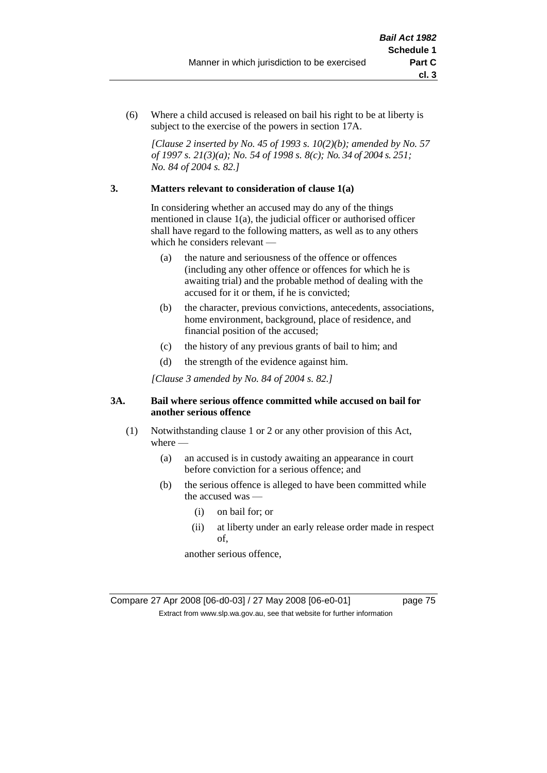(6) Where a child accused is released on bail his right to be at liberty is subject to the exercise of the powers in section 17A.

*[Clause 2 inserted by No. 45 of 1993 s. 10(2)(b); amended by No. 57 of 1997 s. 21(3)(a); No. 54 of 1998 s. 8(c); No. 34 of 2004 s. 251; No. 84 of 2004 s. 82.]*

# **3. Matters relevant to consideration of clause 1(a)**

In considering whether an accused may do any of the things mentioned in clause 1(a), the judicial officer or authorised officer shall have regard to the following matters, as well as to any others which he considers relevant —

- (a) the nature and seriousness of the offence or offences (including any other offence or offences for which he is awaiting trial) and the probable method of dealing with the accused for it or them, if he is convicted;
- (b) the character, previous convictions, antecedents, associations, home environment, background, place of residence, and financial position of the accused;
- (c) the history of any previous grants of bail to him; and
- (d) the strength of the evidence against him.

*[Clause 3 amended by No. 84 of 2004 s. 82.]*

# **3A. Bail where serious offence committed while accused on bail for another serious offence**

- (1) Notwithstanding clause 1 or 2 or any other provision of this Act, where —
	- (a) an accused is in custody awaiting an appearance in court before conviction for a serious offence; and
	- (b) the serious offence is alleged to have been committed while the accused was —
		- (i) on bail for; or
		- (ii) at liberty under an early release order made in respect of,

another serious offence,

Compare 27 Apr 2008 [06-d0-03] / 27 May 2008 [06-e0-01] page 75 Extract from www.slp.wa.gov.au, see that website for further information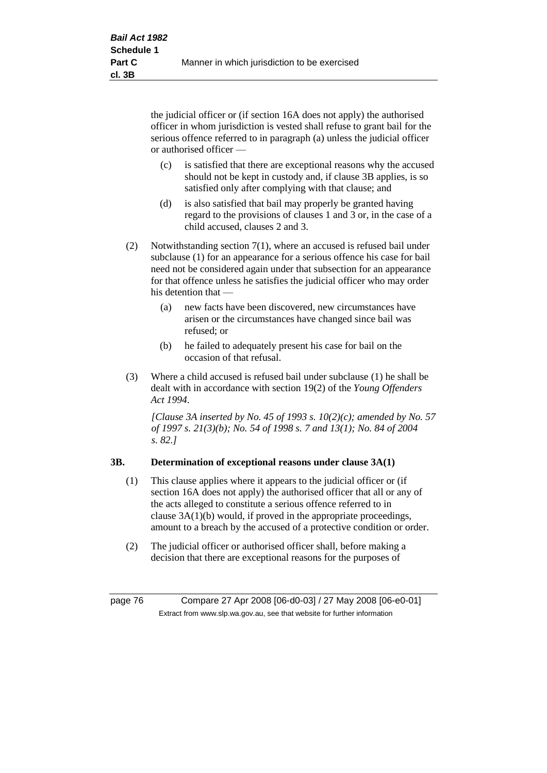the judicial officer or (if section 16A does not apply) the authorised officer in whom jurisdiction is vested shall refuse to grant bail for the serious offence referred to in paragraph (a) unless the judicial officer or authorised officer —

- (c) is satisfied that there are exceptional reasons why the accused should not be kept in custody and, if clause 3B applies, is so satisfied only after complying with that clause; and
- (d) is also satisfied that bail may properly be granted having regard to the provisions of clauses 1 and 3 or, in the case of a child accused, clauses 2 and 3.
- (2) Notwithstanding section 7(1), where an accused is refused bail under subclause (1) for an appearance for a serious offence his case for bail need not be considered again under that subsection for an appearance for that offence unless he satisfies the judicial officer who may order his detention that —
	- (a) new facts have been discovered, new circumstances have arisen or the circumstances have changed since bail was refused; or
	- (b) he failed to adequately present his case for bail on the occasion of that refusal.
- (3) Where a child accused is refused bail under subclause (1) he shall be dealt with in accordance with section 19(2) of the *Young Offenders Act 1994*.

*[Clause 3A inserted by No. 45 of 1993 s. 10(2)(c); amended by No. 57 of 1997 s. 21(3)(b); No. 54 of 1998 s. 7 and 13(1); No. 84 of 2004 s. 82.]*

# **3B. Determination of exceptional reasons under clause 3A(1)**

- (1) This clause applies where it appears to the judicial officer or (if section 16A does not apply) the authorised officer that all or any of the acts alleged to constitute a serious offence referred to in clause 3A(1)(b) would, if proved in the appropriate proceedings, amount to a breach by the accused of a protective condition or order.
- (2) The judicial officer or authorised officer shall, before making a decision that there are exceptional reasons for the purposes of

page 76 Compare 27 Apr 2008 [06-d0-03] / 27 May 2008 [06-e0-01] Extract from www.slp.wa.gov.au, see that website for further information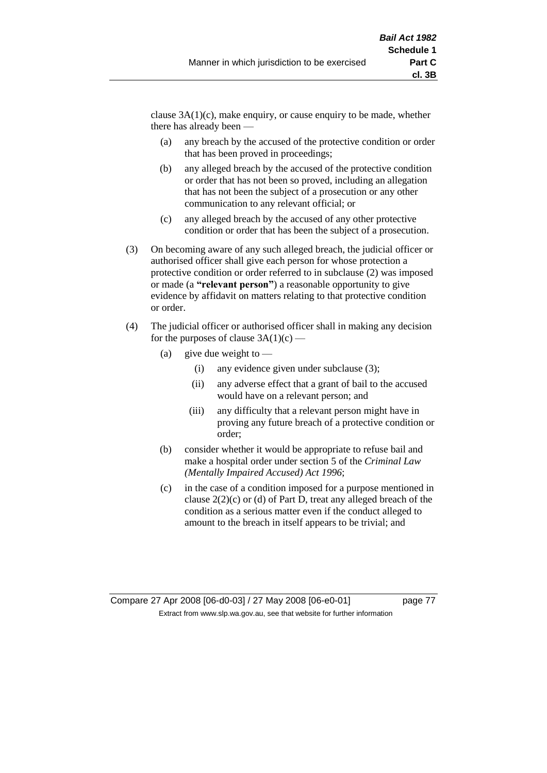clause  $3A(1)(c)$ , make enquiry, or cause enquiry to be made, whether there has already been —

- (a) any breach by the accused of the protective condition or order that has been proved in proceedings;
- (b) any alleged breach by the accused of the protective condition or order that has not been so proved, including an allegation that has not been the subject of a prosecution or any other communication to any relevant official; or
- (c) any alleged breach by the accused of any other protective condition or order that has been the subject of a prosecution.
- (3) On becoming aware of any such alleged breach, the judicial officer or authorised officer shall give each person for whose protection a protective condition or order referred to in subclause (2) was imposed or made (a **"relevant person"**) a reasonable opportunity to give evidence by affidavit on matters relating to that protective condition or order.
- (4) The judicial officer or authorised officer shall in making any decision for the purposes of clause  $3A(1)(c)$  —
	- (a) give due weight to  $-$ 
		- (i) any evidence given under subclause (3);
		- (ii) any adverse effect that a grant of bail to the accused would have on a relevant person; and
		- (iii) any difficulty that a relevant person might have in proving any future breach of a protective condition or order;
	- (b) consider whether it would be appropriate to refuse bail and make a hospital order under section 5 of the *Criminal Law (Mentally Impaired Accused) Act 1996*;
	- (c) in the case of a condition imposed for a purpose mentioned in clause 2(2)(c) or (d) of Part D, treat any alleged breach of the condition as a serious matter even if the conduct alleged to amount to the breach in itself appears to be trivial; and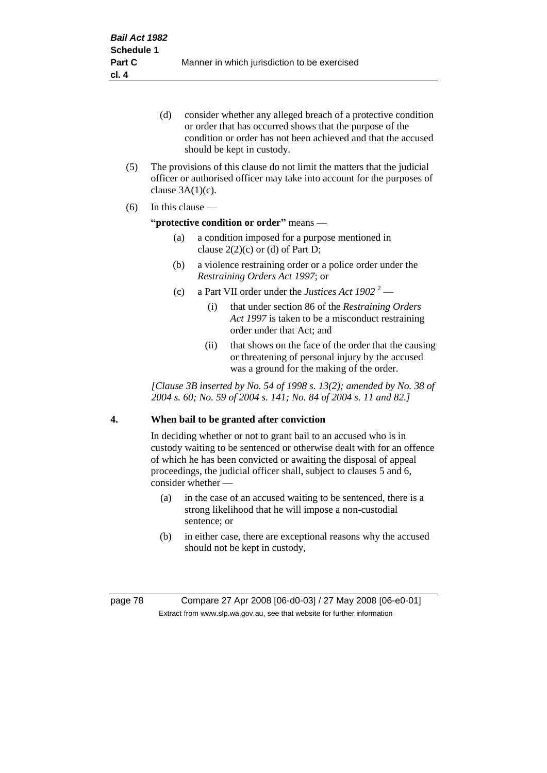- (d) consider whether any alleged breach of a protective condition or order that has occurred shows that the purpose of the condition or order has not been achieved and that the accused should be kept in custody.
- (5) The provisions of this clause do not limit the matters that the judicial officer or authorised officer may take into account for the purposes of clause  $3A(1)(c)$ .
- (6) In this clause —

# **"protective condition or order"** means —

- (a) a condition imposed for a purpose mentioned in clause  $2(2)(c)$  or (d) of Part D;
- (b) a violence restraining order or a police order under the *Restraining Orders Act 1997*; or
- (c) a Part VII order under the *Justices Act*  $1902^2$ 
	- (i) that under section 86 of the *Restraining Orders Act 1997* is taken to be a misconduct restraining order under that Act; and
	- (ii) that shows on the face of the order that the causing or threatening of personal injury by the accused was a ground for the making of the order.

*[Clause 3B inserted by No. 54 of 1998 s. 13(2); amended by No. 38 of 2004 s. 60; No. 59 of 2004 s. 141; No. 84 of 2004 s. 11 and 82.]*

# **4. When bail to be granted after conviction**

In deciding whether or not to grant bail to an accused who is in custody waiting to be sentenced or otherwise dealt with for an offence of which he has been convicted or awaiting the disposal of appeal proceedings, the judicial officer shall, subject to clauses 5 and 6, consider whether -

- (a) in the case of an accused waiting to be sentenced, there is a strong likelihood that he will impose a non-custodial sentence; or
- (b) in either case, there are exceptional reasons why the accused should not be kept in custody,

page 78 Compare 27 Apr 2008 [06-d0-03] / 27 May 2008 [06-e0-01] Extract from www.slp.wa.gov.au, see that website for further information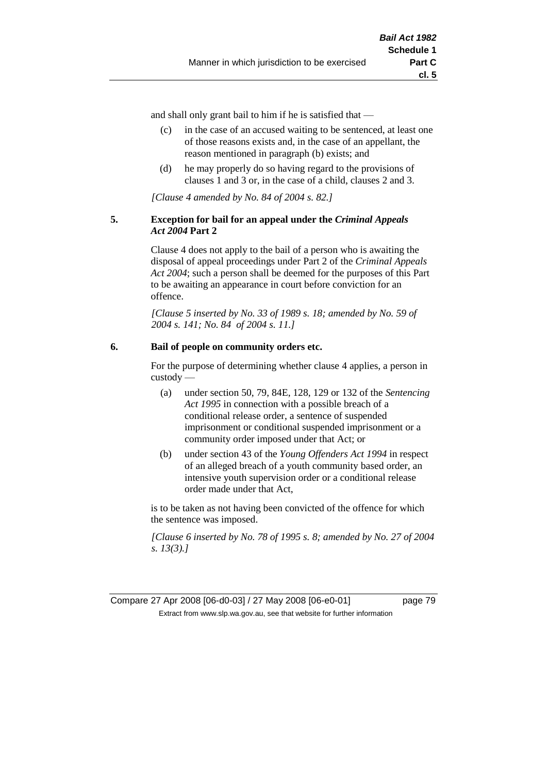and shall only grant bail to him if he is satisfied that —

- (c) in the case of an accused waiting to be sentenced, at least one of those reasons exists and, in the case of an appellant, the reason mentioned in paragraph (b) exists; and
- (d) he may properly do so having regard to the provisions of clauses 1 and 3 or, in the case of a child, clauses 2 and 3.

*[Clause 4 amended by No. 84 of 2004 s. 82.]*

## **5. Exception for bail for an appeal under the** *Criminal Appeals Act 2004* **Part 2**

Clause 4 does not apply to the bail of a person who is awaiting the disposal of appeal proceedings under Part 2 of the *Criminal Appeals Act 2004*; such a person shall be deemed for the purposes of this Part to be awaiting an appearance in court before conviction for an offence.

*[Clause 5 inserted by No. 33 of 1989 s. 18; amended by No. 59 of 2004 s. 141; No. 84 of 2004 s. 11.]*

# **6. Bail of people on community orders etc.**

For the purpose of determining whether clause 4 applies, a person in custody —

- (a) under section 50, 79, 84E, 128, 129 or 132 of the *Sentencing Act 1995* in connection with a possible breach of a conditional release order, a sentence of suspended imprisonment or conditional suspended imprisonment or a community order imposed under that Act; or
- (b) under section 43 of the *Young Offenders Act 1994* in respect of an alleged breach of a youth community based order, an intensive youth supervision order or a conditional release order made under that Act,

is to be taken as not having been convicted of the offence for which the sentence was imposed.

*[Clause 6 inserted by No. 78 of 1995 s. 8; amended by No. 27 of 2004 s. 13(3).]*

Compare 27 Apr 2008 [06-d0-03] / 27 May 2008 [06-e0-01] page 79 Extract from www.slp.wa.gov.au, see that website for further information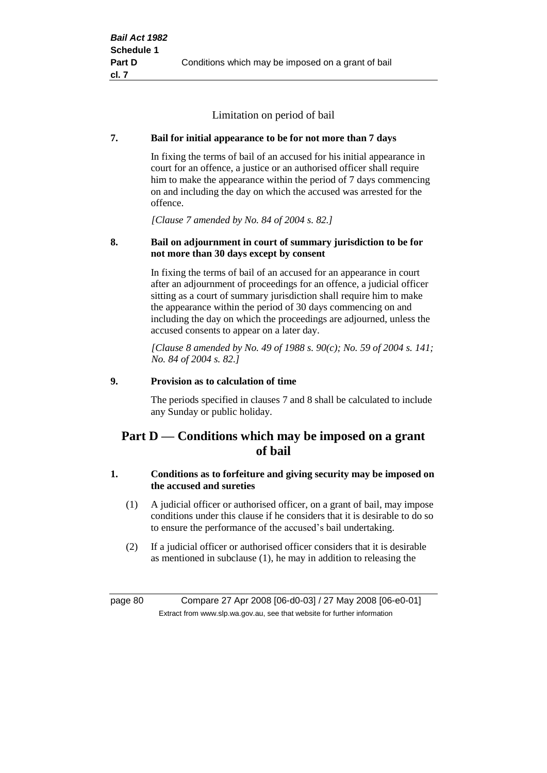Limitation on period of bail

# **7. Bail for initial appearance to be for not more than 7 days**

In fixing the terms of bail of an accused for his initial appearance in court for an offence, a justice or an authorised officer shall require him to make the appearance within the period of 7 days commencing on and including the day on which the accused was arrested for the offence.

*[Clause 7 amended by No. 84 of 2004 s. 82.]*

# **8. Bail on adjournment in court of summary jurisdiction to be for not more than 30 days except by consent**

In fixing the terms of bail of an accused for an appearance in court after an adjournment of proceedings for an offence, a judicial officer sitting as a court of summary jurisdiction shall require him to make the appearance within the period of 30 days commencing on and including the day on which the proceedings are adjourned, unless the accused consents to appear on a later day.

*[Clause 8 amended by No. 49 of 1988 s. 90(c); No. 59 of 2004 s. 141; No. 84 of 2004 s. 82.]*

# **9. Provision as to calculation of time**

The periods specified in clauses 7 and 8 shall be calculated to include any Sunday or public holiday.

# **Part D — Conditions which may be imposed on a grant of bail**

# **1. Conditions as to forfeiture and giving security may be imposed on the accused and sureties**

- (1) A judicial officer or authorised officer, on a grant of bail, may impose conditions under this clause if he considers that it is desirable to do so to ensure the performance of the accused's bail undertaking.
- (2) If a judicial officer or authorised officer considers that it is desirable as mentioned in subclause (1), he may in addition to releasing the

page 80 Compare 27 Apr 2008 [06-d0-03] / 27 May 2008 [06-e0-01] Extract from www.slp.wa.gov.au, see that website for further information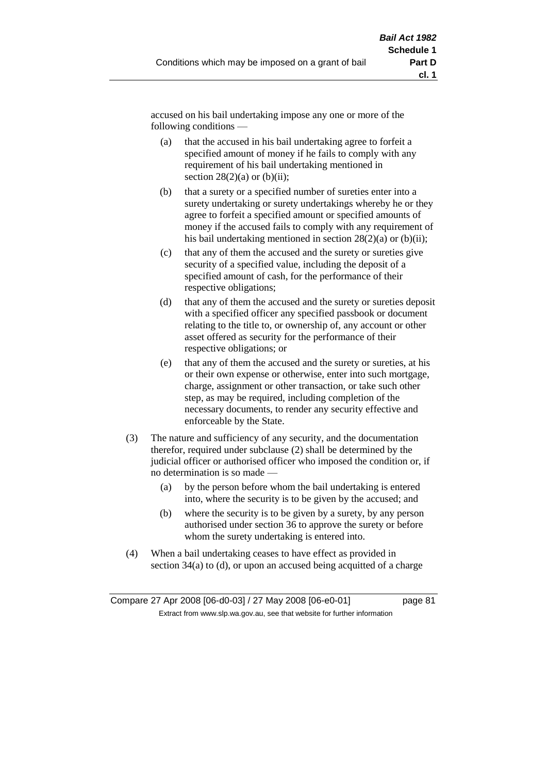accused on his bail undertaking impose any one or more of the following conditions —

- (a) that the accused in his bail undertaking agree to forfeit a specified amount of money if he fails to comply with any requirement of his bail undertaking mentioned in section  $28(2)(a)$  or  $(b)(ii)$ ;
- (b) that a surety or a specified number of sureties enter into a surety undertaking or surety undertakings whereby he or they agree to forfeit a specified amount or specified amounts of money if the accused fails to comply with any requirement of his bail undertaking mentioned in section  $28(2)(a)$  or (b)(ii);
- (c) that any of them the accused and the surety or sureties give security of a specified value, including the deposit of a specified amount of cash, for the performance of their respective obligations;
- (d) that any of them the accused and the surety or sureties deposit with a specified officer any specified passbook or document relating to the title to, or ownership of, any account or other asset offered as security for the performance of their respective obligations; or
- (e) that any of them the accused and the surety or sureties, at his or their own expense or otherwise, enter into such mortgage, charge, assignment or other transaction, or take such other step, as may be required, including completion of the necessary documents, to render any security effective and enforceable by the State.
- (3) The nature and sufficiency of any security, and the documentation therefor, required under subclause (2) shall be determined by the judicial officer or authorised officer who imposed the condition or, if no determination is so made —
	- (a) by the person before whom the bail undertaking is entered into, where the security is to be given by the accused; and
	- (b) where the security is to be given by a surety, by any person authorised under section 36 to approve the surety or before whom the surety undertaking is entered into.
- (4) When a bail undertaking ceases to have effect as provided in section 34(a) to (d), or upon an accused being acquitted of a charge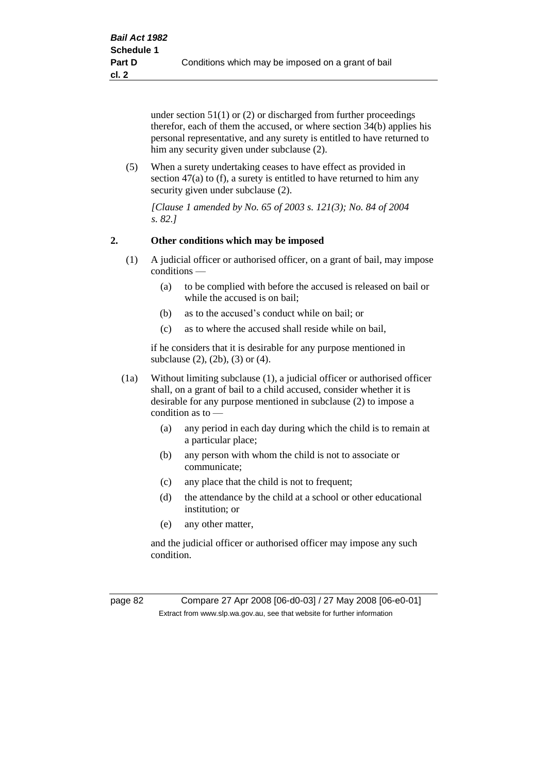under section 51(1) or (2) or discharged from further proceedings therefor, each of them the accused, or where section 34(b) applies his personal representative, and any surety is entitled to have returned to him any security given under subclause (2).

(5) When a surety undertaking ceases to have effect as provided in section 47(a) to (f), a surety is entitled to have returned to him any security given under subclause (2).

*[Clause 1 amended by No. 65 of 2003 s. 121(3); No. 84 of 2004 s. 82.]*

# **2. Other conditions which may be imposed**

- (1) A judicial officer or authorised officer, on a grant of bail, may impose conditions —
	- (a) to be complied with before the accused is released on bail or while the accused is on bail;
	- (b) as to the accused's conduct while on bail; or
	- (c) as to where the accused shall reside while on bail,

if he considers that it is desirable for any purpose mentioned in subclause (2), (2b), (3) or (4).

- (1a) Without limiting subclause (1), a judicial officer or authorised officer shall, on a grant of bail to a child accused, consider whether it is desirable for any purpose mentioned in subclause (2) to impose a condition as to —
	- (a) any period in each day during which the child is to remain at a particular place;
	- (b) any person with whom the child is not to associate or communicate;
	- (c) any place that the child is not to frequent;
	- (d) the attendance by the child at a school or other educational institution; or
	- (e) any other matter,

and the judicial officer or authorised officer may impose any such condition.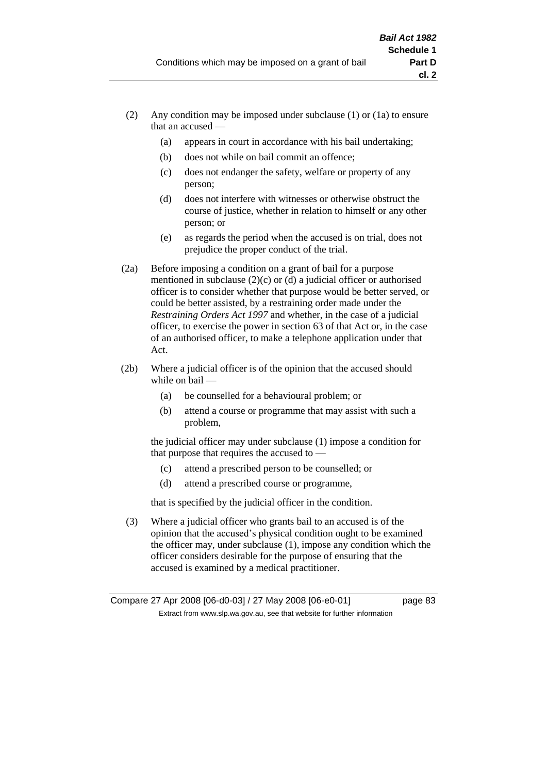- (2) Any condition may be imposed under subclause (1) or (1a) to ensure that an accused —
	- (a) appears in court in accordance with his bail undertaking;
	- (b) does not while on bail commit an offence;
	- (c) does not endanger the safety, welfare or property of any person;
	- (d) does not interfere with witnesses or otherwise obstruct the course of justice, whether in relation to himself or any other person; or
	- (e) as regards the period when the accused is on trial, does not prejudice the proper conduct of the trial.
- (2a) Before imposing a condition on a grant of bail for a purpose mentioned in subclause (2)(c) or (d) a judicial officer or authorised officer is to consider whether that purpose would be better served, or could be better assisted, by a restraining order made under the *Restraining Orders Act 1997* and whether, in the case of a judicial officer, to exercise the power in section 63 of that Act or, in the case of an authorised officer, to make a telephone application under that Act.
- (2b) Where a judicial officer is of the opinion that the accused should while on bail -
	- (a) be counselled for a behavioural problem; or
	- (b) attend a course or programme that may assist with such a problem,

the judicial officer may under subclause (1) impose a condition for that purpose that requires the accused to —

- (c) attend a prescribed person to be counselled; or
- (d) attend a prescribed course or programme,

that is specified by the judicial officer in the condition.

(3) Where a judicial officer who grants bail to an accused is of the opinion that the accused's physical condition ought to be examined the officer may, under subclause (1), impose any condition which the officer considers desirable for the purpose of ensuring that the accused is examined by a medical practitioner.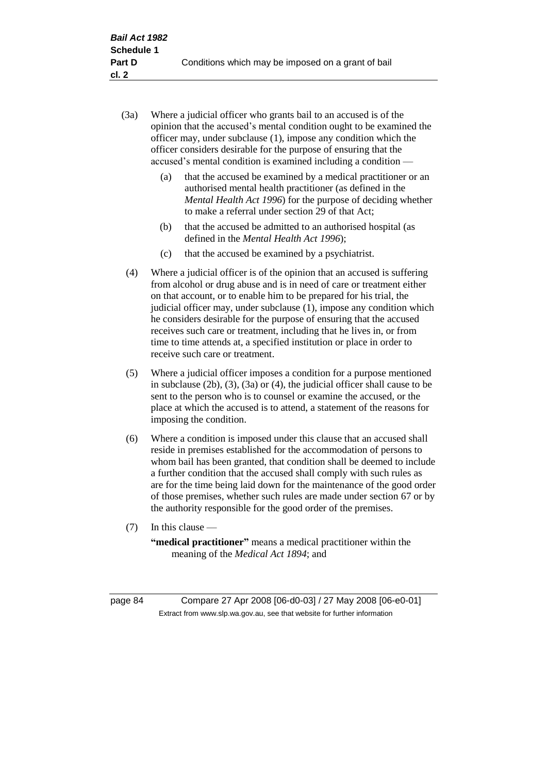- (3a) Where a judicial officer who grants bail to an accused is of the opinion that the accused's mental condition ought to be examined the officer may, under subclause (1), impose any condition which the officer considers desirable for the purpose of ensuring that the accused's mental condition is examined including a condition —
	- (a) that the accused be examined by a medical practitioner or an authorised mental health practitioner (as defined in the *Mental Health Act 1996*) for the purpose of deciding whether to make a referral under section 29 of that Act;
	- (b) that the accused be admitted to an authorised hospital (as defined in the *Mental Health Act 1996*);
	- (c) that the accused be examined by a psychiatrist.
- (4) Where a judicial officer is of the opinion that an accused is suffering from alcohol or drug abuse and is in need of care or treatment either on that account, or to enable him to be prepared for his trial, the judicial officer may, under subclause (1), impose any condition which he considers desirable for the purpose of ensuring that the accused receives such care or treatment, including that he lives in, or from time to time attends at, a specified institution or place in order to receive such care or treatment.
- (5) Where a judicial officer imposes a condition for a purpose mentioned in subclause (2b), (3), (3a) or (4), the judicial officer shall cause to be sent to the person who is to counsel or examine the accused, or the place at which the accused is to attend, a statement of the reasons for imposing the condition.
- (6) Where a condition is imposed under this clause that an accused shall reside in premises established for the accommodation of persons to whom bail has been granted, that condition shall be deemed to include a further condition that the accused shall comply with such rules as are for the time being laid down for the maintenance of the good order of those premises, whether such rules are made under section 67 or by the authority responsible for the good order of the premises.
- (7) In this clause —

**"medical practitioner"** means a medical practitioner within the meaning of the *Medical Act 1894*; and

page 84 Compare 27 Apr 2008 [06-d0-03] / 27 May 2008 [06-e0-01] Extract from www.slp.wa.gov.au, see that website for further information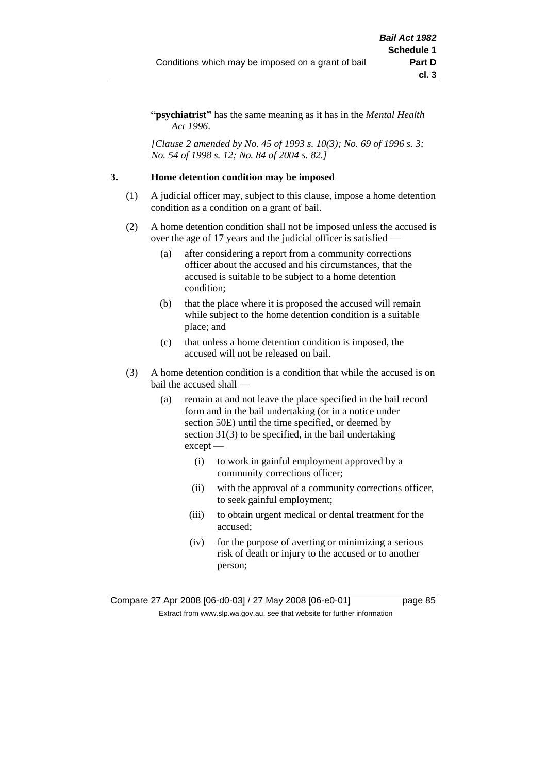**"psychiatrist"** has the same meaning as it has in the *Mental Health Act 1996*.

*[Clause 2 amended by No. 45 of 1993 s. 10(3); No. 69 of 1996 s. 3; No. 54 of 1998 s. 12; No. 84 of 2004 s. 82.]*

## **3. Home detention condition may be imposed**

- (1) A judicial officer may, subject to this clause, impose a home detention condition as a condition on a grant of bail.
- (2) A home detention condition shall not be imposed unless the accused is over the age of 17 years and the judicial officer is satisfied —
	- (a) after considering a report from a community corrections officer about the accused and his circumstances, that the accused is suitable to be subject to a home detention condition;
	- (b) that the place where it is proposed the accused will remain while subject to the home detention condition is a suitable place; and
	- (c) that unless a home detention condition is imposed, the accused will not be released on bail.
- (3) A home detention condition is a condition that while the accused is on bail the accused shall —
	- (a) remain at and not leave the place specified in the bail record form and in the bail undertaking (or in a notice under section 50E) until the time specified, or deemed by section 31(3) to be specified, in the bail undertaking except —
		- (i) to work in gainful employment approved by a community corrections officer;
		- (ii) with the approval of a community corrections officer, to seek gainful employment;
		- (iii) to obtain urgent medical or dental treatment for the accused;
		- (iv) for the purpose of averting or minimizing a serious risk of death or injury to the accused or to another person;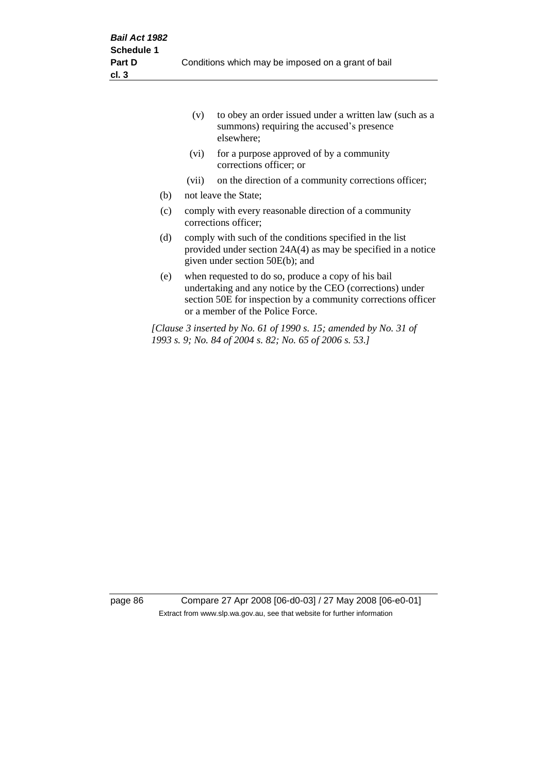|     | (v)                                                                                                                                                            | to obey an order issued under a written law (such as a<br>summons) requiring the accused's presence<br>elsewhere;                                                                                                     |  |
|-----|----------------------------------------------------------------------------------------------------------------------------------------------------------------|-----------------------------------------------------------------------------------------------------------------------------------------------------------------------------------------------------------------------|--|
|     | (vi)                                                                                                                                                           | for a purpose approved of by a community<br>corrections officer; or                                                                                                                                                   |  |
|     | (vii)                                                                                                                                                          | on the direction of a community corrections officer;                                                                                                                                                                  |  |
| (b) |                                                                                                                                                                | not leave the State;                                                                                                                                                                                                  |  |
| (c) | comply with every reasonable direction of a community<br>corrections officer;                                                                                  |                                                                                                                                                                                                                       |  |
| (d) | comply with such of the conditions specified in the list<br>provided under section $24A(4)$ as may be specified in a notice<br>given under section 50E(b); and |                                                                                                                                                                                                                       |  |
| (e) |                                                                                                                                                                | when requested to do so, produce a copy of his bail<br>undertaking and any notice by the CEO (corrections) under<br>section 50E for inspection by a community corrections officer<br>or a member of the Police Force. |  |
|     |                                                                                                                                                                | [Clause 3 inserted by No. 61 of 1990 s. 15; amended by No. 31 of<br>1993 s. 9; No. 84 of 2004 s. 82; No. 65 of 2006 s. 53.]                                                                                           |  |

page 86 Compare 27 Apr 2008 [06-d0-03] / 27 May 2008 [06-e0-01] Extract from www.slp.wa.gov.au, see that website for further information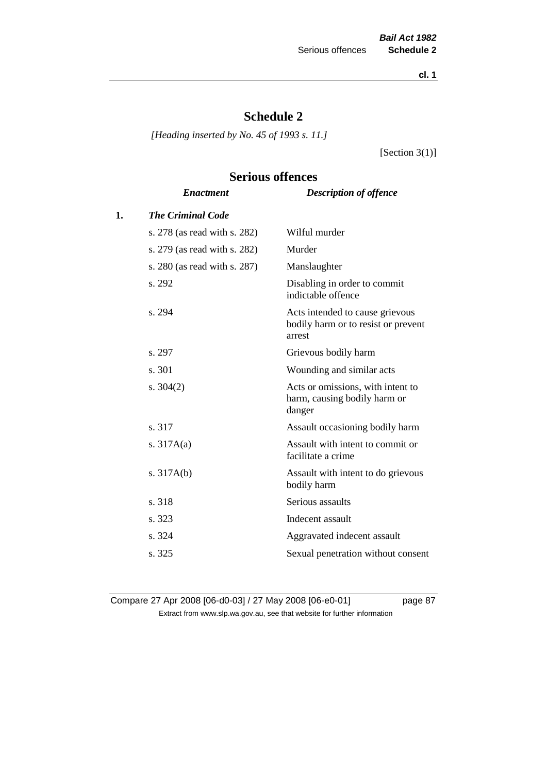**cl. 1**

# **Schedule 2**

*[Heading inserted by No. 45 of 1993 s. 11.]*

[Section 3(1)]

# **Serious offences**

|    | <b>Enactment</b>             | <b>Description of offence</b>                                                    |
|----|------------------------------|----------------------------------------------------------------------------------|
| 1. | <b>The Criminal Code</b>     |                                                                                  |
|    | s. 278 (as read with s. 282) | Wilful murder                                                                    |
|    | s. 279 (as read with s. 282) | Murder                                                                           |
|    | s. 280 (as read with s. 287) | Manslaughter                                                                     |
|    | s. 292                       | Disabling in order to commit<br>indictable offence                               |
|    | s. 294                       | Acts intended to cause grievous<br>bodily harm or to resist or prevent<br>arrest |
|    | s. 297                       | Grievous bodily harm                                                             |
|    | s. 301                       | Wounding and similar acts                                                        |
|    | s. $304(2)$                  | Acts or omissions, with intent to<br>harm, causing bodily harm or<br>danger      |
|    | s. 317                       | Assault occasioning bodily harm                                                  |
|    | s. $317A(a)$                 | Assault with intent to commit or<br>facilitate a crime                           |
|    | s. $317A(b)$                 | Assault with intent to do grievous<br>bodily harm                                |
|    | s. 318                       | Serious assaults                                                                 |
|    | s. 323                       | Indecent assault                                                                 |
|    | s. 324                       | Aggravated indecent assault                                                      |
|    | s. 325                       | Sexual penetration without consent                                               |
|    |                              |                                                                                  |

Compare 27 Apr 2008 [06-d0-03] / 27 May 2008 [06-e0-01] page 87 Extract from www.slp.wa.gov.au, see that website for further information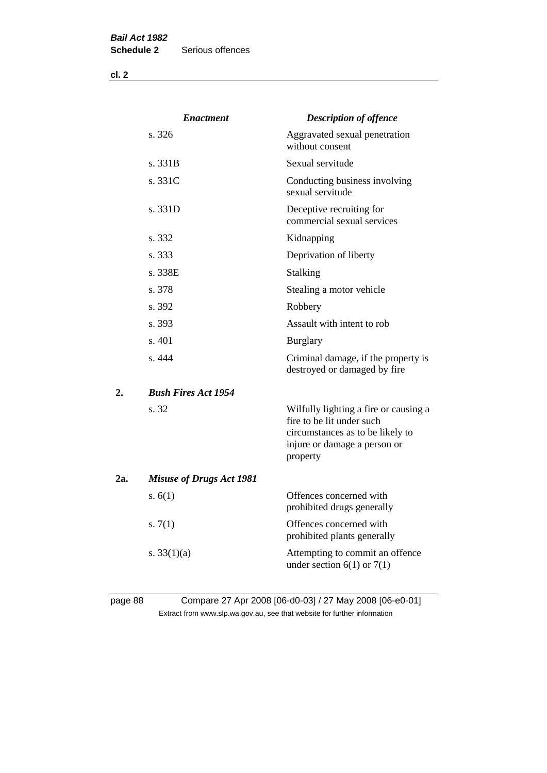**cl. 2**

|     | <b>Enactment</b>                | <b>Description of offence</b>                                                                                                                      |
|-----|---------------------------------|----------------------------------------------------------------------------------------------------------------------------------------------------|
|     | s. 326                          | Aggravated sexual penetration<br>without consent                                                                                                   |
|     | s. 331B                         | Sexual servitude                                                                                                                                   |
|     | s. 331C                         | Conducting business involving<br>sexual servitude                                                                                                  |
|     | s.331D                          | Deceptive recruiting for<br>commercial sexual services                                                                                             |
|     | s. 332                          | Kidnapping                                                                                                                                         |
|     | s. 333                          | Deprivation of liberty                                                                                                                             |
|     | s. 338E                         | Stalking                                                                                                                                           |
|     | s. 378                          | Stealing a motor vehicle                                                                                                                           |
|     | s. 392                          | Robbery                                                                                                                                            |
|     | s. 393                          | Assault with intent to rob                                                                                                                         |
|     | s. 401                          | <b>Burglary</b>                                                                                                                                    |
|     | s. 444                          | Criminal damage, if the property is<br>destroyed or damaged by fire                                                                                |
| 2.  | <b>Bush Fires Act 1954</b>      |                                                                                                                                                    |
|     | s. 32                           | Wilfully lighting a fire or causing a<br>fire to be lit under such<br>circumstances as to be likely to<br>injure or damage a person or<br>property |
| 2a. | <b>Misuse of Drugs Act 1981</b> |                                                                                                                                                    |
|     | s. $6(1)$                       | Offences concerned with<br>prohibited drugs generally                                                                                              |
|     | s. $7(1)$                       | Offences concerned with<br>prohibited plants generally                                                                                             |
|     | s. $33(1)(a)$                   | Attempting to commit an offence<br>under section $6(1)$ or $7(1)$                                                                                  |

# page 88 Compare 27 Apr 2008 [06-d0-03] / 27 May 2008 [06-e0-01] Extract from www.slp.wa.gov.au, see that website for further information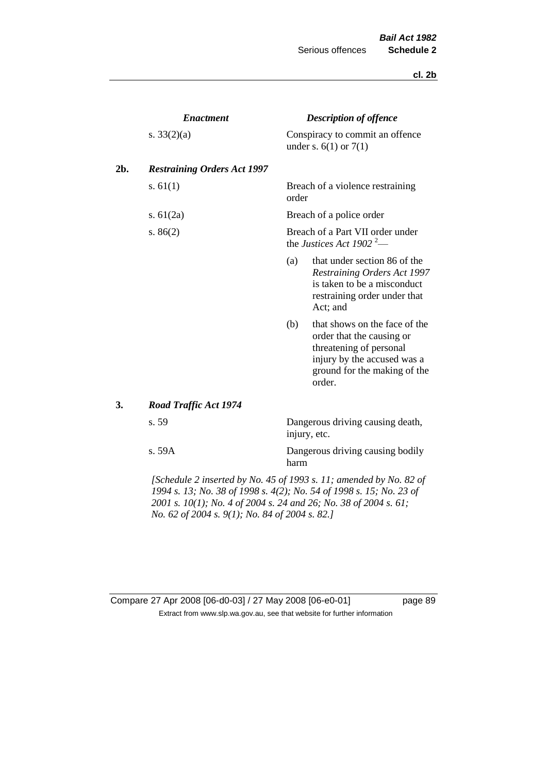#### **cl. 2b**

|     | <b>Enactment</b>                                                      |       | <b>Description of offence</b>                                                                                                                                  |
|-----|-----------------------------------------------------------------------|-------|----------------------------------------------------------------------------------------------------------------------------------------------------------------|
|     | s. $33(2)(a)$                                                         |       | Conspiracy to commit an offence<br>under s. $6(1)$ or $7(1)$                                                                                                   |
| 2b. | <b>Restraining Orders Act 1997</b>                                    |       |                                                                                                                                                                |
|     | s. $61(1)$                                                            | order | Breach of a violence restraining                                                                                                                               |
|     | s. $61(2a)$                                                           |       | Breach of a police order                                                                                                                                       |
|     | s. $86(2)$                                                            |       | Breach of a Part VII order under<br>the Justices Act 1902 <sup>2</sup> —                                                                                       |
|     |                                                                       | (a)   | that under section 86 of the<br><b>Restraining Orders Act 1997</b><br>is taken to be a misconduct<br>restraining order under that<br>Act; and                  |
|     |                                                                       | (b)   | that shows on the face of the<br>order that the causing or<br>threatening of personal<br>injury by the accused was a<br>ground for the making of the<br>order. |
| 3.  | <b>Road Traffic Act 1974</b>                                          |       |                                                                                                                                                                |
|     | s. 59                                                                 |       | Dangerous driving causing death,<br>injury, etc.                                                                                                               |
|     | s. 59A                                                                | harm  | Dangerous driving causing bodily                                                                                                                               |
|     | $I$ Schodule 2 inserted by No. 45 of 1002 s. 11; amended by No. 82 of |       |                                                                                                                                                                |

*[Schedule 2 inserted by No. 45 of 1993 s. 11; amended by No. 82 of 1994 s. 13; No. 38 of 1998 s. 4(2); No. 54 of 1998 s. 15; No. 23 of 2001 s. 10(1); No. 4 of 2004 s. 24 and 26; No. 38 of 2004 s. 61; No. 62 of 2004 s. 9(1); No. 84 of 2004 s. 82.]* 

| Compare 27 Apr 2008 [06-d0-03] / 27 May 2008 [06-e0-01]                  |
|--------------------------------------------------------------------------|
| Extract from www.slp.wa.gov.au, see that website for further information |

page 89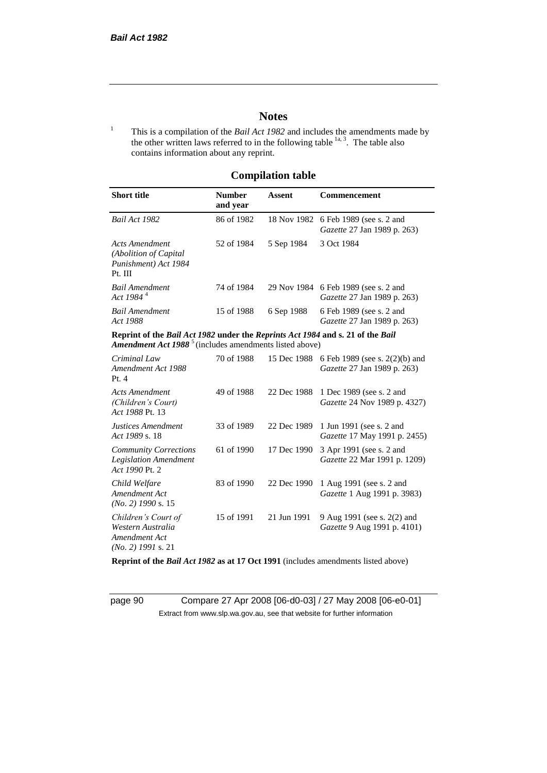# **Notes**

<sup>1</sup> This is a compilation of the *Bail Act 1982* and includes the amendments made by the other written laws referred to in the following table  $\frac{1}{a}$ , The table also contains information about any reprint.

# **Compilation table**

| <b>Short title</b>                                                                                                                                   | <b>Number</b><br>and year | Assent     | <b>Commencement</b>                                                        |
|------------------------------------------------------------------------------------------------------------------------------------------------------|---------------------------|------------|----------------------------------------------------------------------------|
| Bail Act 1982                                                                                                                                        | 86 of 1982                |            | 18 Nov 1982 6 Feb 1989 (see s. 2 and<br><i>Gazette</i> 27 Jan 1989 p. 263) |
| Acts Amendment<br>(Abolition of Capital)<br>Punishment) Act 1984<br>Pt. III                                                                          | 52 of 1984                | 5 Sep 1984 | 3 Oct 1984                                                                 |
| <b>Bail Amendment</b><br>Act 1984 <sup>4</sup>                                                                                                       | 74 of 1984                |            | 29 Nov 1984 6 Feb 1989 (see s. 2 and<br><i>Gazette</i> 27 Jan 1989 p. 263) |
| <b>Bail Amendment</b><br>Act 1988                                                                                                                    | 15 of 1988                | 6 Sep 1988 | 6 Feb 1989 (see s. 2 and<br><i>Gazette</i> 27 Jan 1989 p. 263)             |
| Reprint of the Bail Act 1982 under the Reprints Act 1984 and s. 21 of the Bail<br>Amendment Act 1988 <sup>5</sup> (includes amendments listed above) |                           |            |                                                                            |
| Criminal Law<br>Amendment Act 1988                                                                                                                   | 70 of 1988                |            | 15 Dec 1988 6 Feb 1989 (see s. 2(2)(b) and<br>Gazette 27 Jan 1989 p. 263). |

| Amendment Act 1988<br>Pt.4                                                        |            | 10.0001700  | $\sigma$ 1 co 1,000 (500 $\sigma$ = $(2/10)$ and<br>Gazette 27 Jan 1989 p. 263) |
|-----------------------------------------------------------------------------------|------------|-------------|---------------------------------------------------------------------------------|
| Acts Amendment<br>(Children's Court)<br>Act 1988 Pt. 13                           | 49 of 1988 | 22 Dec 1988 | 1 Dec 1989 (see s. 2 and<br>Gazette 24 Nov 1989 p. 4327)                        |
| Justices Amendment<br>Act 1989 s. 18                                              | 33 of 1989 |             | 22 Dec 1989 1 Jun 1991 (see s. 2 and<br><i>Gazette</i> 17 May 1991 p. 2455)     |
| <b>Community Corrections</b><br><b>Legislation Amendment</b><br>Act 1990 Pt. 2    | 61 of 1990 | 17 Dec 1990 | 3 Apr 1991 (see s. 2 and<br>Gazette 22 Mar 1991 p. 1209)                        |
| Child Welfare<br>Amendment Act<br>$(No. 2)$ 1990 s. 15                            | 83 of 1990 | 22 Dec 1990 | 1 Aug 1991 (see s. 2 and<br>Gazette 1 Aug 1991 p. 3983)                         |
| Children's Court of<br>Western Australia<br>Amendment Act<br>$(No. 2)$ 1991 s. 21 | 15 of 1991 | 21 Jun 1991 | 9 Aug 1991 (see s. 2(2) and<br>Gazette 9 Aug 1991 p. 4101)                      |

**Reprint of the** *Bail Act 1982* **as at 17 Oct 1991** (includes amendments listed above)

page 90 Compare 27 Apr 2008 [06-d0-03] / 27 May 2008 [06-e0-01] Extract from www.slp.wa.gov.au, see that website for further information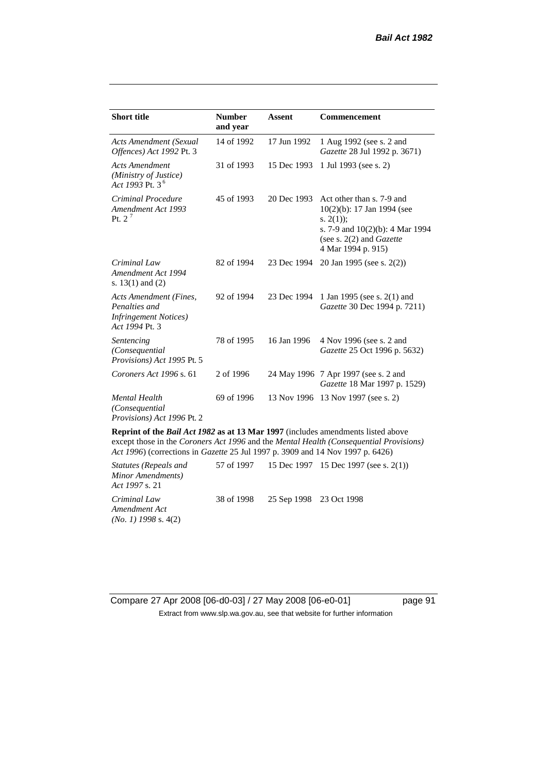| <b>Short title</b>                                                                         | <b>Number</b><br>and year | <b>Assent</b> | Commencement                                                                                                                                                            |
|--------------------------------------------------------------------------------------------|---------------------------|---------------|-------------------------------------------------------------------------------------------------------------------------------------------------------------------------|
| <b>Acts Amendment (Sexual</b><br>Offences) Act 1992 Pt. 3                                  | 14 of 1992                | 17 Jun 1992   | 1 Aug 1992 (see s. 2 and<br>Gazette 28 Jul 1992 p. 3671)                                                                                                                |
| <b>Acts Amendment</b><br>(Ministry of Justice)<br>Act 1993 Pt. 3 <sup>6</sup>              | 31 of 1993                | 15 Dec 1993   | 1 Jul 1993 (see s. 2)                                                                                                                                                   |
| Criminal Procedure<br>Amendment Act 1993<br>Pt. $2^7$                                      | 45 of 1993                | 20 Dec 1993   | Act other than s. 7-9 and<br>10(2)(b): 17 Jan 1994 (see<br>s. $2(1)$ ;<br>s. 7-9 and $10(2)(b)$ : 4 Mar 1994<br>(see s. $2(2)$ and <i>Gazette</i><br>4 Mar 1994 p. 915) |
| Criminal Law<br>Amendment Act 1994<br>s. $13(1)$ and $(2)$                                 | 82 of 1994                | 23 Dec 1994   | 20 Jan 1995 (see s. 2(2))                                                                                                                                               |
| Acts Amendment (Fines,<br>Penalties and<br><b>Infringement Notices</b> )<br>Act 1994 Pt. 3 | 92 of 1994                | 23 Dec 1994   | 1 Jan 1995 (see s. 2(1) and<br>Gazette 30 Dec 1994 p. 7211)                                                                                                             |
| Sentencing<br>(Consequential<br>Provisions) Act 1995 Pt. 5                                 | 78 of 1995                | 16 Jan 1996   | 4 Nov 1996 (see s. 2 and<br>Gazette 25 Oct 1996 p. 5632)                                                                                                                |
| Coroners Act 1996 s. 61                                                                    | 2 of 1996                 |               | 24 May 1996 7 Apr 1997 (see s. 2 and<br>Gazette 18 Mar 1997 p. 1529)                                                                                                    |
| <b>Mental Health</b><br>(Consequential<br>Provisions) Act 1996 Pt. 2                       | 69 of 1996                |               | 13 Nov 1996 13 Nov 1997 (see s. 2)                                                                                                                                      |

**Reprint of the** *Bail Act 1982* **as at 13 Mar 1997** (includes amendments listed above except those in the *Coroners Act 1996* and the *Mental Health (Consequential Provisions) Act 1996*) (corrections in *Gazette* 25 Jul 1997 p. 3909 and 14 Nov 1997 p. 6426)

*Statutes (Repeals and Minor Amendments) Act 1997* s. 21 57 of 1997 15 Dec 1997 15 Dec 1997 (see s. 2(1)) *Criminal Law Amendment Act (No. 1) 1998* s. 4(2) 38 of 1998 25 Sep 1998 23 Oct 1998

Compare 27 Apr 2008 [06-d0-03] / 27 May 2008 [06-e0-01] page 91 Extract from www.slp.wa.gov.au, see that website for further information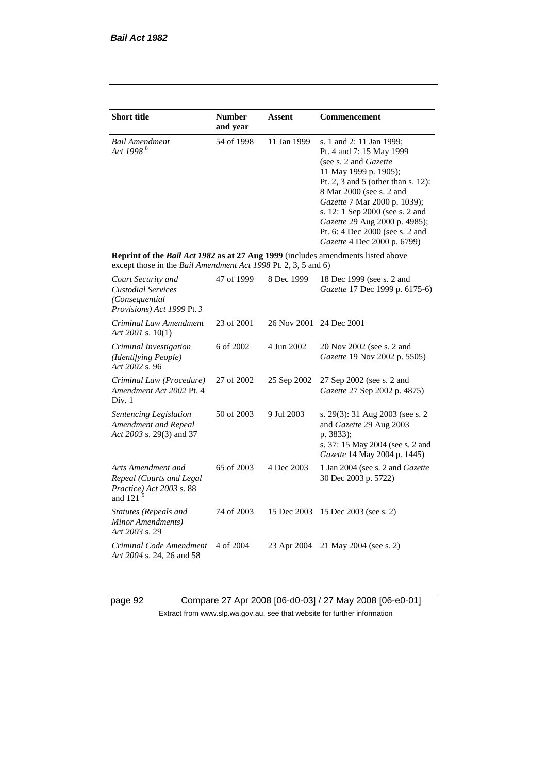| <b>Short title</b>                                                                                                                                        | <b>Number</b> | Assent      | Commencement                                                                                                                                                                                                                                                                                                                                   |
|-----------------------------------------------------------------------------------------------------------------------------------------------------------|---------------|-------------|------------------------------------------------------------------------------------------------------------------------------------------------------------------------------------------------------------------------------------------------------------------------------------------------------------------------------------------------|
|                                                                                                                                                           | and year      |             |                                                                                                                                                                                                                                                                                                                                                |
| <b>Bail Amendment</b><br>Act 1998 <sup>8</sup>                                                                                                            | 54 of 1998    | 11 Jan 1999 | s. 1 and 2: 11 Jan 1999;<br>Pt. 4 and 7: 15 May 1999<br>(see s. 2 and Gazette<br>11 May 1999 p. 1905);<br>Pt. 2, 3 and 5 (other than s. 12):<br>8 Mar 2000 (see s. 2 and<br>Gazette 7 Mar 2000 p. 1039);<br>s. 12: 1 Sep 2000 (see s. 2 and<br>Gazette 29 Aug 2000 p. 4985);<br>Pt. 6: 4 Dec 2000 (see s. 2 and<br>Gazette 4 Dec 2000 p. 6799) |
| Reprint of the Bail Act 1982 as at 27 Aug 1999 (includes amendments listed above<br>except those in the <i>Bail Amendment Act 1998</i> Pt. 2, 3, 5 and 6) |               |             |                                                                                                                                                                                                                                                                                                                                                |
| Court Security and<br><b>Custodial Services</b><br>(Consequential<br>Provisions) Act 1999 Pt. 3                                                           | 47 of 1999    | 8 Dec 1999  | 18 Dec 1999 (see s. 2 and<br>Gazette 17 Dec 1999 p. 6175-6)                                                                                                                                                                                                                                                                                    |
| Criminal Law Amendment<br>Act 2001 s. $10(1)$                                                                                                             | 23 of 2001    | 26 Nov 2001 | 24 Dec 2001                                                                                                                                                                                                                                                                                                                                    |
| Criminal Investigation<br>(Identifying People)<br>Act 2002 s. 96                                                                                          | 6 of 2002     | 4 Jun 2002  | 20 Nov 2002 (see s. 2 and<br>Gazette 19 Nov 2002 p. 5505)                                                                                                                                                                                                                                                                                      |
| Criminal Law (Procedure)<br>Amendment Act 2002 Pt. 4<br>Div. 1                                                                                            | 27 of 2002    | 25 Sep 2002 | 27 Sep 2002 (see s. 2 and<br>Gazette 27 Sep 2002 p. 4875)                                                                                                                                                                                                                                                                                      |
| Sentencing Legislation<br>Amendment and Repeal<br>Act 2003 s. 29(3) and 37                                                                                | 50 of 2003    | 9 Jul 2003  | s. 29(3): 31 Aug 2003 (see s. 2<br>and Gazette 29 Aug 2003<br>p. 3833);<br>s. 37: 15 May 2004 (see s. 2 and<br>Gazette 14 May 2004 p. 1445)                                                                                                                                                                                                    |
| Acts Amendment and<br>Repeal (Courts and Legal<br>Practice) Act 2003 s. 88<br>and 121 $9$                                                                 | 65 of 2003    | 4 Dec 2003  | 1 Jan 2004 (see s. 2 and <i>Gazette</i><br>30 Dec 2003 p. 5722)                                                                                                                                                                                                                                                                                |
| Statutes (Repeals and<br>Minor Amendments)<br>Act 2003 s. 29                                                                                              | 74 of 2003    | 15 Dec 2003 | 15 Dec 2003 (see s. 2)                                                                                                                                                                                                                                                                                                                         |
| Criminal Code Amendment<br>Act 2004 s. 24, 26 and 58                                                                                                      | 4 of 2004     | 23 Apr 2004 | 21 May 2004 (see s. 2)                                                                                                                                                                                                                                                                                                                         |

page 92 Compare 27 Apr 2008 [06-d0-03] / 27 May 2008 [06-e0-01] Extract from www.slp.wa.gov.au, see that website for further information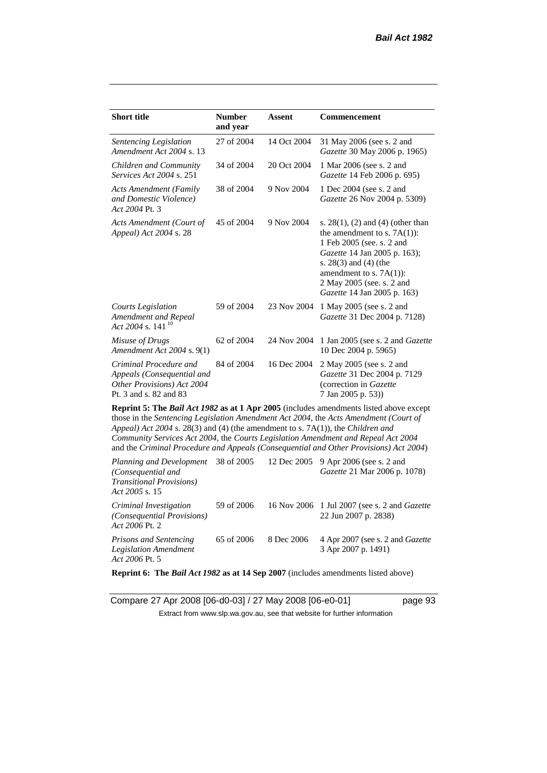| <b>Short title</b>                                                                                           | <b>Number</b> | <b>Assent</b> | <b>Commencement</b>                                                                                                                                                                                                                                                                                                                                          |
|--------------------------------------------------------------------------------------------------------------|---------------|---------------|--------------------------------------------------------------------------------------------------------------------------------------------------------------------------------------------------------------------------------------------------------------------------------------------------------------------------------------------------------------|
|                                                                                                              | and year      |               |                                                                                                                                                                                                                                                                                                                                                              |
| Sentencing Legislation<br>Amendment Act 2004 s. 13                                                           | 27 of 2004    | 14 Oct 2004   | 31 May 2006 (see s. 2 and<br>Gazette 30 May 2006 p. 1965)                                                                                                                                                                                                                                                                                                    |
| Children and Community<br><i>Services Act 2004 s. 251</i>                                                    | 34 of 2004    | 20 Oct 2004   | 1 Mar 2006 (see s. 2 and<br>Gazette 14 Feb 2006 p. 695)                                                                                                                                                                                                                                                                                                      |
| <b>Acts Amendment (Family</b><br>and Domestic Violence)<br>Act 2004 Pt. 3                                    | 38 of 2004    | 9 Nov 2004    | 1 Dec 2004 (see s. 2 and<br>Gazette 26 Nov 2004 p. 5309)                                                                                                                                                                                                                                                                                                     |
| Acts Amendment (Court of<br>Appeal) Act 2004 s. 28                                                           | 45 of 2004    | 9 Nov 2004    | s. $28(1)$ , (2) and (4) (other than<br>the amendment to s. $7A(1)$ :<br>1 Feb 2005 (see. s. 2 and<br>Gazette 14 Jan 2005 p. 163);<br>s. $28(3)$ and $(4)$ (the<br>amendment to s. $7A(1)$ :<br>2 May 2005 (see, s. 2 and<br>Gazette 14 Jan 2005 p. 163)                                                                                                     |
| Courts Legislation<br>Amendment and Repeal<br>Act 2004 s. 141 <sup>10</sup>                                  | 59 of 2004    | 23 Nov 2004   | 1 May 2005 (see s. 2 and<br>Gazette 31 Dec 2004 p. 7128)                                                                                                                                                                                                                                                                                                     |
| Misuse of Drugs<br>Amendment Act 2004 s. 9(1)                                                                | 62 of 2004    | 24 Nov 2004   | 1 Jan 2005 (see s. 2 and <i>Gazette</i><br>10 Dec 2004 p. 5965)                                                                                                                                                                                                                                                                                              |
| Criminal Procedure and<br>Appeals (Consequential and<br>Other Provisions) Act 2004<br>Pt. 3 and s. 82 and 83 | 84 of 2004    | 16 Dec 2004   | 2 May 2005 (see s. 2 and<br>Gazette 31 Dec 2004 p. 7129<br>(correction in Gazette<br>7 Jan 2005 p. 53))                                                                                                                                                                                                                                                      |
| Appeal) Act 2004 s. 28(3) and (4) (the amendment to s. 7A(1)), the Children and                              |               |               | Reprint 5: The Bail Act 1982 as at 1 Apr 2005 (includes amendments listed above except<br>those in the Sentencing Legislation Amendment Act 2004, the Acts Amendment (Court of<br>Community Services Act 2004, the Courts Legislation Amendment and Repeal Act 2004<br>and the Criminal Procedure and Appeals (Consequential and Other Provisions) Act 2004) |

*Planning and Development (Consequential and Transitional Provisions) Act 2005* s. 15 12 Dec 2005 9 Apr 2006 (see s. 2 and *Gazette* 21 Mar 2006 p. 1078) *Criminal Investigation (Consequential Provisions) Act 2006* Pt. 2 59 of 2006 16 Nov 2006 1 Jul 2007 (see s. 2 and *Gazette* 22 Jun 2007 p. 2838) *Prisons and Sentencing Legislation Amendment Act 2006* Pt. 5 65 of 2006 8 Dec 2006 4 Apr 2007 (see s. 2 and *Gazette* 3 Apr 2007 p. 1491)

**Reprint 6: The** *Bail Act 1982* **as at 14 Sep 2007** (includes amendments listed above)

Compare 27 Apr 2008 [06-d0-03] / 27 May 2008 [06-e0-01] page 93 Extract from www.slp.wa.gov.au, see that website for further information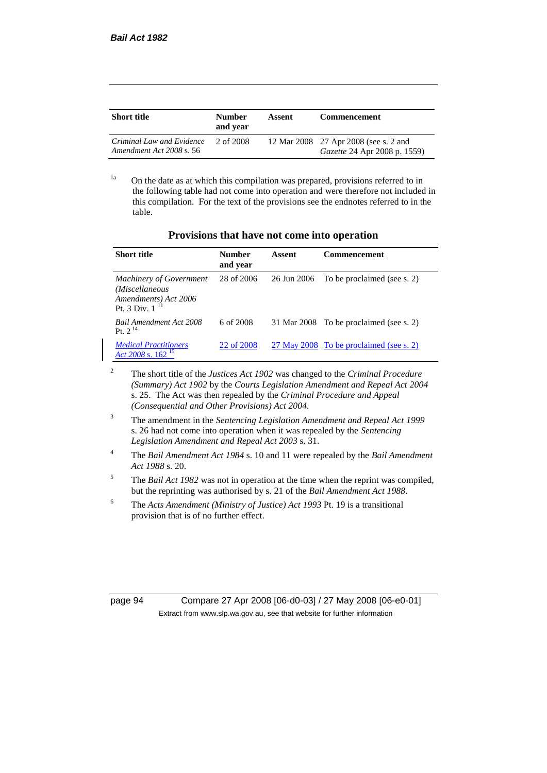| <b>Short title</b>                                    | <b>Number</b><br>and year | Assent | <b>Commencement</b>                                                          |
|-------------------------------------------------------|---------------------------|--------|------------------------------------------------------------------------------|
| Criminal Law and Evidence<br>Amendment Act 2008 s. 56 | 2 of 2008                 |        | 12 Mar 2008 27 Apr 2008 (see s. 2 and<br><i>Gazette</i> 24 Apr 2008 p. 1559) |

<sup>1a</sup> On the date as at which this compilation was prepared, provisions referred to in the following table had not come into operation and were therefore not included in this compilation. For the text of the provisions see the endnotes referred to in the table.

|  | Provisions that have not come into operation |
|--|----------------------------------------------|
|--|----------------------------------------------|

| <b>Short title</b>                                                                              | Number<br>and year | Assent      | <b>Commencement</b>                     |
|-------------------------------------------------------------------------------------------------|--------------------|-------------|-----------------------------------------|
| <b>Machinery of Government</b><br>(Miscellaneous<br>Amendments) Act 2006<br>Pt. 3 Div. $1^{11}$ | 28 of 2006         | 26 Jun 2006 | To be proclaimed (see s. 2)             |
| <b>Bail Amendment Act 2008</b><br>Pt. $2^{14}$                                                  | 6 of 2008          |             | 31 Mar 2008 To be proclaimed (see s. 2) |
| <b>Medical Practitioners</b><br>Act 2008 s. $162^{15}$                                          | 22 of 2008         |             | 27 May 2008 To be proclaimed (see s. 2) |

<sup>2</sup> The short title of the *Justices Act 1902* was changed to the *Criminal Procedure (Summary) Act 1902* by the *Courts Legislation Amendment and Repeal Act 2004*  s. 25. The Act was then repealed by the *Criminal Procedure and Appeal (Consequential and Other Provisions) Act 2004.*

- <sup>3</sup> The amendment in the *Sentencing Legislation Amendment and Repeal Act 1999* s. 26 had not come into operation when it was repealed by the *Sentencing Legislation Amendment and Repeal Act 2003* s. 31.
- <sup>4</sup> The *Bail Amendment Act 1984* s. 10 and 11 were repealed by the *Bail Amendment Act 1988* s. 20.
- <sup>5</sup> The *Bail Act 1982* was not in operation at the time when the reprint was compiled, but the reprinting was authorised by s. 21 of the *Bail Amendment Act 1988*.
- <sup>6</sup> The *Acts Amendment (Ministry of Justice) Act 1993* Pt. 19 is a transitional provision that is of no further effect.

page 94 Compare 27 Apr 2008 [06-d0-03] / 27 May 2008 [06-e0-01] Extract from www.slp.wa.gov.au, see that website for further information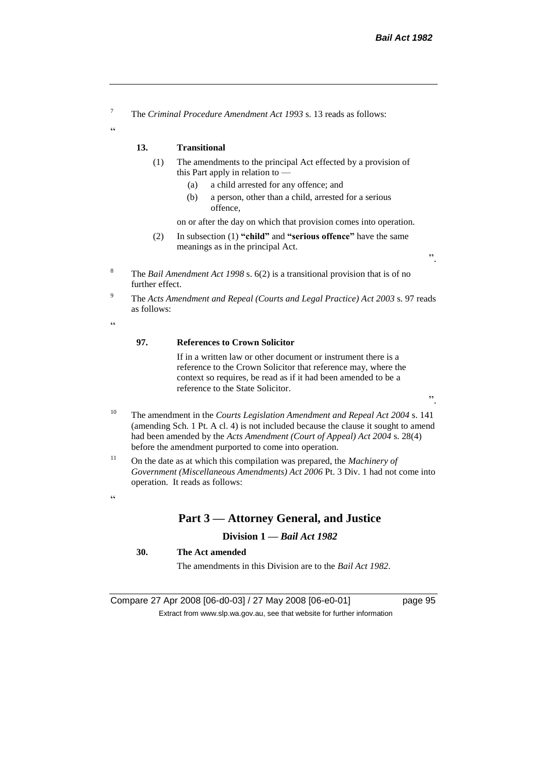<sup>7</sup> The *Criminal Procedure Amendment Act 1993* s. 13 reads as follows:

#### **13. Transitional**

- (1) The amendments to the principal Act effected by a provision of this Part apply in relation to —
	- (a) a child arrested for any offence; and
	- (b) a person, other than a child, arrested for a serious offence,

on or after the day on which that provision comes into operation.

- (2) In subsection (1) **"child"** and **"serious offence"** have the same meanings as in the principal Act.
- <sup>8</sup> The *Bail Amendment Act 1998* s. 6(2) is a transitional provision that is of no further effect.
- <sup>9</sup> The *Acts Amendment and Repeal (Courts and Legal Practice) Act 2003* s. 97 reads as follows:

 $\epsilon$ 

 $\alpha$ 

#### **97. References to Crown Solicitor**

If in a written law or other document or instrument there is a reference to the Crown Solicitor that reference may, where the context so requires, be read as if it had been amended to be a reference to the State Solicitor.

".

".

- <sup>10</sup> The amendment in the *Courts Legislation Amendment and Repeal Act 2004* s. 141 (amending Sch. 1 Pt. A cl. 4) is not included because the clause it sought to amend had been amended by the *Acts Amendment (Court of Appeal) Act 2004* s. 28(4) before the amendment purported to come into operation.
- <sup>11</sup> On the date as at which this compilation was prepared, the *Machinery of Government (Miscellaneous Amendments) Act 2006* Pt. 3 Div. 1 had not come into operation. It reads as follows:

#### $\alpha$

# **Part 3 — Attorney General, and Justice**

### **Division 1 —** *Bail Act 1982*

### **30. The Act amended**

The amendments in this Division are to the *Bail Act 1982*.

Compare 27 Apr 2008 [06-d0-03] / 27 May 2008 [06-e0-01] page 95 Extract from www.slp.wa.gov.au, see that website for further information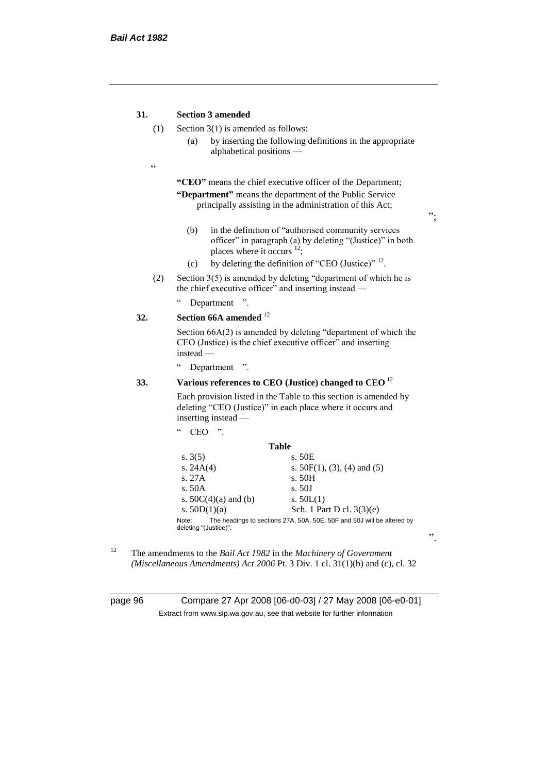#### **31. Section 3 amended**

- (1) Section 3(1) is amended as follows:
	- (a) by inserting the following definitions in the appropriate alphabetical positions —
- $\epsilon$

**"CEO"** means the chief executive officer of the Department; **"Department"** means the department of the Public Service principally assisting in the administration of this Act;

";

".

- (b) in the definition of "authorised community services officer" in paragraph (a) by deleting "(Justice)" in both places where it occurs <sup>12</sup>;
- (c) by deleting the definition of "CEO (Justice)"  $^{12}$ .
- (2) Section  $3(5)$  is amended by deleting "department of which he is the chief executive officer" and inserting instead —
	- " Department ".

# **32. Section 66A amended** <sup>12</sup>

Section 66A(2) is amended by deleting "department of which the CEO (Justice) is the chief executive officer" and inserting instead —

" Department ".

"  $CEO$  "

## **33. Various references to CEO (Justice) changed to CEO** <sup>12</sup>

Each provision listed in the Table to this section is amended by deleting "CEO (Justice)" in each place where it occurs and inserting instead —

| <b>Table</b><br>s. 50E<br>s. $3(5)$                                                                      |  |
|----------------------------------------------------------------------------------------------------------|--|
|                                                                                                          |  |
|                                                                                                          |  |
| s. $24A(4)$<br>s. $50F(1)$ , (3), (4) and (5)                                                            |  |
| s. 27A<br>s. 50H                                                                                         |  |
| s.50A<br>s. 50J                                                                                          |  |
| s. $50C(4)(a)$ and (b)<br>s. $50L(1)$                                                                    |  |
| s. $50D(1)(a)$<br>Sch. 1 Part D cl. 3(3)(e)                                                              |  |
| The headings to sections 27A, 50A, 50E, 50F and 50J will be altered by<br>Note:<br>deleting "(Justice)". |  |

<sup>12</sup> The amendments to the *Bail Act 1982* in the *Machinery of Government (Miscellaneous Amendments) Act 2006* Pt. 3 Div. 1 cl. 31(1)(b) and (c), cl. 32

page 96 Compare 27 Apr 2008 [06-d0-03] / 27 May 2008 [06-e0-01] Extract from www.slp.wa.gov.au, see that website for further information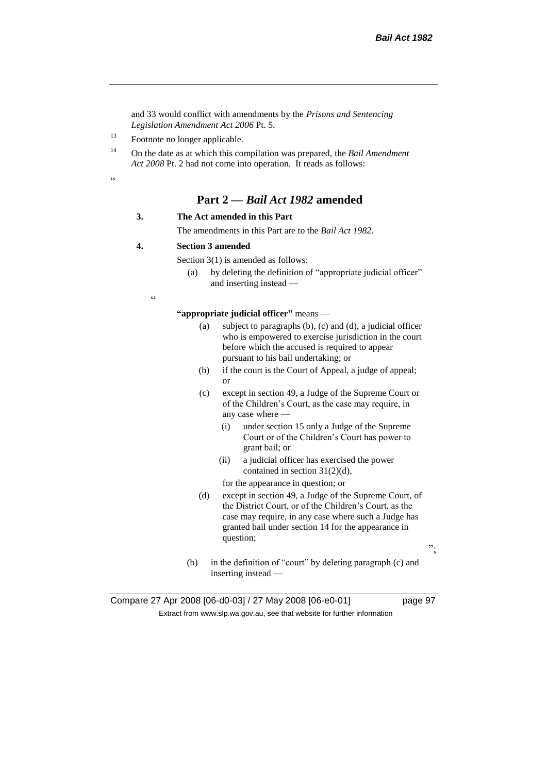and 33 would conflict with amendments by the *Prisons and Sentencing Legislation Amendment Act 2006* Pt. 5.

<sup>13</sup> Footnote no longer applicable.

<sup>14</sup> On the date as at which this compilation was prepared, the *Bail Amendment Act 2008* Pt. 2 had not come into operation. It reads as follows:

.<br>.<br>.

# **Part 2 —** *Bail Act 1982* **amended**

#### **3. The Act amended in this Part**

The amendments in this Part are to the *Bail Act 1982*.

#### **4. Section 3 amended**

Section 3(1) is amended as follows:

(a) by deleting the definition of "appropriate judicial officer" and inserting instead —

 $\epsilon$ 

**"appropriate judicial officer"** means —

- (a) subject to paragraphs (b), (c) and (d), a judicial officer who is empowered to exercise jurisdiction in the court before which the accused is required to appear pursuant to his bail undertaking; or
- (b) if the court is the Court of Appeal, a judge of appeal; or
- (c) except in section 49, a Judge of the Supreme Court or of the Children's Court, as the case may require, in any case where —
	- (i) under section 15 only a Judge of the Supreme Court or of the Children's Court has power to grant bail; or
	- (ii) a judicial officer has exercised the power contained in section 31(2)(d),

for the appearance in question; or

(d) except in section 49, a Judge of the Supreme Court, of the District Court, or of the Children's Court, as the case may require, in any case where such a Judge has granted bail under section 14 for the appearance in question;

";

(b) in the definition of "court" by deleting paragraph (c) and inserting instead —

Compare 27 Apr 2008 [06-d0-03] / 27 May 2008 [06-e0-01] page 97 Extract from www.slp.wa.gov.au, see that website for further information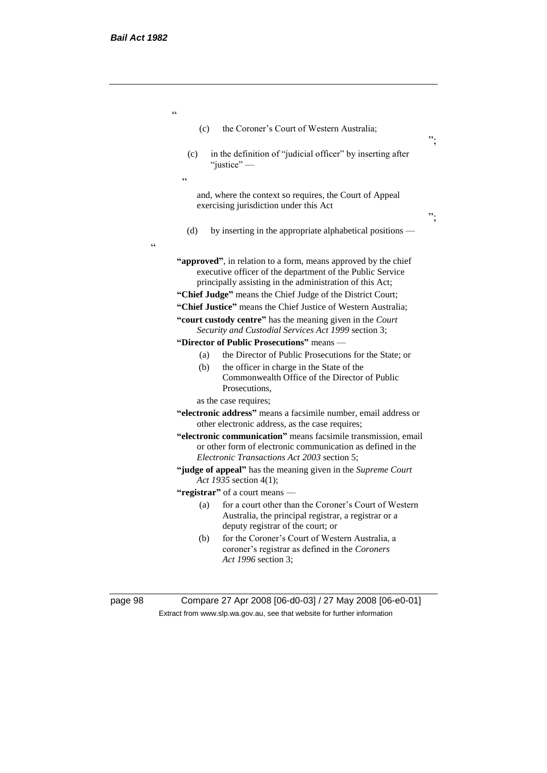$\epsilon\epsilon$ 

| (c)        | the Coroner's Court of Western Australia;                                                                                                                                                                                                                                                                              | ". |
|------------|------------------------------------------------------------------------------------------------------------------------------------------------------------------------------------------------------------------------------------------------------------------------------------------------------------------------|----|
| (c)        | in the definition of "judicial officer" by inserting after<br>"justice"-                                                                                                                                                                                                                                               |    |
| $\epsilon$ |                                                                                                                                                                                                                                                                                                                        |    |
|            | and, where the context so requires, the Court of Appeal<br>exercising jurisdiction under this Act                                                                                                                                                                                                                      | ". |
| (d)        | by inserting in the appropriate alphabetical positions —                                                                                                                                                                                                                                                               |    |
|            | "approved", in relation to a form, means approved by the chief<br>executive officer of the department of the Public Service<br>principally assisting in the administration of this Act;<br>"Chief Judge" means the Chief Judge of the District Court;<br>"Chief Justice" means the Chief Justice of Western Australia; |    |
|            | "court custody centre" has the meaning given in the Court                                                                                                                                                                                                                                                              |    |
|            | Security and Custodial Services Act 1999 section 3;                                                                                                                                                                                                                                                                    |    |
|            | "Director of Public Prosecutions" means -                                                                                                                                                                                                                                                                              |    |
| (a)        | the Director of Public Prosecutions for the State; or                                                                                                                                                                                                                                                                  |    |
| (b)        | the officer in charge in the State of the<br>Commonwealth Office of the Director of Public<br>Prosecutions.                                                                                                                                                                                                            |    |
|            | as the case requires;                                                                                                                                                                                                                                                                                                  |    |
|            | "electronic address" means a facsimile number, email address or<br>other electronic address, as the case requires;                                                                                                                                                                                                     |    |
|            | "electronic communication" means facsimile transmission, email<br>or other form of electronic communication as defined in the<br>Electronic Transactions Act 2003 section 5;                                                                                                                                           |    |
|            | "judge of appeal" has the meaning given in the Supreme Court<br>Act 1935 section 4(1);                                                                                                                                                                                                                                 |    |
|            | "registrar" of a court means -                                                                                                                                                                                                                                                                                         |    |
| (a)        | for a court other than the Coroner's Court of Western<br>Australia, the principal registrar, a registrar or a<br>deputy registrar of the court; or                                                                                                                                                                     |    |
|            | for the Coroner's Court of Western Australia, a                                                                                                                                                                                                                                                                        |    |

page 98 Compare 27 Apr 2008 [06-d0-03] / 27 May 2008 [06-e0-01] Extract from www.slp.wa.gov.au, see that website for further information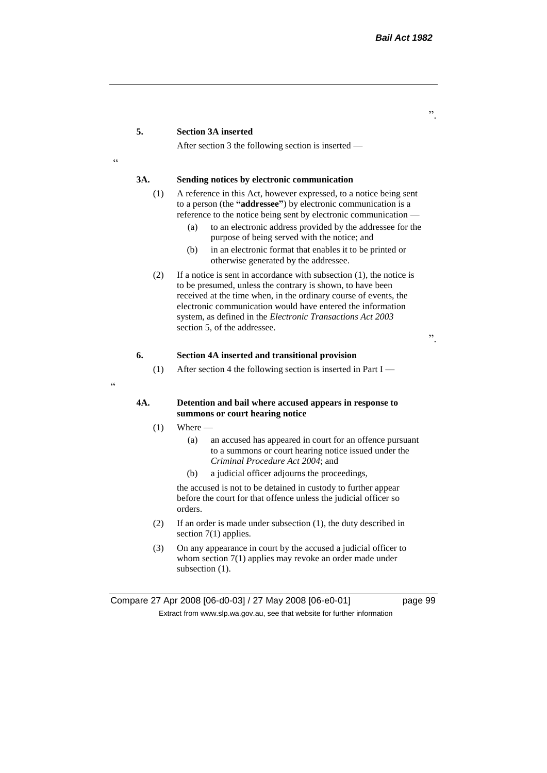#### **5. Section 3A inserted**

After section 3 the following section is inserted —

## <u>،</u>

 $\epsilon$ 

#### **3A. Sending notices by electronic communication**

- (1) A reference in this Act, however expressed, to a notice being sent to a person (the **"addressee"**) by electronic communication is a reference to the notice being sent by electronic communication —
	- (a) to an electronic address provided by the addressee for the purpose of being served with the notice; and
	- (b) in an electronic format that enables it to be printed or otherwise generated by the addressee.
- (2) If a notice is sent in accordance with subsection (1), the notice is to be presumed, unless the contrary is shown, to have been received at the time when, in the ordinary course of events, the electronic communication would have entered the information system, as defined in the *Electronic Transactions Act 2003* section 5, of the addressee.

".

#### **6. Section 4A inserted and transitional provision**

(1) After section 4 the following section is inserted in Part I —

#### **4A. Detention and bail where accused appears in response to summons or court hearing notice**

- $(1)$  Where
	- (a) an accused has appeared in court for an offence pursuant to a summons or court hearing notice issued under the *Criminal Procedure Act 2004*; and
	- (b) a judicial officer adjourns the proceedings,

the accused is not to be detained in custody to further appear before the court for that offence unless the judicial officer so orders.

- (2) If an order is made under subsection (1), the duty described in section 7(1) applies.
- (3) On any appearance in court by the accused a judicial officer to whom section 7(1) applies may revoke an order made under subsection  $(1)$ .

".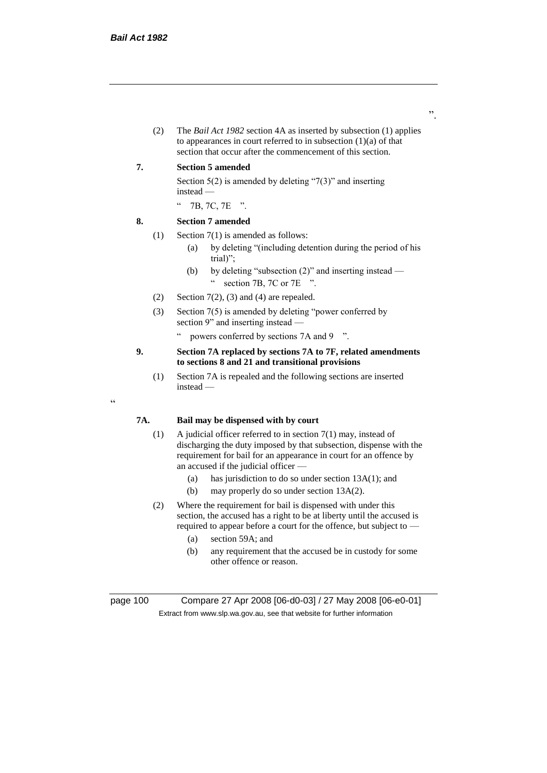(2) The *Bail Act 1982* section 4A as inserted by subsection (1) applies to appearances in court referred to in subsection  $(1)(a)$  of that section that occur after the commencement of this section.

#### **7. Section 5 amended**

Section  $5(2)$  is amended by deleting "7(3)" and inserting instead —

" 7B, 7C, 7E ".

#### **8. Section 7 amended**

- (1) Section 7(1) is amended as follows:
	- (a) by deleting "(including detention during the period of his trial)";
	- (b) by deleting "subsection (2)" and inserting instead " section 7B, 7C or 7E ".
- (2) Section  $7(2)$ , (3) and (4) are repealed.
- (3) Section 7(5) is amended by deleting "power conferred by section 9" and inserting instead —
	- " powers conferred by sections 7A and 9 ".

#### **9. Section 7A replaced by sections 7A to 7F, related amendments to sections 8 and 21 and transitional provisions**

(1) Section 7A is repealed and the following sections are inserted instead —

## **7A. Bail may be dispensed with by court**

- (1) A judicial officer referred to in section 7(1) may, instead of discharging the duty imposed by that subsection, dispense with the requirement for bail for an appearance in court for an offence by an accused if the judicial officer —
	- (a) has jurisdiction to do so under section 13A(1); and
	- (b) may properly do so under section 13A(2).
- (2) Where the requirement for bail is dispensed with under this section, the accused has a right to be at liberty until the accused is required to appear before a court for the offence, but subject to —
	- (a) section 59A; and
	- (b) any requirement that the accused be in custody for some other offence or reason.

"

page 100 Compare 27 Apr 2008 [06-d0-03] / 27 May 2008 [06-e0-01] Extract from www.slp.wa.gov.au, see that website for further information

".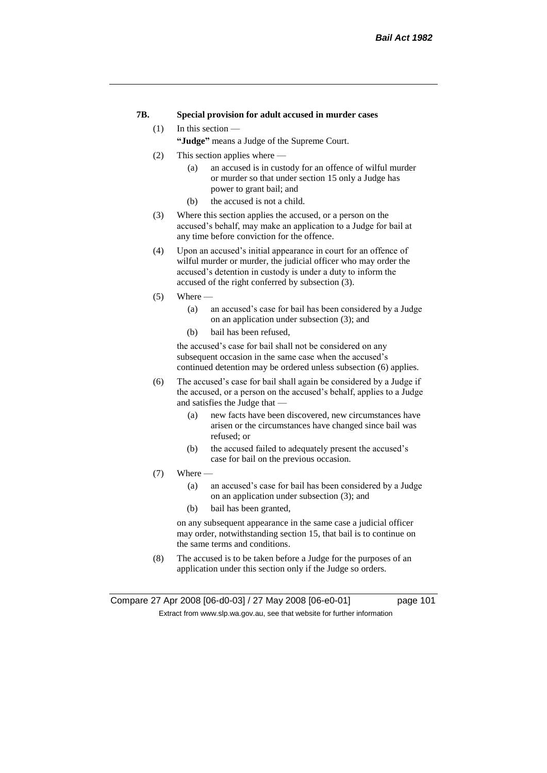#### **7B. Special provision for adult accused in murder cases**

#### (1) In this section —

**"Judge"** means a Judge of the Supreme Court.

- (2) This section applies where
	- (a) an accused is in custody for an offence of wilful murder or murder so that under section 15 only a Judge has power to grant bail; and
	- (b) the accused is not a child.
- (3) Where this section applies the accused, or a person on the accused's behalf, may make an application to a Judge for bail at any time before conviction for the offence.
- (4) Upon an accused's initial appearance in court for an offence of wilful murder or murder, the judicial officer who may order the accused's detention in custody is under a duty to inform the accused of the right conferred by subsection (3).
- $(5)$  Where
	- (a) an accused's case for bail has been considered by a Judge on an application under subsection (3); and
	- (b) bail has been refused,

the accused's case for bail shall not be considered on any subsequent occasion in the same case when the accused's continued detention may be ordered unless subsection (6) applies.

- (6) The accused's case for bail shall again be considered by a Judge if the accused, or a person on the accused's behalf, applies to a Judge and satisfies the Judge that —
	- (a) new facts have been discovered, new circumstances have arisen or the circumstances have changed since bail was refused; or
	- (b) the accused failed to adequately present the accused's case for bail on the previous occasion.
- $(7)$  Where  $-$ 
	- (a) an accused's case for bail has been considered by a Judge on an application under subsection (3); and
	- (b) bail has been granted,

on any subsequent appearance in the same case a judicial officer may order, notwithstanding section 15, that bail is to continue on the same terms and conditions.

(8) The accused is to be taken before a Judge for the purposes of an application under this section only if the Judge so orders.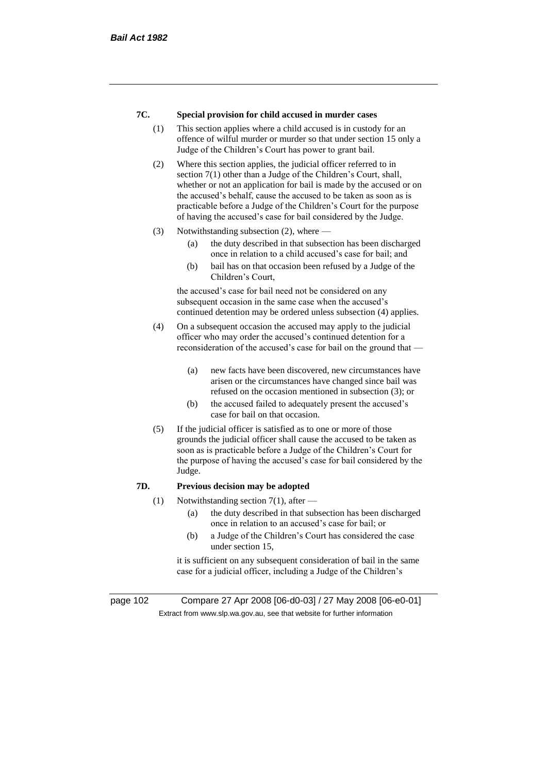#### **7C. Special provision for child accused in murder cases**

- (1) This section applies where a child accused is in custody for an offence of wilful murder or murder so that under section 15 only a Judge of the Children's Court has power to grant bail.
- (2) Where this section applies, the judicial officer referred to in section 7(1) other than a Judge of the Children's Court, shall, whether or not an application for bail is made by the accused or on the accused's behalf, cause the accused to be taken as soon as is practicable before a Judge of the Children's Court for the purpose of having the accused's case for bail considered by the Judge.
- (3) Notwithstanding subsection (2), where
	- (a) the duty described in that subsection has been discharged once in relation to a child accused's case for bail; and
	- (b) bail has on that occasion been refused by a Judge of the Children's Court,

the accused's case for bail need not be considered on any subsequent occasion in the same case when the accused's continued detention may be ordered unless subsection (4) applies.

- (4) On a subsequent occasion the accused may apply to the judicial officer who may order the accused's continued detention for a reconsideration of the accused's case for bail on the ground that —
	- (a) new facts have been discovered, new circumstances have arisen or the circumstances have changed since bail was refused on the occasion mentioned in subsection (3); or
	- (b) the accused failed to adequately present the accused's case for bail on that occasion.
- (5) If the judicial officer is satisfied as to one or more of those grounds the judicial officer shall cause the accused to be taken as soon as is practicable before a Judge of the Children's Court for the purpose of having the accused's case for bail considered by the Judge.

#### **7D. Previous decision may be adopted**

- (1) Notwithstanding section 7(1), after  $-$ 
	- (a) the duty described in that subsection has been discharged once in relation to an accused's case for bail; or
	- (b) a Judge of the Children's Court has considered the case under section 15,

it is sufficient on any subsequent consideration of bail in the same case for a judicial officer, including a Judge of the Children's

page 102 Compare 27 Apr 2008 [06-d0-03] / 27 May 2008 [06-e0-01] Extract from www.slp.wa.gov.au, see that website for further information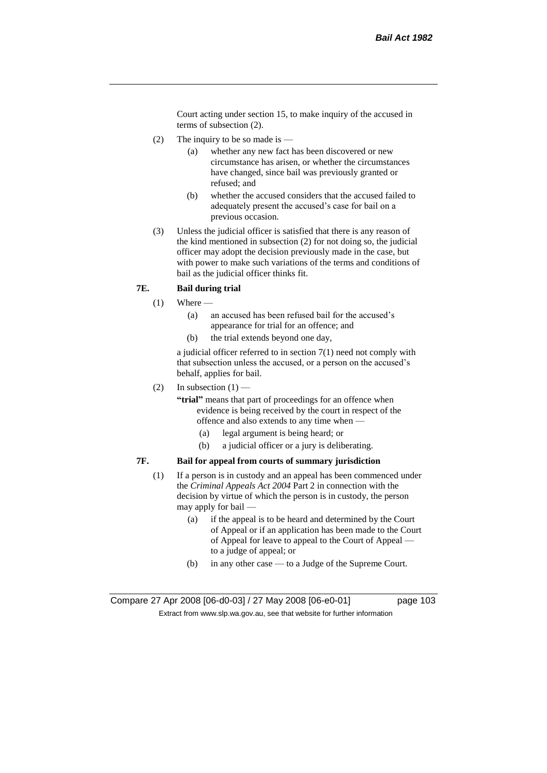Court acting under section 15, to make inquiry of the accused in terms of subsection (2).

- (2) The inquiry to be so made is  $-$ 
	- (a) whether any new fact has been discovered or new circumstance has arisen, or whether the circumstances have changed, since bail was previously granted or refused; and
	- (b) whether the accused considers that the accused failed to adequately present the accused's case for bail on a previous occasion.
- (3) Unless the judicial officer is satisfied that there is any reason of the kind mentioned in subsection (2) for not doing so, the judicial officer may adopt the decision previously made in the case, but with power to make such variations of the terms and conditions of bail as the judicial officer thinks fit.

#### **7E. Bail during trial**

- $(1)$  Where
	- (a) an accused has been refused bail for the accused's appearance for trial for an offence; and
	- (b) the trial extends beyond one day,

a judicial officer referred to in section 7(1) need not comply with that subsection unless the accused, or a person on the accused's behalf, applies for bail.

(2) In subsection  $(1)$  —

**"trial"** means that part of proceedings for an offence when evidence is being received by the court in respect of the offence and also extends to any time when —

- (a) legal argument is being heard; or
- (b) a judicial officer or a jury is deliberating.

#### **7F. Bail for appeal from courts of summary jurisdiction**

- (1) If a person is in custody and an appeal has been commenced under the *Criminal Appeals Act 2004* Part 2 in connection with the decision by virtue of which the person is in custody, the person may apply for bail —
	- (a) if the appeal is to be heard and determined by the Court of Appeal or if an application has been made to the Court of Appeal for leave to appeal to the Court of Appeal to a judge of appeal; or
	- (b) in any other case to a Judge of the Supreme Court.

Compare 27 Apr 2008 [06-d0-03] / 27 May 2008 [06-e0-01] page 103 Extract from www.slp.wa.gov.au, see that website for further information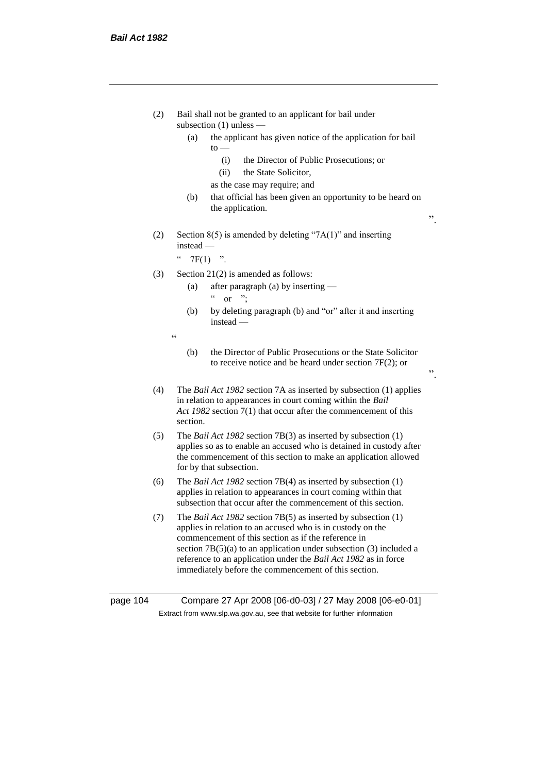|          | (2) | Bail shall not be granted to an applicant for bail under<br>subsection $(1)$ unless —<br>the applicant has given notice of the application for bail<br>(a)<br>$to -$                                                                                                                                                                                                                  |    |
|----------|-----|---------------------------------------------------------------------------------------------------------------------------------------------------------------------------------------------------------------------------------------------------------------------------------------------------------------------------------------------------------------------------------------|----|
|          |     | the Director of Public Prosecutions; or<br>(i)<br>(ii)<br>the State Solicitor,                                                                                                                                                                                                                                                                                                        |    |
|          |     | as the case may require; and<br>(b)<br>that official has been given an opportunity to be heard on<br>the application.                                                                                                                                                                                                                                                                 | ,, |
|          | (2) | Section $8(5)$ is amended by deleting "7A(1)" and inserting<br>$instead -$                                                                                                                                                                                                                                                                                                            |    |
|          |     | $\zeta$ $\zeta$<br>$7F(1)$ ".                                                                                                                                                                                                                                                                                                                                                         |    |
|          | (3) | Section $21(2)$ is amended as follows:<br>after paragraph (a) by inserting —<br>(a)<br>$\epsilon\, \epsilon$<br>or $\dddot{ }$                                                                                                                                                                                                                                                        |    |
|          |     | by deleting paragraph (b) and "or" after it and inserting<br>(b)<br>$instead -$                                                                                                                                                                                                                                                                                                       |    |
|          |     | $\epsilon$                                                                                                                                                                                                                                                                                                                                                                            |    |
|          |     | the Director of Public Prosecutions or the State Solicitor<br>(b)<br>to receive notice and be heard under section $7F(2)$ ; or                                                                                                                                                                                                                                                        | ,, |
|          | (4) | The Bail Act 1982 section 7A as inserted by subsection (1) applies<br>in relation to appearances in court coming within the Bail<br>Act 1982 section 7(1) that occur after the commencement of this<br>section.                                                                                                                                                                       |    |
|          | (5) | The <i>Bail Act 1982</i> section $7B(3)$ as inserted by subsection $(1)$<br>applies so as to enable an accused who is detained in custody after<br>the commencement of this section to make an application allowed<br>for by that subsection.                                                                                                                                         |    |
|          | (6) | The <i>Bail Act 1982</i> section $7B(4)$ as inserted by subsection $(1)$<br>applies in relation to appearances in court coming within that<br>subsection that occur after the commencement of this section.                                                                                                                                                                           |    |
|          | (7) | The Bail Act 1982 section 7B(5) as inserted by subsection (1)<br>applies in relation to an accused who is in custody on the<br>commencement of this section as if the reference in<br>section $7B(5)(a)$ to an application under subsection (3) included a<br>reference to an application under the Bail Act 1982 as in force<br>immediately before the commencement of this section. |    |
| page 104 |     | Compare 27 Apr 2008 [06-d0-03] / 27 May 2008 [06-e0-01]                                                                                                                                                                                                                                                                                                                               |    |

Extract from www.slp.wa.gov.au, see that website for further information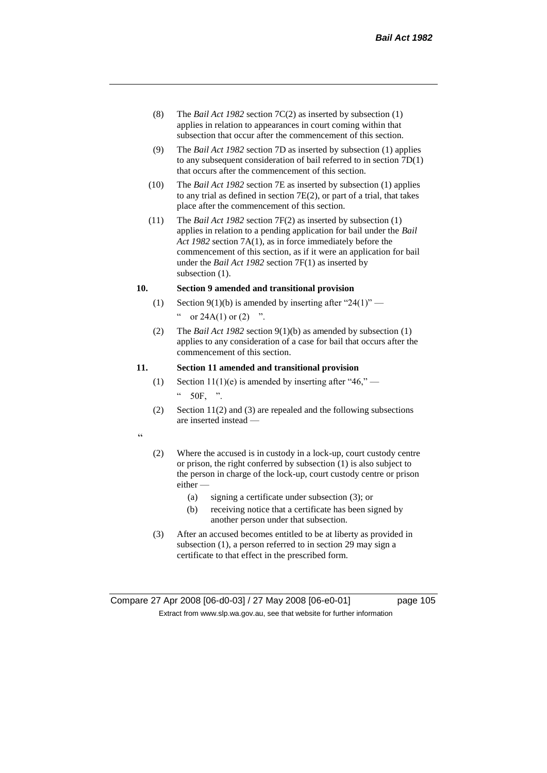- (8) The *Bail Act 1982* section 7C(2) as inserted by subsection (1) applies in relation to appearances in court coming within that subsection that occur after the commencement of this section.
- (9) The *Bail Act 1982* section 7D as inserted by subsection (1) applies to any subsequent consideration of bail referred to in section 7D(1) that occurs after the commencement of this section.
- (10) The *Bail Act 1982* section 7E as inserted by subsection (1) applies to any trial as defined in section 7E(2), or part of a trial, that takes place after the commencement of this section.
- (11) The *Bail Act 1982* section 7F(2) as inserted by subsection (1) applies in relation to a pending application for bail under the *Bail Act 1982* section 7A(1), as in force immediately before the commencement of this section, as if it were an application for bail under the *Bail Act 1982* section 7F(1) as inserted by subsection  $(1)$ .

#### **10. Section 9 amended and transitional provision**

- (1) Section 9(1)(b) is amended by inserting after "24(1)" " or  $24A(1)$  or  $(2)$  ".
- (2) The *Bail Act 1982* section 9(1)(b) as amended by subsection (1) applies to any consideration of a case for bail that occurs after the commencement of this section.

#### **11. Section 11 amended and transitional provision**

- (1) Section 11(1)(e) is amended by inserting after "46," 50F, ".
- (2) Section 11(2) and (3) are repealed and the following subsections are inserted instead —

 $\alpha$ 

- (2) Where the accused is in custody in a lock-up, court custody centre or prison, the right conferred by subsection (1) is also subject to the person in charge of the lock-up, court custody centre or prison either —
	- (a) signing a certificate under subsection (3); or
	- (b) receiving notice that a certificate has been signed by another person under that subsection.
- (3) After an accused becomes entitled to be at liberty as provided in subsection (1), a person referred to in section 29 may sign a certificate to that effect in the prescribed form.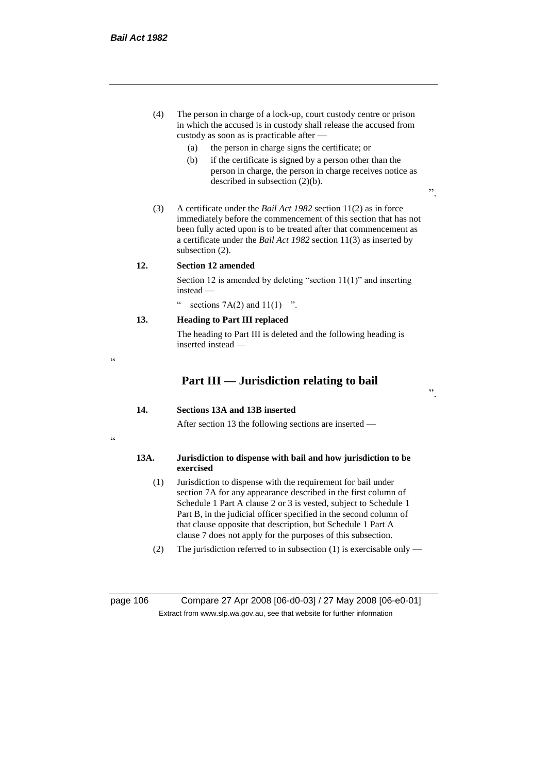$\epsilon$ 

"

- (4) The person in charge of a lock-up, court custody centre or prison in which the accused is in custody shall release the accused from custody as soon as is practicable after —
	- (a) the person in charge signs the certificate; or
	- (b) if the certificate is signed by a person other than the person in charge, the person in charge receives notice as described in subsection (2)(b).
- (3) A certificate under the *Bail Act 1982* section 11(2) as in force immediately before the commencement of this section that has not been fully acted upon is to be treated after that commencement as a certificate under the *Bail Act 1982* section 11(3) as inserted by subsection  $(2)$ .

#### **12. Section 12 amended**

Section 12 is amended by deleting "section 11(1)" and inserting instead —

sections  $7A(2)$  and  $11(1)$  ".

# **13. Heading to Part III replaced**

The heading to Part III is deleted and the following heading is inserted instead —

# **Part III — Jurisdiction relating to bail**

".

".

#### **14. Sections 13A and 13B inserted**

After section 13 the following sections are inserted —

#### **13A. Jurisdiction to dispense with bail and how jurisdiction to be exercised**

- (1) Jurisdiction to dispense with the requirement for bail under section 7A for any appearance described in the first column of Schedule 1 Part A clause 2 or 3 is vested, subject to Schedule 1 Part B, in the judicial officer specified in the second column of that clause opposite that description, but Schedule 1 Part A clause 7 does not apply for the purposes of this subsection.
- (2) The jurisdiction referred to in subsection (1) is exercisable only —

page 106 Compare 27 Apr 2008 [06-d0-03] / 27 May 2008 [06-e0-01] Extract from www.slp.wa.gov.au, see that website for further information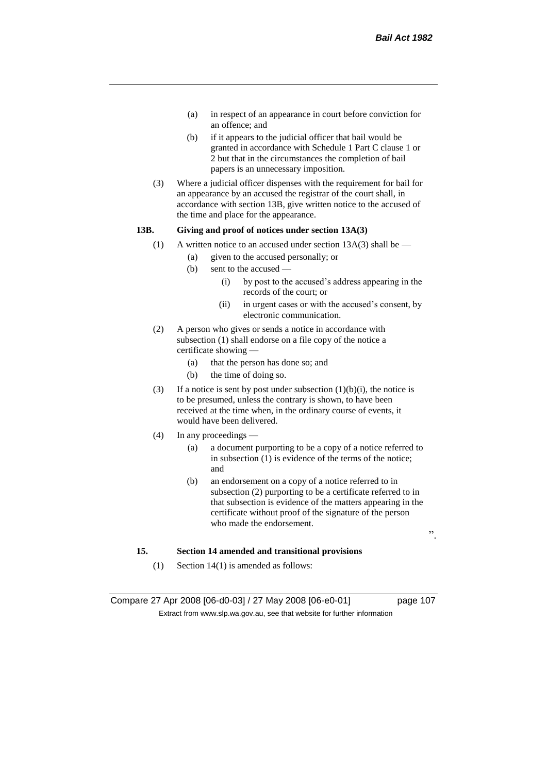- (a) in respect of an appearance in court before conviction for an offence; and
- (b) if it appears to the judicial officer that bail would be granted in accordance with Schedule 1 Part C clause 1 or 2 but that in the circumstances the completion of bail papers is an unnecessary imposition.
- (3) Where a judicial officer dispenses with the requirement for bail for an appearance by an accused the registrar of the court shall, in accordance with section 13B, give written notice to the accused of the time and place for the appearance.

# **13B. Giving and proof of notices under section 13A(3)**

- (1) A written notice to an accused under section  $13A(3)$  shall be
	- (a) given to the accused personally; or
	- (b) sent to the accused
		- (i) by post to the accused's address appearing in the records of the court; or
		- (ii) in urgent cases or with the accused's consent, by electronic communication.
- (2) A person who gives or sends a notice in accordance with subsection (1) shall endorse on a file copy of the notice a certificate showing —
	- (a) that the person has done so; and
	- (b) the time of doing so.
- (3) If a notice is sent by post under subsection  $(1)(b)(i)$ , the notice is to be presumed, unless the contrary is shown, to have been received at the time when, in the ordinary course of events, it would have been delivered.
- (4) In any proceedings
	- (a) a document purporting to be a copy of a notice referred to in subsection (1) is evidence of the terms of the notice; and
	- (b) an endorsement on a copy of a notice referred to in subsection (2) purporting to be a certificate referred to in that subsection is evidence of the matters appearing in the certificate without proof of the signature of the person who made the endorsement.

".

#### **15. Section 14 amended and transitional provisions**

(1) Section 14(1) is amended as follows:

Compare 27 Apr 2008 [06-d0-03] / 27 May 2008 [06-e0-01] page 107 Extract from www.slp.wa.gov.au, see that website for further information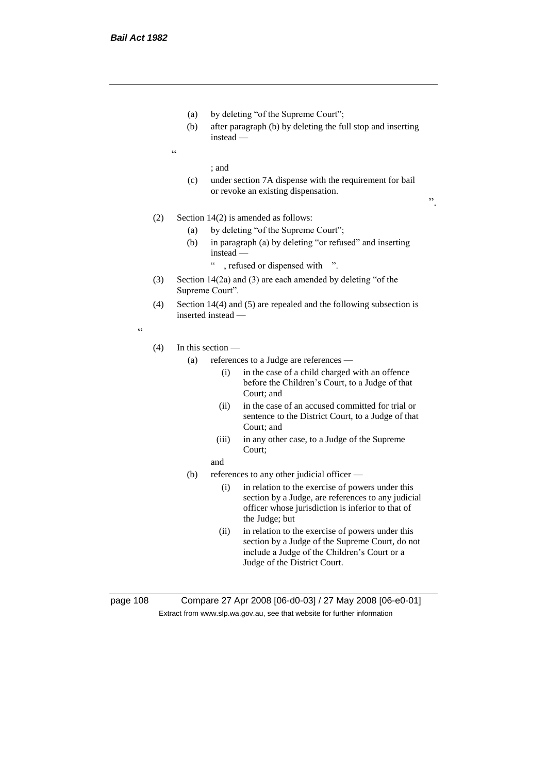- (a) by deleting "of the Supreme Court";
- (b) after paragraph (b) by deleting the full stop and inserting instead —
- $\epsilon$

; and

(c) under section 7A dispense with the requirement for bail or revoke an existing dispensation.

".

- (2) Section 14(2) is amended as follows:
	- (a) by deleting "of the Supreme Court";
	- (b) in paragraph (a) by deleting "or refused" and inserting instead —
		- " , refused or dispensed with ".
- (3) Section 14(2a) and (3) are each amended by deleting "of the Supreme Court".
- (4) Section 14(4) and (5) are repealed and the following subsection is inserted instead —

"

- (4) In this section
	- (a) references to a Judge are references
		- (i) in the case of a child charged with an offence before the Children's Court, to a Judge of that Court; and
		- (ii) in the case of an accused committed for trial or sentence to the District Court, to a Judge of that Court; and
		- (iii) in any other case, to a Judge of the Supreme Court;
		- and
	- (b) references to any other judicial officer
		- (i) in relation to the exercise of powers under this section by a Judge, are references to any judicial officer whose jurisdiction is inferior to that of the Judge; but
		- (ii) in relation to the exercise of powers under this section by a Judge of the Supreme Court, do not include a Judge of the Children's Court or a Judge of the District Court.

page 108 Compare 27 Apr 2008 [06-d0-03] / 27 May 2008 [06-e0-01] Extract from www.slp.wa.gov.au, see that website for further information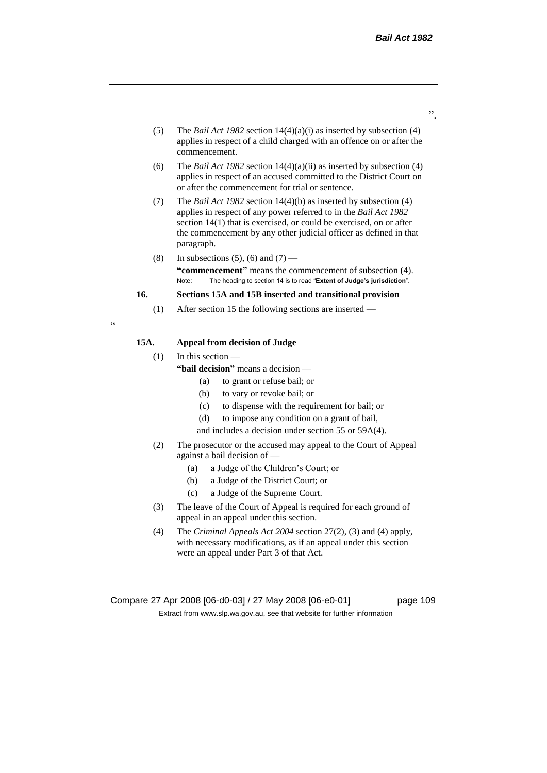- (5) The *Bail Act 1982* section 14(4)(a)(i) as inserted by subsection (4) applies in respect of a child charged with an offence on or after the commencement.
- (6) The *Bail Act 1982* section 14(4)(a)(ii) as inserted by subsection (4) applies in respect of an accused committed to the District Court on or after the commencement for trial or sentence.
- (7) The *Bail Act 1982* section 14(4)(b) as inserted by subsection (4) applies in respect of any power referred to in the *Bail Act 1982* section 14(1) that is exercised, or could be exercised, on or after the commencement by any other judicial officer as defined in that paragraph.
- (8) In subsections (5), (6) and (7) **"commencement"** means the commencement of subsection (4). Note: The heading to section 14 is to read "**Extent of Judge's jurisdiction**".

# **16. Sections 15A and 15B inserted and transitional provision**

(1) After section 15 the following sections are inserted —

"

## **15A. Appeal from decision of Judge**

(1) In this section —

- **"bail decision"** means a decision
	- (a) to grant or refuse bail; or
	- (b) to vary or revoke bail; or
	- (c) to dispense with the requirement for bail; or
	- (d) to impose any condition on a grant of bail,
	- and includes a decision under section 55 or 59A(4).
- (2) The prosecutor or the accused may appeal to the Court of Appeal against a bail decision of —
	- (a) a Judge of the Children's Court; or
	- (b) a Judge of the District Court; or
	- (c) a Judge of the Supreme Court.
- (3) The leave of the Court of Appeal is required for each ground of appeal in an appeal under this section.
- (4) The *Criminal Appeals Act 2004* section 27(2), (3) and (4) apply, with necessary modifications, as if an appeal under this section were an appeal under Part 3 of that Act.

".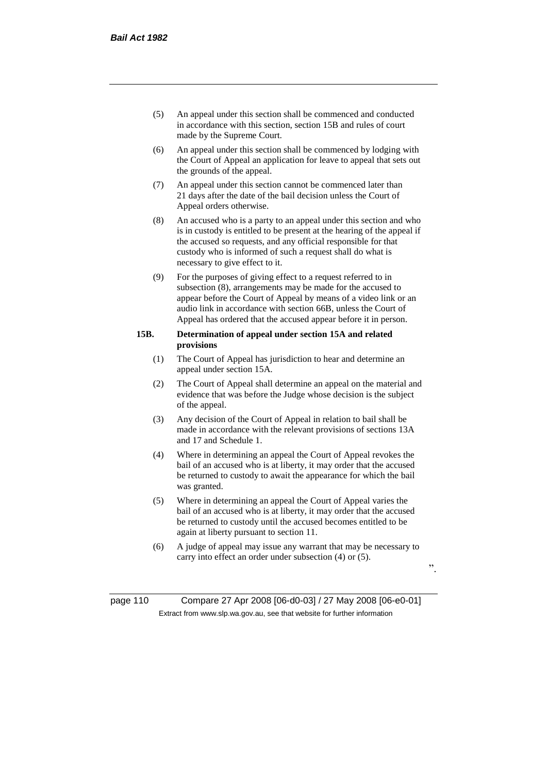- (5) An appeal under this section shall be commenced and conducted in accordance with this section, section 15B and rules of court made by the Supreme Court.
- (6) An appeal under this section shall be commenced by lodging with the Court of Appeal an application for leave to appeal that sets out the grounds of the appeal.
- (7) An appeal under this section cannot be commenced later than 21 days after the date of the bail decision unless the Court of Appeal orders otherwise.
- (8) An accused who is a party to an appeal under this section and who is in custody is entitled to be present at the hearing of the appeal if the accused so requests, and any official responsible for that custody who is informed of such a request shall do what is necessary to give effect to it.
- (9) For the purposes of giving effect to a request referred to in subsection (8), arrangements may be made for the accused to appear before the Court of Appeal by means of a video link or an audio link in accordance with section 66B, unless the Court of Appeal has ordered that the accused appear before it in person.

#### **15B. Determination of appeal under section 15A and related provisions**

- (1) The Court of Appeal has jurisdiction to hear and determine an appeal under section 15A.
- (2) The Court of Appeal shall determine an appeal on the material and evidence that was before the Judge whose decision is the subject of the appeal.
- (3) Any decision of the Court of Appeal in relation to bail shall be made in accordance with the relevant provisions of sections 13A and 17 and Schedule 1.
- (4) Where in determining an appeal the Court of Appeal revokes the bail of an accused who is at liberty, it may order that the accused be returned to custody to await the appearance for which the bail was granted.
- (5) Where in determining an appeal the Court of Appeal varies the bail of an accused who is at liberty, it may order that the accused be returned to custody until the accused becomes entitled to be again at liberty pursuant to section 11.
- (6) A judge of appeal may issue any warrant that may be necessary to carry into effect an order under subsection (4) or (5).

".

page 110 Compare 27 Apr 2008 [06-d0-03] / 27 May 2008 [06-e0-01] Extract from www.slp.wa.gov.au, see that website for further information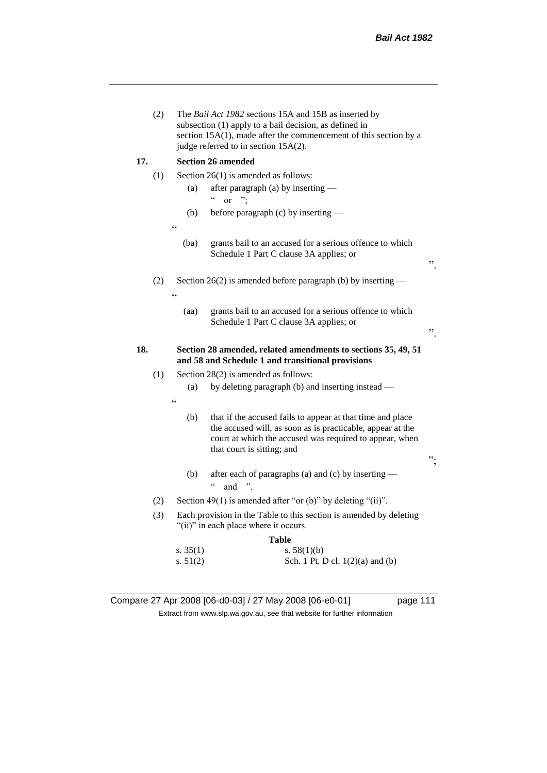|     | (2) |                             | The Bail Act 1982 sections 15A and 15B as inserted by<br>subsection (1) apply to a bail decision, as defined in<br>section 15A(1), made after the commencement of this section by a<br>judge referred to in section 15A(2). |    |
|-----|-----|-----------------------------|-----------------------------------------------------------------------------------------------------------------------------------------------------------------------------------------------------------------------------|----|
| 17. |     |                             | <b>Section 26 amended</b>                                                                                                                                                                                                   |    |
|     | (1) |                             | Section $26(1)$ is amended as follows:                                                                                                                                                                                      |    |
|     |     | (a)                         | after paragraph (a) by inserting —<br>$\epsilon$<br>"<br><sub>or</sub>                                                                                                                                                      |    |
|     |     | (b)                         | before paragraph (c) by inserting —                                                                                                                                                                                         |    |
|     |     | C                           |                                                                                                                                                                                                                             |    |
|     |     | (ba)                        | grants bail to an accused for a serious offence to which<br>Schedule 1 Part C clause 3A applies; or                                                                                                                         | ,, |
|     | (2) | $\epsilon$                  | Section 26(2) is amended before paragraph (b) by inserting $-$                                                                                                                                                              |    |
|     |     | (aa)                        | grants bail to an accused for a serious offence to which<br>Schedule 1 Part C clause 3A applies; or                                                                                                                         | ,, |
|     |     |                             |                                                                                                                                                                                                                             |    |
| 18. |     |                             | Section 28 amended, related amendments to sections 35, 49, 51<br>and 58 and Schedule 1 and transitional provisions                                                                                                          |    |
|     | (1) |                             | Section 28(2) is amended as follows:                                                                                                                                                                                        |    |
|     |     | (a)                         | by deleting paragraph (b) and inserting instead -                                                                                                                                                                           |    |
|     |     | $\pmb{\zeta}$ $\pmb{\zeta}$ |                                                                                                                                                                                                                             |    |
|     |     | (b)                         | that if the accused fails to appear at that time and place<br>the accused will, as soon as is practicable, appear at the<br>court at which the accused was required to appear, when<br>that court is sitting; and           | ". |
|     |     | (b)                         | after each of paragraphs (a) and (c) by inserting -<br>$\boldsymbol{\varsigma}$ $\boldsymbol{\varsigma}$<br>and                                                                                                             |    |
|     | (2) |                             | Section 49(1) is amended after "or (b)" by deleting "(ii)".                                                                                                                                                                 |    |
|     | (3) |                             | Each provision in the Table to this section is amended by deleting<br>"(ii)" in each place where it occurs.                                                                                                                 |    |
|     |     | s. $35(1)$                  | Table<br>s. $58(1)(b)$                                                                                                                                                                                                      |    |

Compare 27 Apr 2008 [06-d0-03] / 27 May 2008 [06-e0-01] page 111 Extract from www.slp.wa.gov.au, see that website for further information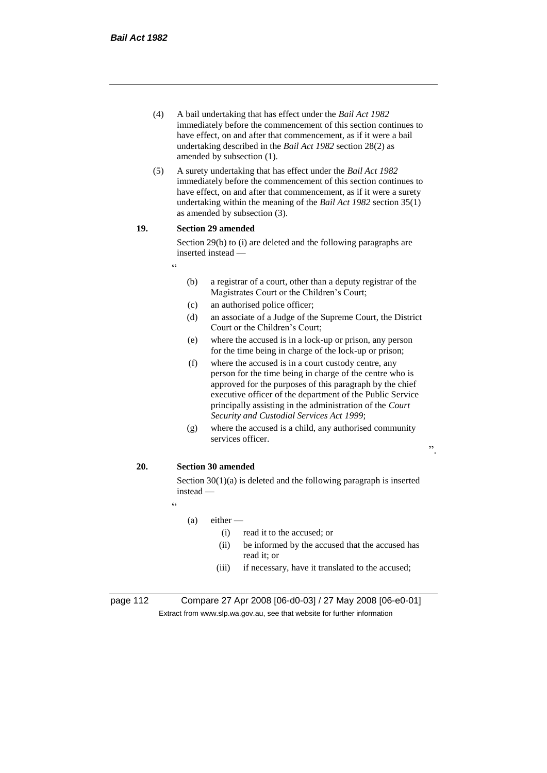- (4) A bail undertaking that has effect under the *Bail Act 1982* immediately before the commencement of this section continues to have effect, on and after that commencement, as if it were a bail undertaking described in the *Bail Act 1982* section 28(2) as amended by subsection (1).
- (5) A surety undertaking that has effect under the *Bail Act 1982* immediately before the commencement of this section continues to have effect, on and after that commencement, as if it were a surety undertaking within the meaning of the *Bail Act 1982* section 35(1) as amended by subsection (3).

# **19. Section 29 amended**

"

Section 29(b) to (i) are deleted and the following paragraphs are inserted instead —

- (b) a registrar of a court, other than a deputy registrar of the Magistrates Court or the Children's Court;
- (c) an authorised police officer;
- (d) an associate of a Judge of the Supreme Court, the District Court or the Children's Court;
- (e) where the accused is in a lock-up or prison, any person for the time being in charge of the lock-up or prison;
- (f) where the accused is in a court custody centre, any person for the time being in charge of the centre who is approved for the purposes of this paragraph by the chief executive officer of the department of the Public Service principally assisting in the administration of the *Court Security and Custodial Services Act 1999*;
- (g) where the accused is a child, any authorised community services officer.

## **20. Section 30 amended**

Section 30(1)(a) is deleted and the following paragraph is inserted instead —

"

# $(a)$  either —

- (i) read it to the accused; or
- (ii) be informed by the accused that the accused has read it; or

".

(iii) if necessary, have it translated to the accused;

page 112 Compare 27 Apr 2008 [06-d0-03] / 27 May 2008 [06-e0-01] Extract from www.slp.wa.gov.au, see that website for further information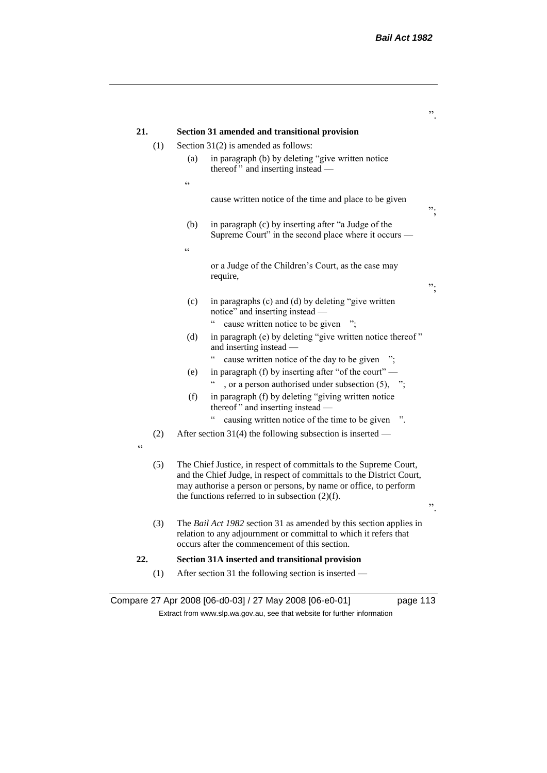|     |     |                 |                                                                                                                                                                                                                                                                     | ,, |
|-----|-----|-----------------|---------------------------------------------------------------------------------------------------------------------------------------------------------------------------------------------------------------------------------------------------------------------|----|
| 21. |     |                 | Section 31 amended and transitional provision                                                                                                                                                                                                                       |    |
|     | (1) |                 | Section $31(2)$ is amended as follows:                                                                                                                                                                                                                              |    |
|     |     | (a)             | in paragraph (b) by deleting "give written notice<br>thereof" and inserting instead -                                                                                                                                                                               |    |
|     |     | $\zeta$ $\zeta$ |                                                                                                                                                                                                                                                                     |    |
|     |     |                 | cause written notice of the time and place to be given                                                                                                                                                                                                              | ". |
|     |     | (b)             | in paragraph (c) by inserting after "a Judge of the<br>Supreme Court" in the second place where it occurs —                                                                                                                                                         |    |
|     |     | $\epsilon$      |                                                                                                                                                                                                                                                                     |    |
|     |     |                 | or a Judge of the Children's Court, as the case may<br>require,                                                                                                                                                                                                     | ". |
|     |     | (c)             | in paragraphs (c) and (d) by deleting "give written<br>notice" and inserting instead -                                                                                                                                                                              |    |
|     |     | (d)             | $\epsilon$<br>cause written notice to be given<br>in paragraph (e) by deleting "give written notice thereof"<br>and inserting instead -                                                                                                                             |    |
|     |     |                 | cause written notice of the day to be given ";                                                                                                                                                                                                                      |    |
|     |     | (e)             | in paragraph (f) by inserting after "of the court" —<br>, or a person authorised under subsection $(5)$ , ";                                                                                                                                                        |    |
|     |     | (f)             | in paragraph (f) by deleting "giving written notice<br>thereof" and inserting instead —                                                                                                                                                                             |    |
|     |     |                 | causing written notice of the time to be given                                                                                                                                                                                                                      |    |
| cc  | (2) |                 | After section 31(4) the following subsection is inserted $-$                                                                                                                                                                                                        |    |
|     | (5) |                 | The Chief Justice, in respect of committals to the Supreme Court,<br>and the Chief Judge, in respect of committals to the District Court,<br>may authorise a person or persons, by name or office, to perform<br>the functions referred to in subsection $(2)(f)$ . | ,, |
|     | (3) |                 | The Bail Act 1982 section 31 as amended by this section applies in<br>relation to any adjournment or committal to which it refers that<br>occurs after the commencement of this section.                                                                            |    |
| 22. |     |                 | Section 31A inserted and transitional provision                                                                                                                                                                                                                     |    |
|     | (1) |                 | After section 31 the following section is inserted —                                                                                                                                                                                                                |    |
|     |     |                 |                                                                                                                                                                                                                                                                     |    |

Compare 27 Apr 2008 [06-d0-03] / 27 May 2008 [06-e0-01] page 113 Extract from www.slp.wa.gov.au, see that website for further information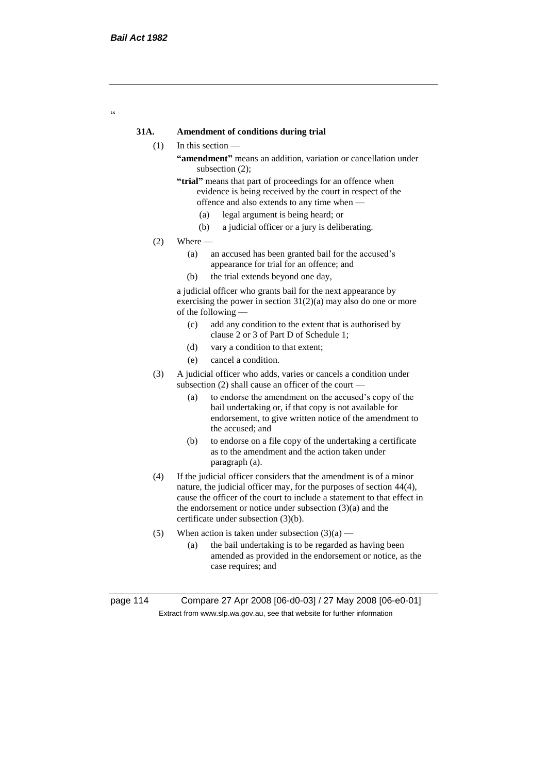$\epsilon$ 

# **31A. Amendment of conditions during trial**

- (1) In this section
	- **"amendment"** means an addition, variation or cancellation under subsection (2);
	- **"trial"** means that part of proceedings for an offence when evidence is being received by the court in respect of the offence and also extends to any time when —
		- (a) legal argument is being heard; or
		- (b) a judicial officer or a jury is deliberating.
- $(2)$  Where
	- (a) an accused has been granted bail for the accused's appearance for trial for an offence; and
	- (b) the trial extends beyond one day,

a judicial officer who grants bail for the next appearance by exercising the power in section  $31(2)(a)$  may also do one or more of the following —

- (c) add any condition to the extent that is authorised by clause 2 or 3 of Part D of Schedule 1;
- (d) vary a condition to that extent;
- (e) cancel a condition.
- (3) A judicial officer who adds, varies or cancels a condition under subsection (2) shall cause an officer of the court —
	- (a) to endorse the amendment on the accused's copy of the bail undertaking or, if that copy is not available for endorsement, to give written notice of the amendment to the accused; and
	- (b) to endorse on a file copy of the undertaking a certificate as to the amendment and the action taken under paragraph (a).
- (4) If the judicial officer considers that the amendment is of a minor nature, the judicial officer may, for the purposes of section 44(4), cause the officer of the court to include a statement to that effect in the endorsement or notice under subsection (3)(a) and the certificate under subsection (3)(b).
- (5) When action is taken under subsection  $(3)(a)$ 
	- (a) the bail undertaking is to be regarded as having been amended as provided in the endorsement or notice, as the case requires; and

page 114 Compare 27 Apr 2008 [06-d0-03] / 27 May 2008 [06-e0-01] Extract from www.slp.wa.gov.au, see that website for further information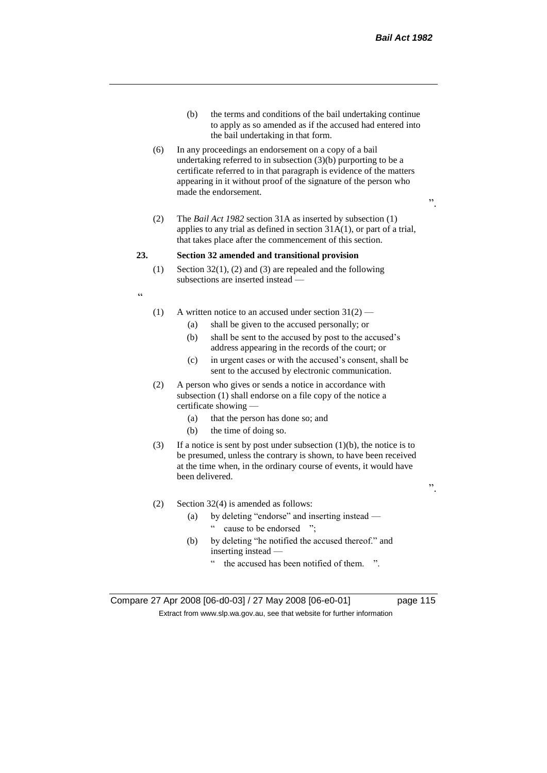- (b) the terms and conditions of the bail undertaking continue to apply as so amended as if the accused had entered into the bail undertaking in that form.
- (6) In any proceedings an endorsement on a copy of a bail undertaking referred to in subsection (3)(b) purporting to be a certificate referred to in that paragraph is evidence of the matters appearing in it without proof of the signature of the person who made the endorsement.
- $\cdot$ ,
- (2) The *Bail Act 1982* section 31A as inserted by subsection (1) applies to any trial as defined in section 31A(1), or part of a trial, that takes place after the commencement of this section.

#### **23. Section 32 amended and transitional provision**

(1) Section 32(1), (2) and (3) are repealed and the following subsections are inserted instead —

 $\epsilon$ 

- (1) A written notice to an accused under section  $31(2)$ 
	- (a) shall be given to the accused personally; or
	- (b) shall be sent to the accused by post to the accused's address appearing in the records of the court; or
	- (c) in urgent cases or with the accused's consent, shall be sent to the accused by electronic communication.
- (2) A person who gives or sends a notice in accordance with subsection (1) shall endorse on a file copy of the notice a certificate showing —
	- (a) that the person has done so; and
	- (b) the time of doing so.
- (3) If a notice is sent by post under subsection  $(1)(b)$ , the notice is to be presumed, unless the contrary is shown, to have been received at the time when, in the ordinary course of events, it would have been delivered.
- (2) Section 32(4) is amended as follows:
	- (a) by deleting "endorse" and inserting instead " cause to be endorsed ";
	- (b) by deleting "he notified the accused thereof." and inserting instead
		- the accused has been notified of them. ".

Compare 27 Apr 2008 [06-d0-03] / 27 May 2008 [06-e0-01] page 115 Extract from www.slp.wa.gov.au, see that website for further information

".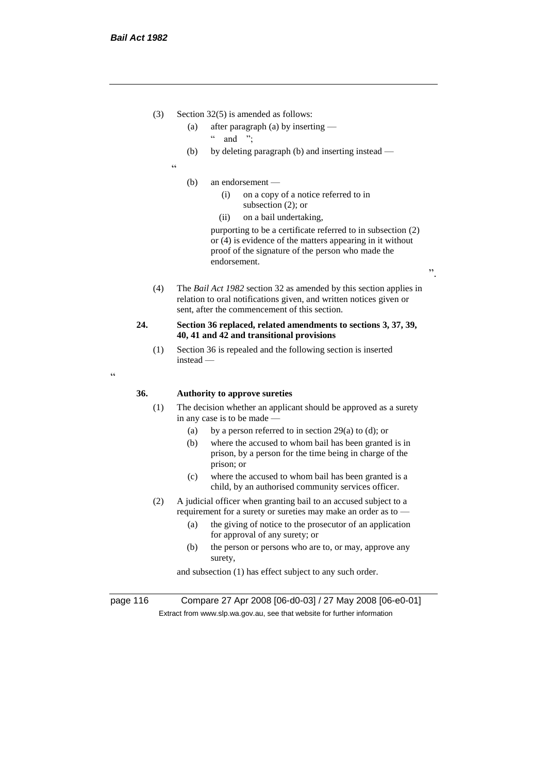- (3) Section 32(5) is amended as follows:
	- (a) after paragraph (a) by inserting
		- $"$  and ":
	- (b) by deleting paragraph (b) and inserting instead —
	- "
		- (b) an endorsement
			- (i) on a copy of a notice referred to in subsection (2); or
			- (ii) on a bail undertaking,

purporting to be a certificate referred to in subsection (2) or (4) is evidence of the matters appearing in it without proof of the signature of the person who made the endorsement.

".

(4) The *Bail Act 1982* section 32 as amended by this section applies in relation to oral notifications given, and written notices given or sent, after the commencement of this section.

#### **24. Section 36 replaced, related amendments to sections 3, 37, 39, 40, 41 and 42 and transitional provisions**

(1) Section 36 is repealed and the following section is inserted instead —

 $\epsilon$ 

#### **36. Authority to approve sureties**

- (1) The decision whether an applicant should be approved as a surety in any case is to be made —
	- (a) by a person referred to in section 29(a) to (d); or
	- (b) where the accused to whom bail has been granted is in prison, by a person for the time being in charge of the prison; or
	- (c) where the accused to whom bail has been granted is a child, by an authorised community services officer.
- (2) A judicial officer when granting bail to an accused subject to a requirement for a surety or sureties may make an order as to —
	- (a) the giving of notice to the prosecutor of an application for approval of any surety; or
	- (b) the person or persons who are to, or may, approve any surety,

and subsection (1) has effect subject to any such order.

page 116 Compare 27 Apr 2008 [06-d0-03] / 27 May 2008 [06-e0-01] Extract from www.slp.wa.gov.au, see that website for further information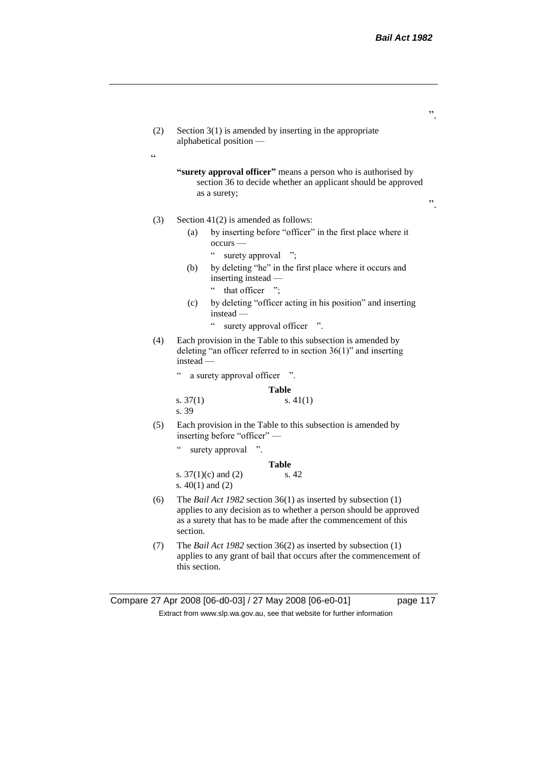- (2) Section 3(1) is amended by inserting in the appropriate alphabetical position —
	- **"surety approval officer"** means a person who is authorised by section 36 to decide whether an applicant should be approved as a surety;

".

".

# (3) Section 41(2) is amended as follows:

 $\epsilon$ 

- (a) by inserting before "officer" in the first place where it occurs —
	- " surety approval ";
- (b) by deleting "he" in the first place where it occurs and inserting instead —
	- " that officer ":
- (c) by deleting "officer acting in his position" and inserting instead —
	- " surety approval officer ".
- (4) Each provision in the Table to this subsection is amended by deleting "an officer referred to in section 36(1)" and inserting instead —
	- " a surety approval officer ".

**Table**

s.  $37(1)$  s.  $41(1)$ s. 39

(5) Each provision in the Table to this subsection is amended by inserting before "officer" —

**Table**

surety approval ".

|                         | Table |
|-------------------------|-------|
| s. $37(1)(c)$ and $(2)$ | s. 42 |
| s. $40(1)$ and $(2)$    |       |

- (6) The *Bail Act 1982* section 36(1) as inserted by subsection (1) applies to any decision as to whether a person should be approved as a surety that has to be made after the commencement of this section.
- (7) The *Bail Act 1982* section 36(2) as inserted by subsection (1) applies to any grant of bail that occurs after the commencement of this section.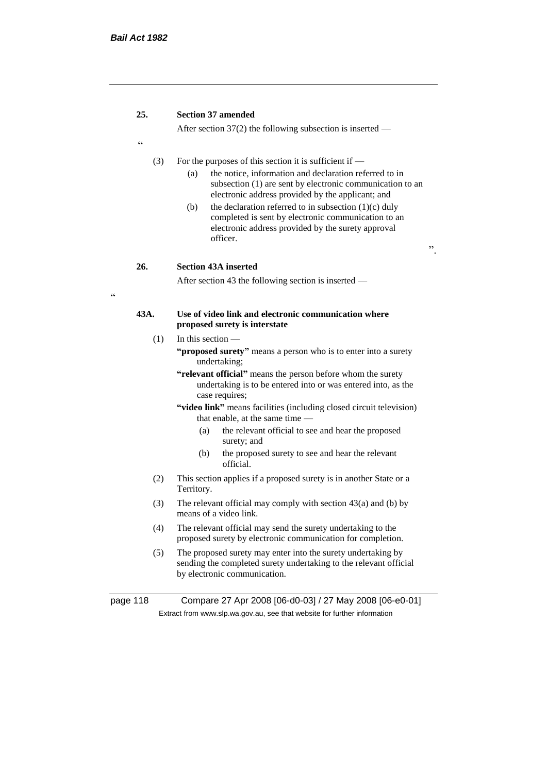$\epsilon$ 

# **25. Section 37 amended**

After section 37(2) the following subsection is inserted —

(3) For the purposes of this section it is sufficient if —

(a) the notice, information and declaration referred to in subsection (1) are sent by electronic communication to an electronic address provided by the applicant; and

".

(b) the declaration referred to in subsection  $(1)(c)$  duly completed is sent by electronic communication to an electronic address provided by the surety approval officer.

**26. Section 43A inserted**

After section 43 the following section is inserted —

#### **43A. Use of video link and electronic communication where proposed surety is interstate**

- $(1)$  In this section
	- **"proposed surety"** means a person who is to enter into a surety undertaking;
	- **"relevant official"** means the person before whom the surety undertaking is to be entered into or was entered into, as the case requires;
	- **"video link"** means facilities (including closed circuit television) that enable, at the same time —
		- (a) the relevant official to see and hear the proposed surety; and
		- (b) the proposed surety to see and hear the relevant official.
- (2) This section applies if a proposed surety is in another State or a Territory.
- (3) The relevant official may comply with section 43(a) and (b) by means of a video link.
- (4) The relevant official may send the surety undertaking to the proposed surety by electronic communication for completion.
- (5) The proposed surety may enter into the surety undertaking by sending the completed surety undertaking to the relevant official by electronic communication.

page 118 Compare 27 Apr 2008 [06-d0-03] / 27 May 2008 [06-e0-01] Extract from www.slp.wa.gov.au, see that website for further information

.<br>C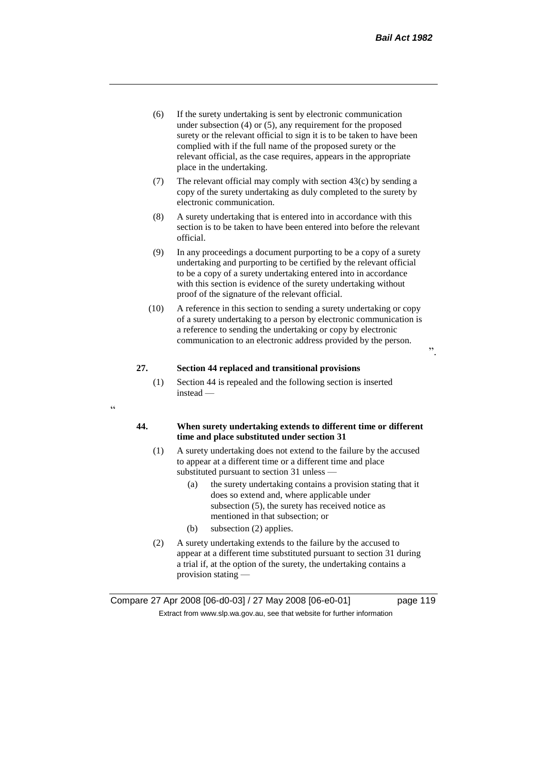".

- (6) If the surety undertaking is sent by electronic communication under subsection (4) or (5), any requirement for the proposed surety or the relevant official to sign it is to be taken to have been complied with if the full name of the proposed surety or the relevant official, as the case requires, appears in the appropriate place in the undertaking.
- (7) The relevant official may comply with section 43(c) by sending a copy of the surety undertaking as duly completed to the surety by electronic communication.
- (8) A surety undertaking that is entered into in accordance with this section is to be taken to have been entered into before the relevant official.
- (9) In any proceedings a document purporting to be a copy of a surety undertaking and purporting to be certified by the relevant official to be a copy of a surety undertaking entered into in accordance with this section is evidence of the surety undertaking without proof of the signature of the relevant official.
- (10) A reference in this section to sending a surety undertaking or copy of a surety undertaking to a person by electronic communication is a reference to sending the undertaking or copy by electronic communication to an electronic address provided by the person.

# **27. Section 44 replaced and transitional provisions**

(1) Section 44 is repealed and the following section is inserted instead —

# "

## **44. When surety undertaking extends to different time or different time and place substituted under section 31**

- (1) A surety undertaking does not extend to the failure by the accused to appear at a different time or a different time and place substituted pursuant to section 31 unless —
	- (a) the surety undertaking contains a provision stating that it does so extend and, where applicable under subsection (5), the surety has received notice as mentioned in that subsection; or
	- (b) subsection (2) applies.
- (2) A surety undertaking extends to the failure by the accused to appear at a different time substituted pursuant to section 31 during a trial if, at the option of the surety, the undertaking contains a provision stating —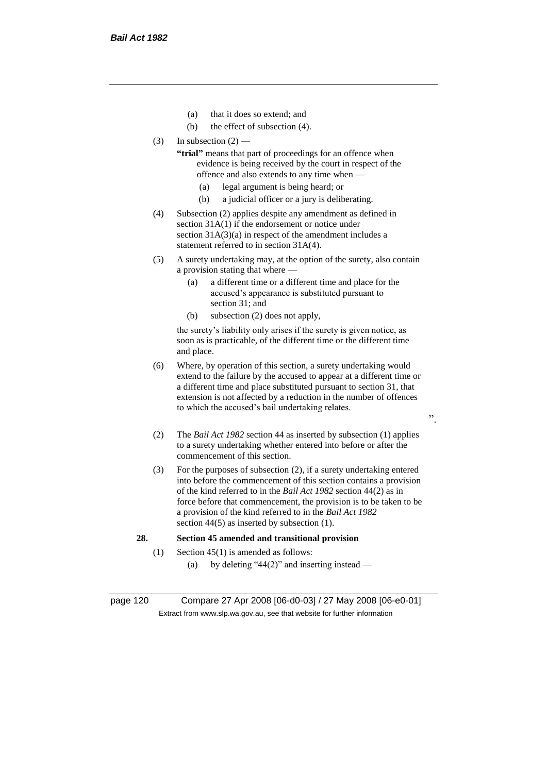- (a) that it does so extend; and
- (b) the effect of subsection (4).
- $(3)$  In subsection  $(2)$ 
	- **"trial"** means that part of proceedings for an offence when evidence is being received by the court in respect of the offence and also extends to any time when —
		- (a) legal argument is being heard; or
		- (b) a judicial officer or a jury is deliberating.
- (4) Subsection (2) applies despite any amendment as defined in section 31A(1) if the endorsement or notice under section 31A(3)(a) in respect of the amendment includes a statement referred to in section 31A(4).
- (5) A surety undertaking may, at the option of the surety, also contain a provision stating that where —
	- (a) a different time or a different time and place for the accused's appearance is substituted pursuant to section 31; and
	- (b) subsection (2) does not apply,

the surety's liability only arises if the surety is given notice, as soon as is practicable, of the different time or the different time and place.

- (6) Where, by operation of this section, a surety undertaking would extend to the failure by the accused to appear at a different time or a different time and place substituted pursuant to section 31, that extension is not affected by a reduction in the number of offences to which the accused's bail undertaking relates.
- (2) The *Bail Act 1982* section 44 as inserted by subsection (1) applies to a surety undertaking whether entered into before or after the commencement of this section.

".

(3) For the purposes of subsection (2), if a surety undertaking entered into before the commencement of this section contains a provision of the kind referred to in the *Bail Act 1982* section 44(2) as in force before that commencement, the provision is to be taken to be a provision of the kind referred to in the *Bail Act 1982*  section 44(5) as inserted by subsection (1).

#### **28. Section 45 amended and transitional provision**

- (1) Section 45(1) is amended as follows:
	- (a) by deleting "44(2)" and inserting instead —

page 120 Compare 27 Apr 2008 [06-d0-03] / 27 May 2008 [06-e0-01] Extract from www.slp.wa.gov.au, see that website for further information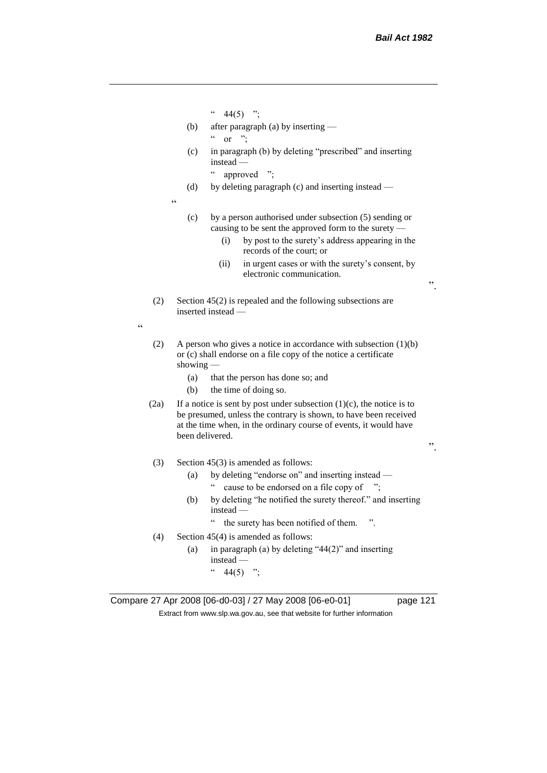- $44(5)$  ";
- (b) after paragraph (a) by inserting  $\alpha$  or ";
- (c) in paragraph (b) by deleting "prescribed" and inserting instead —

" approved ";

(d) by deleting paragraph (c) and inserting instead —

 $\epsilon$ 

"

- (c) by a person authorised under subsection (5) sending or causing to be sent the approved form to the surety —
	- (i) by post to the surety's address appearing in the records of the court; or
	- (ii) in urgent cases or with the surety's consent, by electronic communication.
- (2) Section 45(2) is repealed and the following subsections are inserted instead —
- (2) A person who gives a notice in accordance with subsection (1)(b) or (c) shall endorse on a file copy of the notice a certificate showing —
	- (a) that the person has done so; and
	- (b) the time of doing so.
- (2a) If a notice is sent by post under subsection  $(1)(c)$ , the notice is to be presumed, unless the contrary is shown, to have been received at the time when, in the ordinary course of events, it would have been delivered.

".

".

- (3) Section 45(3) is amended as follows:
	- (a) by deleting "endorse on" and inserting instead
		- " cause to be endorsed on a file copy of ";
	- (b) by deleting "he notified the surety thereof." and inserting instead —
		- " the surety has been notified of them. ".
- (4) Section 45(4) is amended as follows:
	- (a) in paragraph (a) by deleting "44(2)" and inserting instead —  $44(5)$  ";

Compare 27 Apr 2008 [06-d0-03] / 27 May 2008 [06-e0-01] page 121 Extract from www.slp.wa.gov.au, see that website for further information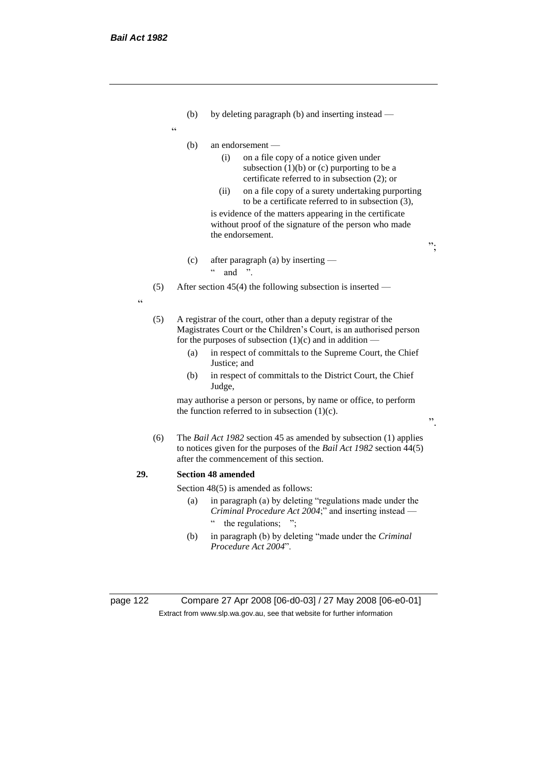- (b) by deleting paragraph (b) and inserting instead —
- "
- (b) an endorsement
	- (i) on a file copy of a notice given under subsection  $(1)(b)$  or  $(c)$  purporting to be a certificate referred to in subsection (2); or
	- (ii) on a file copy of a surety undertaking purporting to be a certificate referred to in subsection (3), is evidence of the matters appearing in the certificate

";

".

without proof of the signature of the person who made the endorsement.

(c) after paragraph (a) by inserting —  $\cdot$  and "

(5) After section 45(4) the following subsection is inserted —

- "
- (5) A registrar of the court, other than a deputy registrar of the Magistrates Court or the Children's Court, is an authorised person for the purposes of subsection  $(1)(c)$  and in addition —
	- (a) in respect of committals to the Supreme Court, the Chief Justice; and
	- (b) in respect of committals to the District Court, the Chief Judge,

may authorise a person or persons, by name or office, to perform the function referred to in subsection  $(1)(c)$ .

(6) The *Bail Act 1982* section 45 as amended by subsection (1) applies to notices given for the purposes of the *Bail Act 1982* section 44(5) after the commencement of this section.

#### **29. Section 48 amended**

Section 48(5) is amended as follows:

- (a) in paragraph (a) by deleting "regulations made under the *Criminal Procedure Act 2004*;" and inserting instead — " the regulations; ";
- (b) in paragraph (b) by deleting "made under the *Criminal Procedure Act 2004*".

page 122 Compare 27 Apr 2008 [06-d0-03] / 27 May 2008 [06-e0-01] Extract from www.slp.wa.gov.au, see that website for further information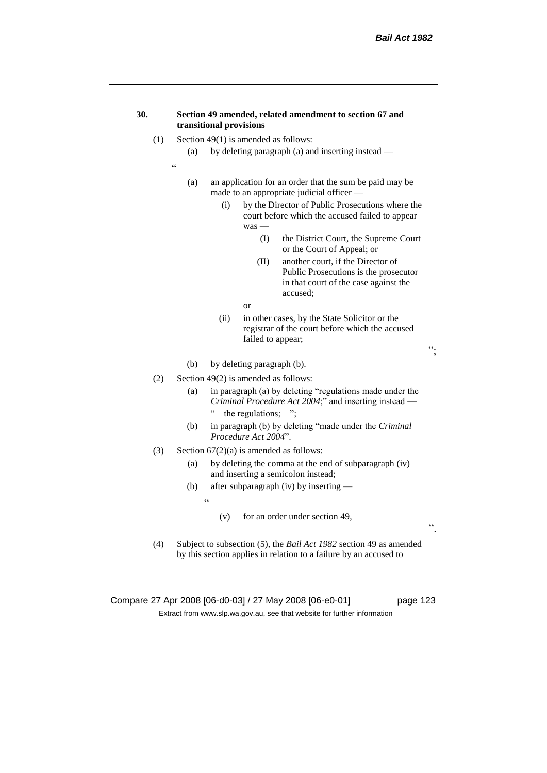#### **30. Section 49 amended, related amendment to section 67 and transitional provisions**

- (1) Section 49(1) is amended as follows:
	- (a) by deleting paragraph (a) and inserting instead —
	- "
- (a) an application for an order that the sum be paid may be made to an appropriate judicial officer —
	- (i) by the Director of Public Prosecutions where the court before which the accused failed to appear was —
		- (I) the District Court, the Supreme Court or the Court of Appeal; or
		- (II) another court, if the Director of Public Prosecutions is the prosecutor in that court of the case against the accused;
		- or
	- (ii) in other cases, by the State Solicitor or the registrar of the court before which the accused failed to appear;
- (b) by deleting paragraph (b).
- (2) Section 49(2) is amended as follows:
	- (a) in paragraph (a) by deleting "regulations made under the *Criminal Procedure Act 2004*;" and inserting instead
		- the regulations;  $"$ ;
	- (b) in paragraph (b) by deleting "made under the *Criminal Procedure Act 2004*".
- (3) Section  $67(2)(a)$  is amended as follows:
	- (a) by deleting the comma at the end of subparagraph (iv) and inserting a semicolon instead;
	- (b) after subparagraph (iv) by inserting
		- $\ddot{\epsilon}$
- (v) for an order under section 49,
- (4) Subject to subsection (5), the *Bail Act 1982* section 49 as amended by this section applies in relation to a failure by an accused to

Compare 27 Apr 2008 [06-d0-03] / 27 May 2008 [06-e0-01] page 123 Extract from www.slp.wa.gov.au, see that website for further information

".

";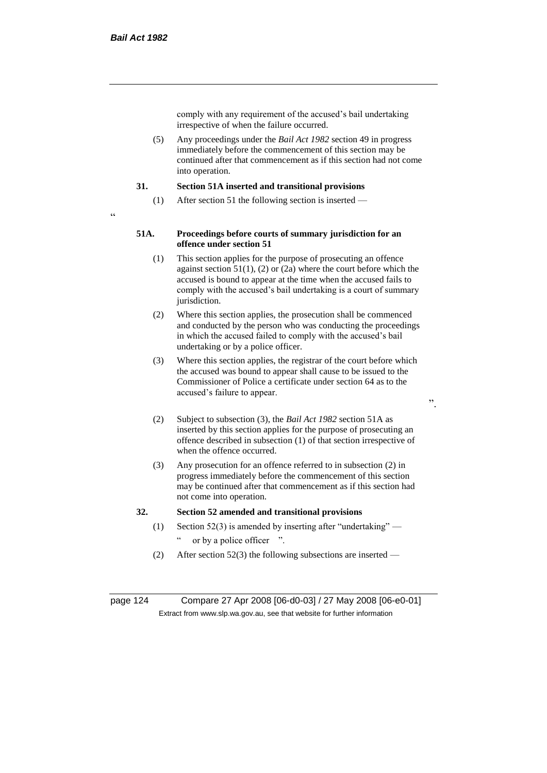comply with any requirement of the accused's bail undertaking irrespective of when the failure occurred.

(5) Any proceedings under the *Bail Act 1982* section 49 in progress immediately before the commencement of this section may be continued after that commencement as if this section had not come into operation.

#### **31. Section 51A inserted and transitional provisions**

- (1) After section 51 the following section is inserted —
- $\epsilon$

#### **51A. Proceedings before courts of summary jurisdiction for an offence under section 51**

- (1) This section applies for the purpose of prosecuting an offence against section  $51(1)$ , (2) or (2a) where the court before which the accused is bound to appear at the time when the accused fails to comply with the accused's bail undertaking is a court of summary jurisdiction.
- (2) Where this section applies, the prosecution shall be commenced and conducted by the person who was conducting the proceedings in which the accused failed to comply with the accused's bail undertaking or by a police officer.
- (3) Where this section applies, the registrar of the court before which the accused was bound to appear shall cause to be issued to the Commissioner of Police a certificate under section 64 as to the accused's failure to appear.
- ".
- (2) Subject to subsection (3), the *Bail Act 1982* section 51A as inserted by this section applies for the purpose of prosecuting an offence described in subsection (1) of that section irrespective of when the offence occurred.
- (3) Any prosecution for an offence referred to in subsection (2) in progress immediately before the commencement of this section may be continued after that commencement as if this section had not come into operation.

#### **32. Section 52 amended and transitional provisions**

- (1) Section 52(3) is amended by inserting after "undertaking" or by a police officer ".
- (2) After section 52(3) the following subsections are inserted —

page 124 Compare 27 Apr 2008 [06-d0-03] / 27 May 2008 [06-e0-01] Extract from www.slp.wa.gov.au, see that website for further information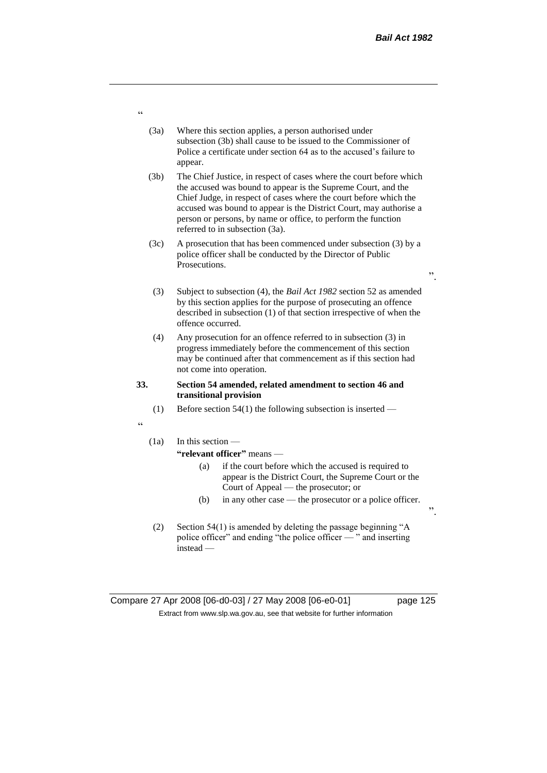".

".

- (3a) Where this section applies, a person authorised under subsection (3b) shall cause to be issued to the Commissioner of Police a certificate under section 64 as to the accused's failure to appear.
- (3b) The Chief Justice, in respect of cases where the court before which the accused was bound to appear is the Supreme Court, and the Chief Judge, in respect of cases where the court before which the accused was bound to appear is the District Court, may authorise a person or persons, by name or office, to perform the function referred to in subsection (3a).
- (3c) A prosecution that has been commenced under subsection (3) by a police officer shall be conducted by the Director of Public Prosecutions.
- (3) Subject to subsection (4), the *Bail Act 1982* section 52 as amended by this section applies for the purpose of prosecuting an offence described in subsection (1) of that section irrespective of when the offence occurred.
- (4) Any prosecution for an offence referred to in subsection (3) in progress immediately before the commencement of this section may be continued after that commencement as if this section had not come into operation.

#### **33. Section 54 amended, related amendment to section 46 and transitional provision**

- (1) Before section 54(1) the following subsection is inserted —
- "

# (1a) In this section —

# **"relevant officer"** means —

- (a) if the court before which the accused is required to appear is the District Court, the Supreme Court or the Court of Appeal — the prosecutor; or
- (b) in any other case the prosecutor or a police officer.
- (2) Section 54(1) is amended by deleting the passage beginning "A police officer" and ending "the police officer — " and inserting instead —

# Compare 27 Apr 2008 [06-d0-03] / 27 May 2008 [06-e0-01] page 125 Extract from www.slp.wa.gov.au, see that website for further information

"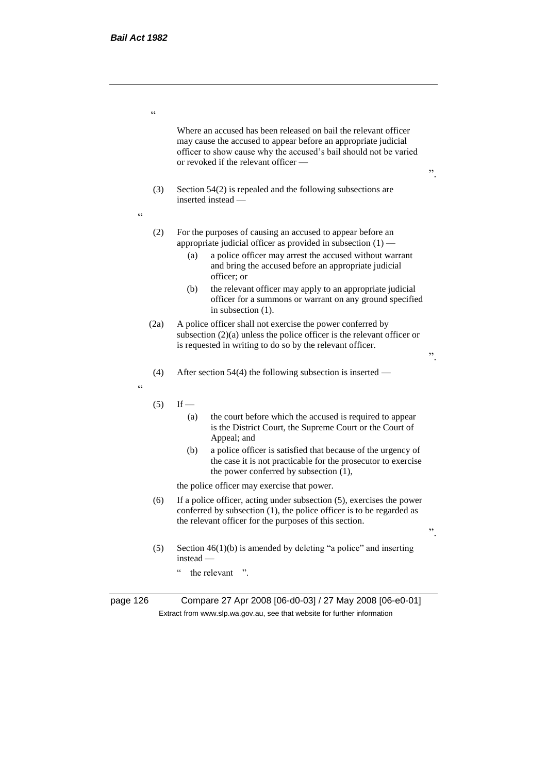$\epsilon$ 

Where an accused has been released on bail the relevant officer may cause the accused to appear before an appropriate judicial officer to show cause why the accused's bail should not be varied or revoked if the relevant officer —

".

".

".

- (3) Section 54(2) is repealed and the following subsections are inserted instead —
- $\ddot{\phantom{0}}$
- (2) For the purposes of causing an accused to appear before an appropriate judicial officer as provided in subsection  $(1)$  —
	- (a) a police officer may arrest the accused without warrant and bring the accused before an appropriate judicial officer; or
	- (b) the relevant officer may apply to an appropriate judicial officer for a summons or warrant on any ground specified in subsection (1).
- (2a) A police officer shall not exercise the power conferred by subsection (2)(a) unless the police officer is the relevant officer or is requested in writing to do so by the relevant officer.
- (4) After section 54(4) the following subsection is inserted —

"

- $(5)$  If
	- (a) the court before which the accused is required to appear is the District Court, the Supreme Court or the Court of Appeal; and
	- (b) a police officer is satisfied that because of the urgency of the case it is not practicable for the prosecutor to exercise the power conferred by subsection (1),

the police officer may exercise that power.

- (6) If a police officer, acting under subsection (5), exercises the power conferred by subsection (1), the police officer is to be regarded as the relevant officer for the purposes of this section.
- (5) Section  $46(1)(b)$  is amended by deleting "a police" and inserting instead —
	- " the relevant ".

page 126 Compare 27 Apr 2008 [06-d0-03] / 27 May 2008 [06-e0-01] Extract from www.slp.wa.gov.au, see that website for further information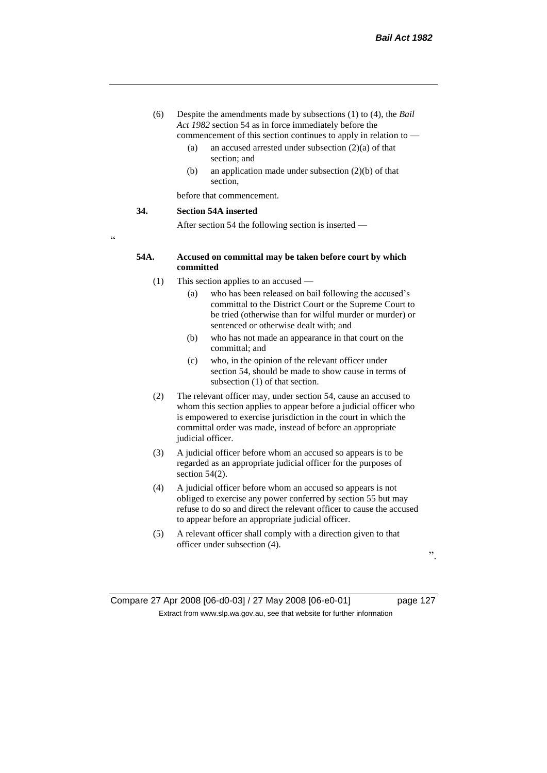- (6) Despite the amendments made by subsections (1) to (4), the *Bail Act 1982* section 54 as in force immediately before the commencement of this section continues to apply in relation to —
	- (a) an accused arrested under subsection (2)(a) of that section; and
	- (b) an application made under subsection (2)(b) of that section,

before that commencement.

#### **34. Section 54A inserted**

After section 54 the following section is inserted —

"

# **54A. Accused on committal may be taken before court by which committed**

- (1) This section applies to an accused
	- (a) who has been released on bail following the accused's committal to the District Court or the Supreme Court to be tried (otherwise than for wilful murder or murder) or sentenced or otherwise dealt with; and
	- (b) who has not made an appearance in that court on the committal; and
	- (c) who, in the opinion of the relevant officer under section 54, should be made to show cause in terms of subsection (1) of that section.
- (2) The relevant officer may, under section 54, cause an accused to whom this section applies to appear before a judicial officer who is empowered to exercise jurisdiction in the court in which the committal order was made, instead of before an appropriate judicial officer.
- (3) A judicial officer before whom an accused so appears is to be regarded as an appropriate judicial officer for the purposes of section 54(2).
- (4) A judicial officer before whom an accused so appears is not obliged to exercise any power conferred by section 55 but may refuse to do so and direct the relevant officer to cause the accused to appear before an appropriate judicial officer.
- (5) A relevant officer shall comply with a direction given to that officer under subsection (4).

".

Compare 27 Apr 2008 [06-d0-03] / 27 May 2008 [06-e0-01] page 127 Extract from www.slp.wa.gov.au, see that website for further information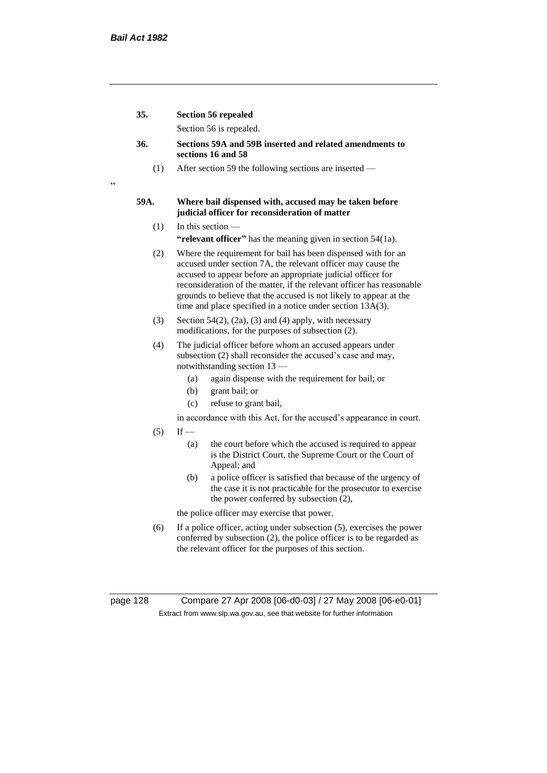$\epsilon$ 

| 35.    | <b>Section 56 repealed</b> |  |
|--------|----------------------------|--|
|        | Section 56 is repealed.    |  |
| $\sim$ | 1.50<br>$-\Delta$ $\Delta$ |  |

- **36. Sections 59A and 59B inserted and related amendments to sections 16 and 58**
	- (1) After section 59 the following sections are inserted —

# **59A. Where bail dispensed with, accused may be taken before judicial officer for reconsideration of matter**

- (1) In this section **"relevant officer"** has the meaning given in section 54(1a).
- (2) Where the requirement for bail has been dispensed with for an accused under section 7A, the relevant officer may cause the accused to appear before an appropriate judicial officer for reconsideration of the matter, if the relevant officer has reasonable grounds to believe that the accused is not likely to appear at the time and place specified in a notice under section 13A(3).
- (3) Section 54(2), (2a), (3) and (4) apply, with necessary modifications, for the purposes of subsection (2).
- (4) The judicial officer before whom an accused appears under subsection (2) shall reconsider the accused's case and may, notwithstanding section 13 —
	- (a) again dispense with the requirement for bail; or
	- (b) grant bail; or
	- (c) refuse to grant bail,
	- in accordance with this Act, for the accused's appearance in court.
- $(5)$  If
	- (a) the court before which the accused is required to appear is the District Court, the Supreme Court or the Court of Appeal; and
	- (b) a police officer is satisfied that because of the urgency of the case it is not practicable for the prosecutor to exercise the power conferred by subsection (2),

the police officer may exercise that power.

(6) If a police officer, acting under subsection (5), exercises the power conferred by subsection (2), the police officer is to be regarded as the relevant officer for the purposes of this section.

page 128 Compare 27 Apr 2008 [06-d0-03] / 27 May 2008 [06-e0-01] Extract from www.slp.wa.gov.au, see that website for further information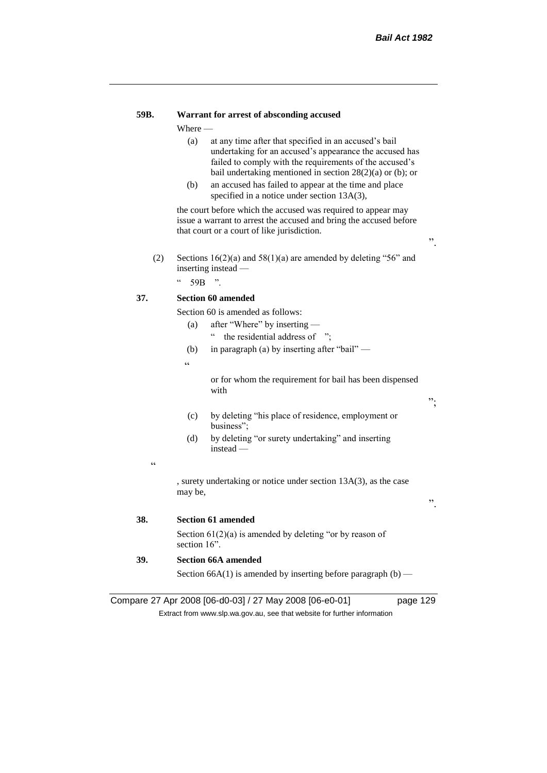# **59B. Warrant for arrest of absconding accused**

Where —

- (a) at any time after that specified in an accused's bail undertaking for an accused's appearance the accused has failed to comply with the requirements of the accused's bail undertaking mentioned in section 28(2)(a) or (b); or
- (b) an accused has failed to appear at the time and place specified in a notice under section 13A(3),

the court before which the accused was required to appear may issue a warrant to arrest the accused and bring the accused before that court or a court of like jurisdiction.

- ".
- (2) Sections  $16(2)(a)$  and  $58(1)(a)$  are amended by deleting "56" and inserting instead —

 $"$  59B ".

# **37. Section 60 amended**

Section 60 is amended as follows:

- (a) after "Where" by inserting " the residential address of ";
- (b) in paragraph (a) by inserting after "bail" —

 $\epsilon$ 

or for whom the requirement for bail has been dispensed with

 $, ,$ 

".

- (c) by deleting "his place of residence, employment or business";
- (d) by deleting "or surety undertaking" and inserting instead —

.<br>.

, surety undertaking or notice under section 13A(3), as the case may be,

**38. Section 61 amended**

Section 61(2)(a) is amended by deleting "or by reason of section 16<sup>"</sup>.

**39. Section 66A amended**

Section 66A(1) is amended by inserting before paragraph  $(b)$  —

Compare 27 Apr 2008 [06-d0-03] / 27 May 2008 [06-e0-01] page 129

Extract from www.slp.wa.gov.au, see that website for further information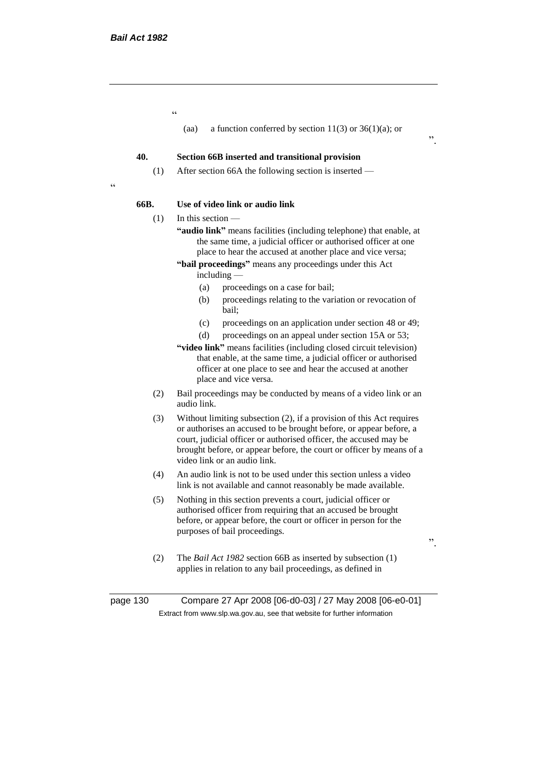.<br>"

(aa) a function conferred by section  $11(3)$  or  $36(1)(a)$ ; or

#### **40. Section 66B inserted and transitional provision**

(1) After section 66A the following section is inserted —

#### **66B. Use of video link or audio link**

(1) In this section —

 $\epsilon$ 

- **"audio link"** means facilities (including telephone) that enable, at the same time, a judicial officer or authorised officer at one place to hear the accused at another place and vice versa;
- **"bail proceedings"** means any proceedings under this Act including —
	- (a) proceedings on a case for bail;
	- (b) proceedings relating to the variation or revocation of bail;
	- (c) proceedings on an application under section 48 or 49;
	- (d) proceedings on an appeal under section 15A or 53;
- **"video link"** means facilities (including closed circuit television) that enable, at the same time, a judicial officer or authorised officer at one place to see and hear the accused at another place and vice versa.
- (2) Bail proceedings may be conducted by means of a video link or an audio link.
- (3) Without limiting subsection (2), if a provision of this Act requires or authorises an accused to be brought before, or appear before, a court, judicial officer or authorised officer, the accused may be brought before, or appear before, the court or officer by means of a video link or an audio link.
- (4) An audio link is not to be used under this section unless a video link is not available and cannot reasonably be made available.
- (5) Nothing in this section prevents a court, judicial officer or authorised officer from requiring that an accused be brought before, or appear before, the court or officer in person for the purposes of bail proceedings.
- ".

".

- (2) The *Bail Act 1982* section 66B as inserted by subsection (1) applies in relation to any bail proceedings, as defined in
- page 130 Compare 27 Apr 2008 [06-d0-03] / 27 May 2008 [06-e0-01] Extract from www.slp.wa.gov.au, see that website for further information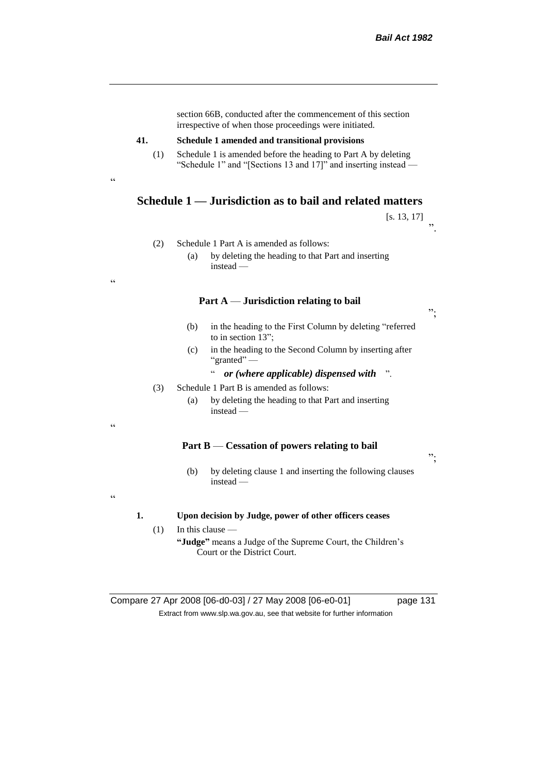|     | section 66B, conducted after the commencement of this section<br>irrespective of when those proceedings were initiated.                                                             |
|-----|-------------------------------------------------------------------------------------------------------------------------------------------------------------------------------------|
| 41. |                                                                                                                                                                                     |
| (1) | Schedule 1 amended and transitional provisions<br>Schedule 1 is amended before the heading to Part A by deleting<br>"Schedule 1" and "[Sections 13 and 17]" and inserting instead — |
|     | Schedule 1 — Jurisdiction as to bail and related matters                                                                                                                            |
|     | [s. 13, 17]                                                                                                                                                                         |
| (2) | Schedule 1 Part A is amended as follows:<br>(a)<br>by deleting the heading to that Part and inserting<br>$instead -$                                                                |
|     |                                                                                                                                                                                     |
|     | Part A — Jurisdiction relating to bail                                                                                                                                              |
|     | (b)<br>in the heading to the First Column by deleting "referred<br>to in section 13";                                                                                               |
|     | (c)<br>in the heading to the Second Column by inserting after<br>"granted" —                                                                                                        |
|     | $\zeta$ $\zeta$<br>or (where applicable) dispensed with<br>$\ddot{\phantom{1}}$                                                                                                     |
| (3) | Schedule 1 Part B is amended as follows:<br>by deleting the heading to that Part and inserting<br>(a)<br>$instead -$                                                                |
|     | Part B — Cessation of powers relating to bail                                                                                                                                       |
|     | (b)<br>by deleting clause 1 and inserting the following clauses<br>$instead -$                                                                                                      |
| 1.  | Upon decision by Judge, power of other officers ceases                                                                                                                              |
| (1) | In this clause $-$                                                                                                                                                                  |
|     | "Judge" means a Judge of the Supreme Court, the Children's<br>Court or the District Court.                                                                                          |

Compare 27 Apr 2008 [06-d0-03] / 27 May 2008 [06-e0-01] page 131 Extract from www.slp.wa.gov.au, see that website for further information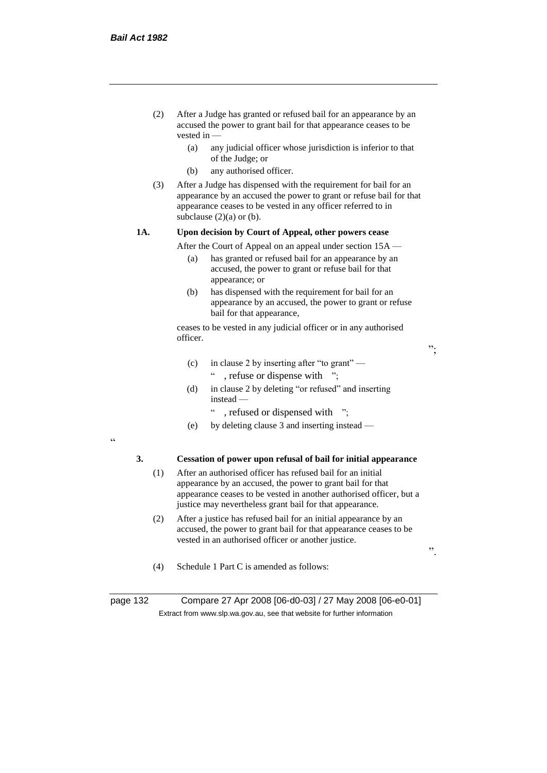- (2) After a Judge has granted or refused bail for an appearance by an accused the power to grant bail for that appearance ceases to be vested in —
	- (a) any judicial officer whose jurisdiction is inferior to that of the Judge; or
	- (b) any authorised officer.
- (3) After a Judge has dispensed with the requirement for bail for an appearance by an accused the power to grant or refuse bail for that appearance ceases to be vested in any officer referred to in subclause  $(2)(a)$  or  $(b)$ .

#### **1A. Upon decision by Court of Appeal, other powers cease**

After the Court of Appeal on an appeal under section 15A —

- (a) has granted or refused bail for an appearance by an accused, the power to grant or refuse bail for that appearance; or
- (b) has dispensed with the requirement for bail for an appearance by an accused, the power to grant or refuse bail for that appearance,

ceases to be vested in any judicial officer or in any authorised officer.

";

- (c) in clause 2 by inserting after "to grant"
	- " , refuse or dispense with ";
- (d) in clause 2 by deleting "or refused" and inserting instead —
	- , refused or dispensed with ";
- (e) by deleting clause 3 and inserting instead —

"

#### **3. Cessation of power upon refusal of bail for initial appearance**

- (1) After an authorised officer has refused bail for an initial appearance by an accused, the power to grant bail for that appearance ceases to be vested in another authorised officer, but a justice may nevertheless grant bail for that appearance.
- (2) After a justice has refused bail for an initial appearance by an accused, the power to grant bail for that appearance ceases to be vested in an authorised officer or another justice.

".

(4) Schedule 1 Part C is amended as follows:

page 132 Compare 27 Apr 2008 [06-d0-03] / 27 May 2008 [06-e0-01] Extract from www.slp.wa.gov.au, see that website for further information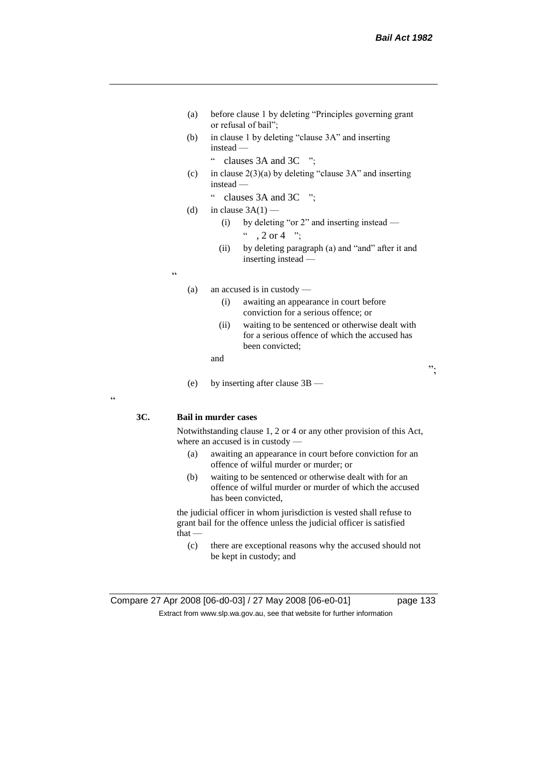- (a) before clause 1 by deleting "Principles governing grant or refusal of bail";
- (b) in clause 1 by deleting "clause 3A" and inserting instead —
	- " clauses 3A and 3C ";
- (c) in clause  $2(3)(a)$  by deleting "clause 3A" and inserting instead —
	- " clauses 3A and 3C ";
- (d) in clause  $3A(1)$ 
	- (i) by deleting "or 2" and inserting instead  $, 2 \text{ or } 4$  ";
	- (ii) by deleting paragraph (a) and "and" after it and inserting instead —

 $\epsilon$ 

- (a) an accused is in custody
	- (i) awaiting an appearance in court before conviction for a serious offence; or
	- (ii) waiting to be sentenced or otherwise dealt with for a serious offence of which the accused has been convicted;

and

(e) by inserting after clause 3B —

**3C. Bail in murder cases**

 $\epsilon$ 

Notwithstanding clause 1, 2 or 4 or any other provision of this Act, where an accused is in custody —

- (a) awaiting an appearance in court before conviction for an offence of wilful murder or murder; or
- (b) waiting to be sentenced or otherwise dealt with for an offence of wilful murder or murder of which the accused has been convicted,

the judicial officer in whom jurisdiction is vested shall refuse to grant bail for the offence unless the judicial officer is satisfied that —

(c) there are exceptional reasons why the accused should not be kept in custody; and

";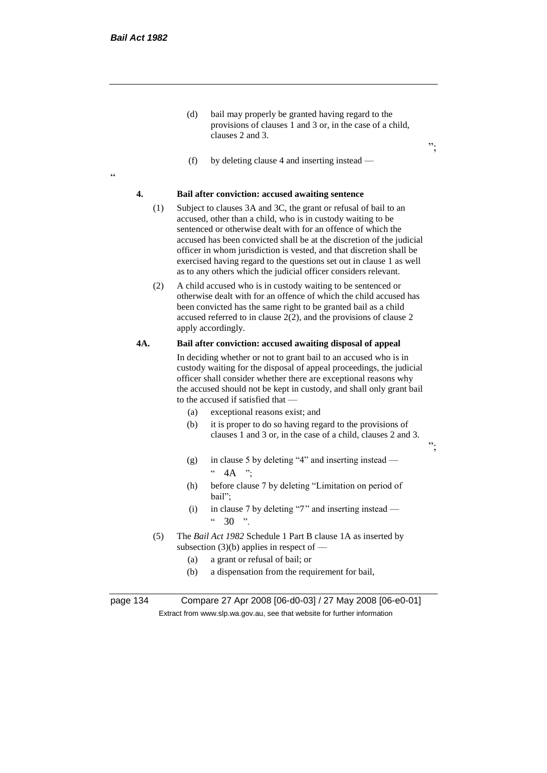.<br>cc

(d) bail may properly be granted having regard to the provisions of clauses 1 and 3 or, in the case of a child, clauses 2 and 3.

";

";

(f) by deleting clause 4 and inserting instead —

#### **4. Bail after conviction: accused awaiting sentence**

- (1) Subject to clauses 3A and 3C, the grant or refusal of bail to an accused, other than a child, who is in custody waiting to be sentenced or otherwise dealt with for an offence of which the accused has been convicted shall be at the discretion of the judicial officer in whom jurisdiction is vested, and that discretion shall be exercised having regard to the questions set out in clause 1 as well as to any others which the judicial officer considers relevant.
- (2) A child accused who is in custody waiting to be sentenced or otherwise dealt with for an offence of which the child accused has been convicted has the same right to be granted bail as a child accused referred to in clause  $2(2)$ , and the provisions of clause 2 apply accordingly.

#### **4A. Bail after conviction: accused awaiting disposal of appeal**

In deciding whether or not to grant bail to an accused who is in custody waiting for the disposal of appeal proceedings, the judicial officer shall consider whether there are exceptional reasons why the accused should not be kept in custody, and shall only grant bail to the accused if satisfied that —

- (a) exceptional reasons exist; and
- (b) it is proper to do so having regard to the provisions of clauses 1 and 3 or, in the case of a child, clauses 2 and 3.
- (g) in clause 5 by deleting "4" and inserting instead  $4A$  ":
- (h) before clause 7 by deleting "Limitation on period of bail";
- (i) in clause 7 by deleting "7" and inserting instead  $\frac{1}{20}$   $\frac{1}{20}$   $\frac{1}{20}$
- (5) The *Bail Act 1982* Schedule 1 Part B clause 1A as inserted by subsection  $(3)(b)$  applies in respect of —
	- (a) a grant or refusal of bail; or
	- (b) a dispensation from the requirement for bail,

page 134 Compare 27 Apr 2008 [06-d0-03] / 27 May 2008 [06-e0-01] Extract from www.slp.wa.gov.au, see that website for further information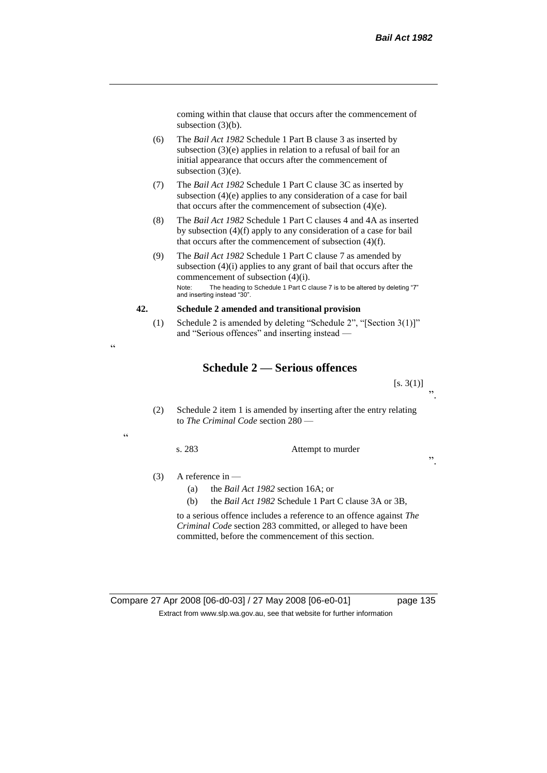coming within that clause that occurs after the commencement of subsection (3)(b).

- (6) The *Bail Act 1982* Schedule 1 Part B clause 3 as inserted by subsection (3)(e) applies in relation to a refusal of bail for an initial appearance that occurs after the commencement of subsection (3)(e).
- (7) The *Bail Act 1982* Schedule 1 Part C clause 3C as inserted by subsection (4)(e) applies to any consideration of a case for bail that occurs after the commencement of subsection (4)(e).
- (8) The *Bail Act 1982* Schedule 1 Part C clauses 4 and 4A as inserted by subsection (4)(f) apply to any consideration of a case for bail that occurs after the commencement of subsection (4)(f).
- (9) The *Bail Act 1982* Schedule 1 Part C clause 7 as amended by subsection (4)(i) applies to any grant of bail that occurs after the commencement of subsection (4)(i). Note: The heading to Schedule 1 Part C clause 7 is to be altered by deleting "7" and inserting instead "30".

#### **42. Schedule 2 amended and transitional provision**

(1) Schedule 2 is amended by deleting "Schedule 2", "[Section 3(1)]" and "Serious offences" and inserting instead —

# **Schedule 2 — Serious offences**

 $[s. 3(1)]$ ".

(2) Schedule 2 item 1 is amended by inserting after the entry relating to *The Criminal Code* section 280 —

 $\epsilon$ 

.,

s. 283 Attempt to murder

".

(3) A reference in —

- (a) the *Bail Act 1982* section 16A; or
- (b) the *Bail Act 1982* Schedule 1 Part C clause 3A or 3B,

to a serious offence includes a reference to an offence against *The Criminal Code* section 283 committed, or alleged to have been committed, before the commencement of this section.

Compare 27 Apr 2008 [06-d0-03] / 27 May 2008 [06-e0-01] page 135 Extract from www.slp.wa.gov.au, see that website for further information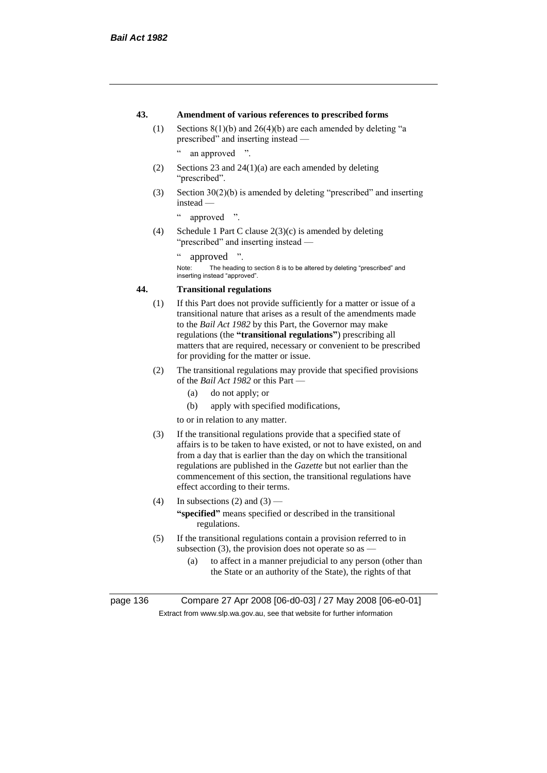## **43. Amendment of various references to prescribed forms**

(1) Sections 8(1)(b) and 26(4)(b) are each amended by deleting "a prescribed" and inserting instead —

" an approved ".

- (2) Sections 23 and 24(1)(a) are each amended by deleting "prescribed".
- (3) Section 30(2)(b) is amended by deleting "prescribed" and inserting instead —

" approved ".

(4) Schedule 1 Part C clause 2(3)(c) is amended by deleting "prescribed" and inserting instead —

" approved ".

Note: The heading to section 8 is to be altered by deleting "prescribed" and inserting instead "approved".

# **44. Transitional regulations**

- (1) If this Part does not provide sufficiently for a matter or issue of a transitional nature that arises as a result of the amendments made to the *Bail Act 1982* by this Part, the Governor may make regulations (the **"transitional regulations"**) prescribing all matters that are required, necessary or convenient to be prescribed for providing for the matter or issue.
- (2) The transitional regulations may provide that specified provisions of the *Bail Act 1982* or this Part —
	- (a) do not apply; or
	- (b) apply with specified modifications,

to or in relation to any matter.

- (3) If the transitional regulations provide that a specified state of affairs is to be taken to have existed, or not to have existed, on and from a day that is earlier than the day on which the transitional regulations are published in the *Gazette* but not earlier than the commencement of this section, the transitional regulations have effect according to their terms.
- (4) In subsections (2) and (3) **"specified"** means specified or described in the transitional regulations.
- (5) If the transitional regulations contain a provision referred to in subsection (3), the provision does not operate so as  $-$ 
	- (a) to affect in a manner prejudicial to any person (other than the State or an authority of the State), the rights of that

page 136 Compare 27 Apr 2008 [06-d0-03] / 27 May 2008 [06-e0-01] Extract from www.slp.wa.gov.au, see that website for further information